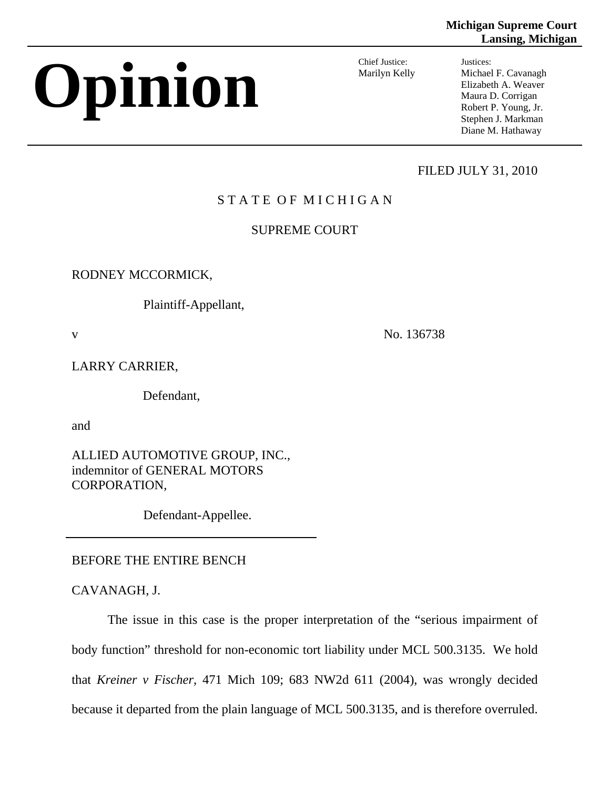## **Michigan Supreme Court Lansing, Michigan**

# **Opinion Ionited Justice:**

Marilyn Kelly

Justices: Michael F. Cavanagh Elizabeth A. Weaver Maura D. Corrigan Robert P. Young, Jr. Stephen J. Markman Diane M. Hathaway

FILED JULY 31, 2010

# STATE OF MICHIGAN

# SUPREME COURT

RODNEY MCCORMICK,

Plaintiff-Appellant,

v No. 136738

LARRY CARRIER,

Defendant,

and

ALLIED AUTOMOTIVE GROUP, INC., indemnitor of GENERAL MOTORS CORPORATION*,* 

Defendant-Appellee.

BEFORE THE ENTIRE BENCH

CAVANAGH, J.

The issue in this case is the proper interpretation of the "serious impairment of body function" threshold for non-economic tort liability under MCL 500.3135. We hold that *Kreiner v Fischer*, 471 Mich 109; 683 NW2d 611 (2004), was wrongly decided because it departed from the plain language of MCL 500.3135, and is therefore overruled.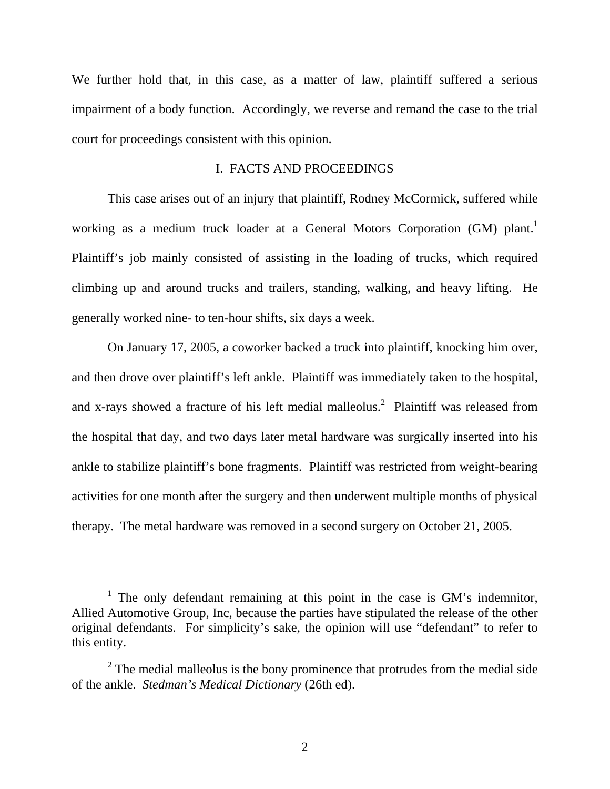We further hold that, in this case, as a matter of law, plaintiff suffered a serious impairment of a body function. Accordingly, we reverse and remand the case to the trial court for proceedings consistent with this opinion.

#### I. FACTS AND PROCEEDINGS

This case arises out of an injury that plaintiff, Rodney McCormick, suffered while working as a medium truck loader at a General Motors Corporation (GM) plant.<sup>1</sup> Plaintiff's job mainly consisted of assisting in the loading of trucks, which required climbing up and around trucks and trailers, standing, walking, and heavy lifting. He generally worked nine- to ten-hour shifts, six days a week.

On January 17, 2005, a coworker backed a truck into plaintiff, knocking him over, and then drove over plaintiff's left ankle. Plaintiff was immediately taken to the hospital, and x-rays showed a fracture of his left medial malleolus.<sup>2</sup> Plaintiff was released from the hospital that day, and two days later metal hardware was surgically inserted into his ankle to stabilize plaintiff's bone fragments. Plaintiff was restricted from weight-bearing activities for one month after the surgery and then underwent multiple months of physical therapy. The metal hardware was removed in a second surgery on October 21, 2005.

 $\frac{1}{1}$  $1$  The only defendant remaining at this point in the case is GM's indemnitor, Allied Automotive Group, Inc, because the parties have stipulated the release of the other original defendants. For simplicity's sake, the opinion will use "defendant" to refer to this entity.

 $2^2$  The medial malleolus is the bony prominence that protrudes from the medial side of the ankle. *Stedman's Medical Dictionary* (26th ed).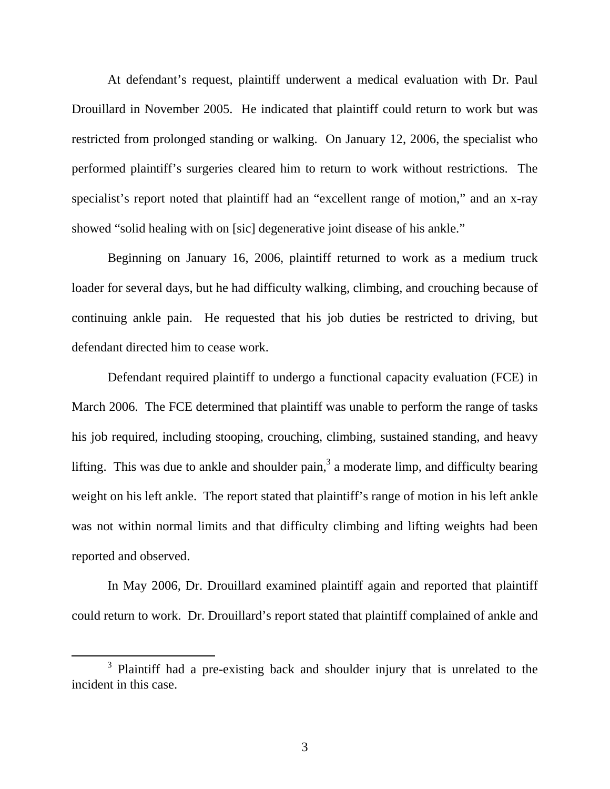At defendant's request, plaintiff underwent a medical evaluation with Dr. Paul Drouillard in November 2005. He indicated that plaintiff could return to work but was restricted from prolonged standing or walking. On January 12, 2006, the specialist who performed plaintiff's surgeries cleared him to return to work without restrictions. The specialist's report noted that plaintiff had an "excellent range of motion," and an x-ray showed "solid healing with on [sic] degenerative joint disease of his ankle."

Beginning on January 16, 2006, plaintiff returned to work as a medium truck loader for several days, but he had difficulty walking, climbing, and crouching because of continuing ankle pain. He requested that his job duties be restricted to driving, but defendant directed him to cease work.

Defendant required plaintiff to undergo a functional capacity evaluation (FCE) in March 2006. The FCE determined that plaintiff was unable to perform the range of tasks his job required, including stooping, crouching, climbing, sustained standing, and heavy lifting. This was due to ankle and shoulder pain,<sup>3</sup> a moderate limp, and difficulty bearing weight on his left ankle. The report stated that plaintiff's range of motion in his left ankle was not within normal limits and that difficulty climbing and lifting weights had been reported and observed.

In May 2006, Dr. Drouillard examined plaintiff again and reported that plaintiff could return to work. Dr. Drouillard's report stated that plaintiff complained of ankle and

 $\frac{1}{3}$ <sup>3</sup> Plaintiff had a pre-existing back and shoulder injury that is unrelated to the incident in this case.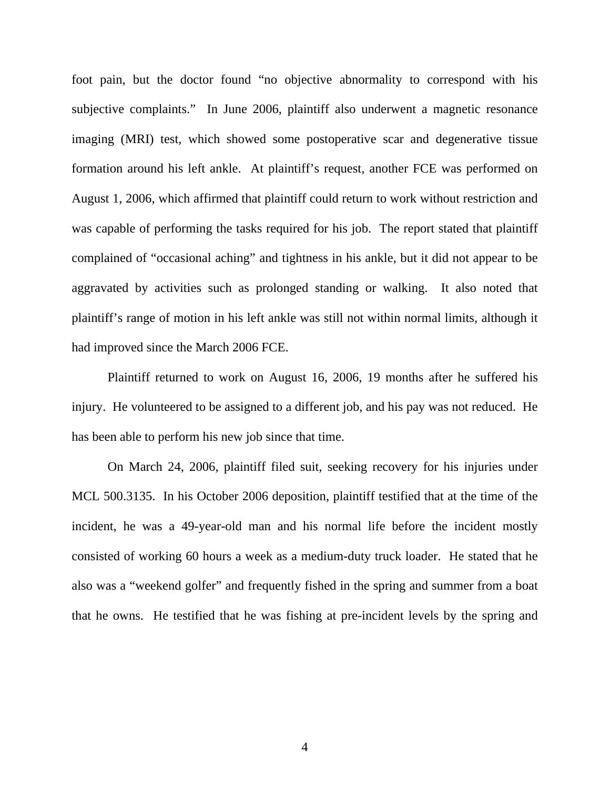foot pain, but the doctor found "no objective abnormality to correspond with his subjective complaints." In June 2006, plaintiff also underwent a magnetic resonance imaging (MRI) test, which showed some postoperative scar and degenerative tissue formation around his left ankle. At plaintiff's request, another FCE was performed on August 1, 2006, which affirmed that plaintiff could return to work without restriction and was capable of performing the tasks required for his job. The report stated that plaintiff complained of "occasional aching" and tightness in his ankle, but it did not appear to be aggravated by activities such as prolonged standing or walking. It also noted that plaintiff's range of motion in his left ankle was still not within normal limits, although it had improved since the March 2006 FCE.

Plaintiff returned to work on August 16, 2006, 19 months after he suffered his injury. He volunteered to be assigned to a different job, and his pay was not reduced. He has been able to perform his new job since that time.

On March 24, 2006, plaintiff filed suit, seeking recovery for his injuries under MCL 500.3135. In his October 2006 deposition, plaintiff testified that at the time of the incident, he was a 49-year-old man and his normal life before the incident mostly consisted of working 60 hours a week as a medium-duty truck loader. He stated that he also was a "weekend golfer" and frequently fished in the spring and summer from a boat that he owns. He testified that he was fishing at pre-incident levels by the spring and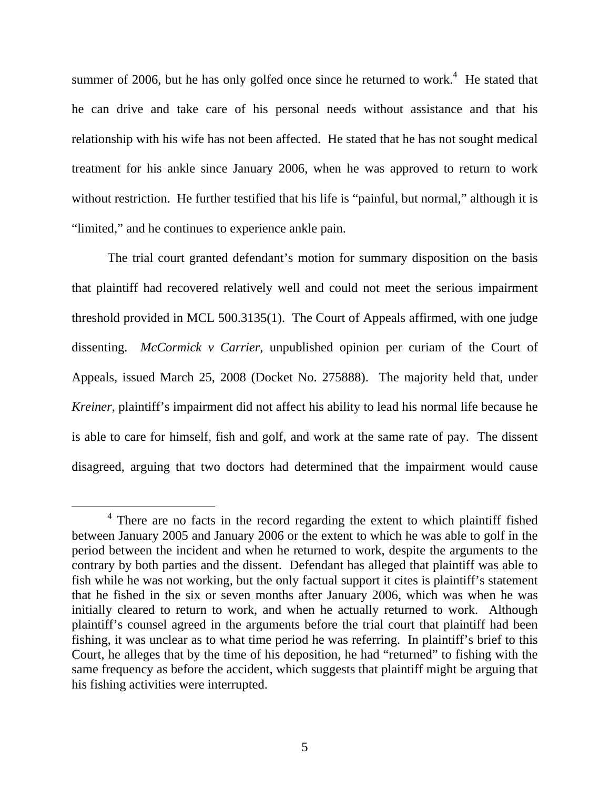summer of 2006, but he has only golfed once since he returned to work.<sup>4</sup> He stated that he can drive and take care of his personal needs without assistance and that his relationship with his wife has not been affected. He stated that he has not sought medical treatment for his ankle since January 2006, when he was approved to return to work without restriction. He further testified that his life is "painful, but normal," although it is "limited," and he continues to experience ankle pain.

The trial court granted defendant's motion for summary disposition on the basis that plaintiff had recovered relatively well and could not meet the serious impairment threshold provided in MCL 500.3135(1). The Court of Appeals affirmed, with one judge dissenting. *McCormick v Carrier*, unpublished opinion per curiam of the Court of Appeals, issued March 25, 2008 (Docket No. 275888). The majority held that, under *Kreiner*, plaintiff's impairment did not affect his ability to lead his normal life because he is able to care for himself, fish and golf, and work at the same rate of pay. The dissent disagreed, arguing that two doctors had determined that the impairment would cause

 $\overline{4}$  $4$  There are no facts in the record regarding the extent to which plaintiff fished between January 2005 and January 2006 or the extent to which he was able to golf in the period between the incident and when he returned to work, despite the arguments to the contrary by both parties and the dissent. Defendant has alleged that plaintiff was able to fish while he was not working, but the only factual support it cites is plaintiff's statement that he fished in the six or seven months after January 2006, which was when he was initially cleared to return to work, and when he actually returned to work. Although plaintiff's counsel agreed in the arguments before the trial court that plaintiff had been fishing, it was unclear as to what time period he was referring. In plaintiff's brief to this Court, he alleges that by the time of his deposition, he had "returned" to fishing with the same frequency as before the accident, which suggests that plaintiff might be arguing that his fishing activities were interrupted.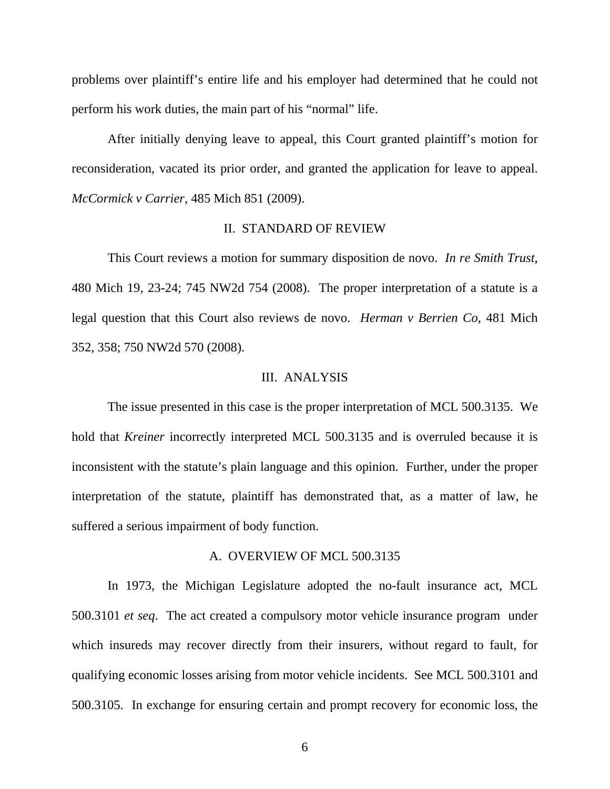problems over plaintiff's entire life and his employer had determined that he could not perform his work duties, the main part of his "normal" life.

After initially denying leave to appeal, this Court granted plaintiff's motion for reconsideration, vacated its prior order, and granted the application for leave to appeal. *McCormick v Carrier*, 485 Mich 851 (2009).

#### II. STANDARD OF REVIEW

This Court reviews a motion for summary disposition de novo. *In re Smith Trust*, 480 Mich 19, 23-24; 745 NW2d 754 (2008). The proper interpretation of a statute is a legal question that this Court also reviews de novo. *Herman v Berrien Co*, 481 Mich 352, 358; 750 NW2d 570 (2008).

#### III. ANALYSIS

The issue presented in this case is the proper interpretation of MCL 500.3135. We hold that *Kreiner* incorrectly interpreted MCL 500.3135 and is overruled because it is inconsistent with the statute's plain language and this opinion. Further, under the proper interpretation of the statute, plaintiff has demonstrated that, as a matter of law, he suffered a serious impairment of body function.

#### A. OVERVIEW OF MCL 500.3135

In 1973, the Michigan Legislature adopted the no-fault insurance act, MCL 500.3101 *et seq*. The act created a compulsory motor vehicle insurance program under which insureds may recover directly from their insurers, without regard to fault, for qualifying economic losses arising from motor vehicle incidents. See MCL 500.3101 and 500.3105. In exchange for ensuring certain and prompt recovery for economic loss, the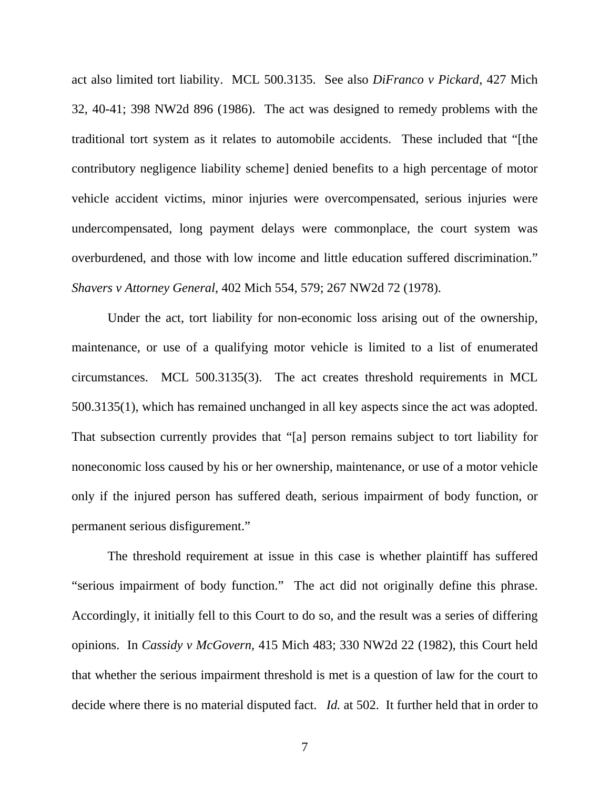act also limited tort liability. MCL 500.3135. See also *DiFranco v Pickard*, 427 Mich 32, 40-41; 398 NW2d 896 (1986). The act was designed to remedy problems with the traditional tort system as it relates to automobile accidents. These included that "[the contributory negligence liability scheme] denied benefits to a high percentage of motor vehicle accident victims, minor injuries were overcompensated, serious injuries were undercompensated, long payment delays were commonplace, the court system was overburdened, and those with low income and little education suffered discrimination." *Shavers v Attorney General*, 402 Mich 554, 579; 267 NW2d 72 (1978).

Under the act, tort liability for non-economic loss arising out of the ownership, maintenance, or use of a qualifying motor vehicle is limited to a list of enumerated circumstances. MCL 500.3135(3). The act creates threshold requirements in MCL 500.3135(1), which has remained unchanged in all key aspects since the act was adopted. That subsection currently provides that "[a] person remains subject to tort liability for noneconomic loss caused by his or her ownership, maintenance, or use of a motor vehicle only if the injured person has suffered death, serious impairment of body function, or permanent serious disfigurement."

The threshold requirement at issue in this case is whether plaintiff has suffered "serious impairment of body function." The act did not originally define this phrase. Accordingly, it initially fell to this Court to do so, and the result was a series of differing opinions. In *Cassidy v McGovern*, 415 Mich 483; 330 NW2d 22 (1982), this Court held that whether the serious impairment threshold is met is a question of law for the court to decide where there is no material disputed fact. *Id.* at 502. It further held that in order to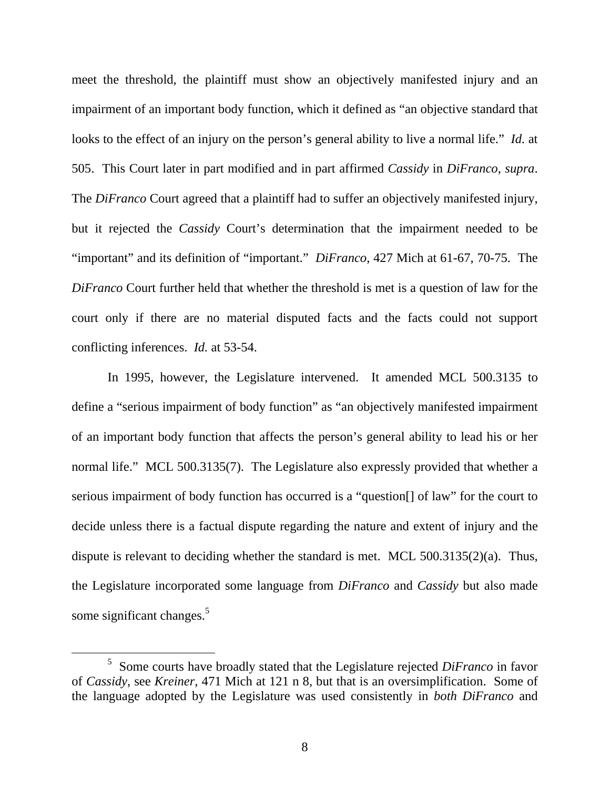meet the threshold, the plaintiff must show an objectively manifested injury and an impairment of an important body function, which it defined as "an objective standard that looks to the effect of an injury on the person's general ability to live a normal life." *Id.* at 505. This Court later in part modified and in part affirmed *Cassidy* in *DiFranco*, *supra*. The *DiFranco* Court agreed that a plaintiff had to suffer an objectively manifested injury, but it rejected the *Cassidy* Court's determination that the impairment needed to be "important" and its definition of "important." *DiFranco*, 427 Mich at 61-67, 70-75. The *DiFranco* Court further held that whether the threshold is met is a question of law for the court only if there are no material disputed facts and the facts could not support conflicting inferences. *Id.* at 53-54.

In 1995, however, the Legislature intervened. It amended MCL 500.3135 to define a "serious impairment of body function" as "an objectively manifested impairment of an important body function that affects the person's general ability to lead his or her normal life." MCL 500.3135(7). The Legislature also expressly provided that whether a serious impairment of body function has occurred is a "question[] of law" for the court to decide unless there is a factual dispute regarding the nature and extent of injury and the dispute is relevant to deciding whether the standard is met. MCL 500.3135(2)(a). Thus, the Legislature incorporated some language from *DiFranco* and *Cassidy* but also made some significant changes. $5$ 

 $\frac{1}{5}$  Some courts have broadly stated that the Legislature rejected *DiFranco* in favor of *Cassidy*, see *Kreiner*, 471 Mich at 121 n 8, but that is an oversimplification. Some of the language adopted by the Legislature was used consistently in *both DiFranco* and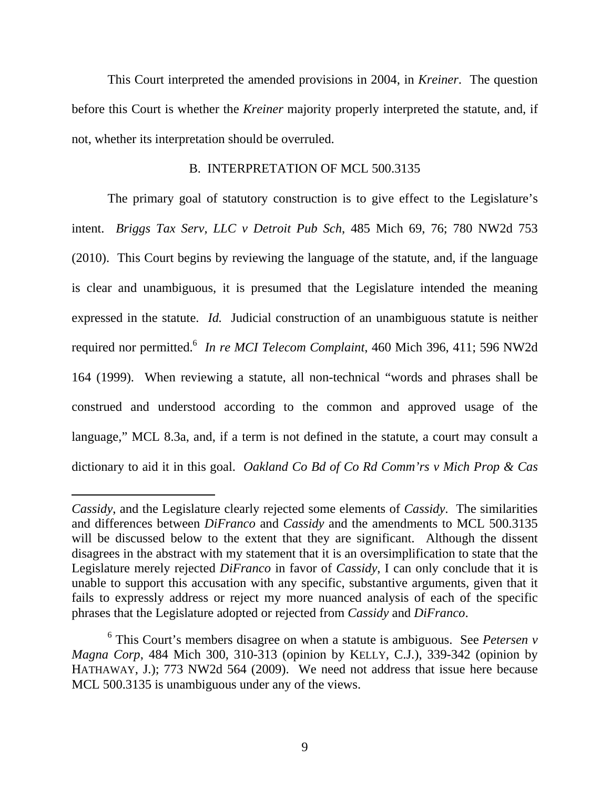This Court interpreted the amended provisions in 2004, in *Kreiner*. The question before this Court is whether the *Kreiner* majority properly interpreted the statute, and, if not, whether its interpretation should be overruled.

#### B. INTERPRETATION OF MCL 500.3135

The primary goal of statutory construction is to give effect to the Legislature's intent. *Briggs Tax Serv, LLC v Detroit Pub Sch*, 485 Mich 69, 76; 780 NW2d 753 (2010). This Court begins by reviewing the language of the statute, and, if the language is clear and unambiguous, it is presumed that the Legislature intended the meaning expressed in the statute. *Id.* Judicial construction of an unambiguous statute is neither required nor permitted.<sup>6</sup> In re MCI Telecom Complaint, 460 Mich 396, 411; 596 NW2d 164 (1999). When reviewing a statute, all non-technical "words and phrases shall be construed and understood according to the common and approved usage of the language," MCL 8.3a, and, if a term is not defined in the statute, a court may consult a dictionary to aid it in this goal. *Oakland Co Bd of Co Rd Comm'rs v Mich Prop & Cas* 

 $\overline{a}$ 

*Cassidy*, and the Legislature clearly rejected some elements of *Cassidy*. The similarities and differences between *DiFranco* and *Cassidy* and the amendments to MCL 500.3135 will be discussed below to the extent that they are significant. Although the dissent disagrees in the abstract with my statement that it is an oversimplification to state that the Legislature merely rejected *DiFranco* in favor of *Cassidy*, I can only conclude that it is unable to support this accusation with any specific, substantive arguments, given that it fails to expressly address or reject my more nuanced analysis of each of the specific phrases that the Legislature adopted or rejected from *Cassidy* and *DiFranco*.

<sup>6</sup> This Court's members disagree on when a statute is ambiguous. See *Petersen v Magna Corp*, 484 Mich 300, 310-313 (opinion by KELLY, C.J.), 339-342 (opinion by HATHAWAY, J.); 773 NW2d 564 (2009). We need not address that issue here because MCL 500.3135 is unambiguous under any of the views.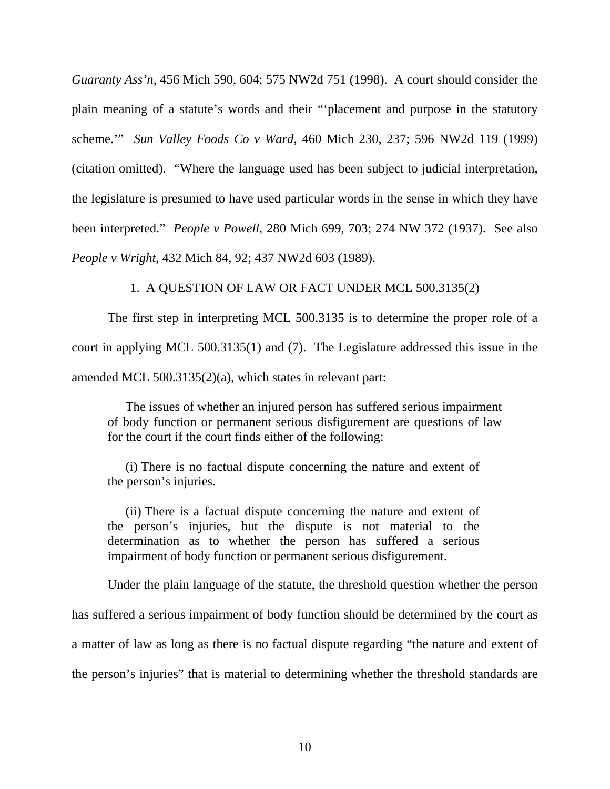*Guaranty Ass'n*, 456 Mich 590, 604; 575 NW2d 751 (1998). A court should consider the plain meaning of a statute's words and their "'placement and purpose in the statutory scheme.'" *Sun Valley Foods Co v Ward*, 460 Mich 230, 237; 596 NW2d 119 (1999) (citation omitted). "Where the language used has been subject to judicial interpretation, the legislature is presumed to have used particular words in the sense in which they have been interpreted." *People v Powell*, 280 Mich 699, 703; 274 NW 372 (1937). See also *People v Wright*, 432 Mich 84, 92; 437 NW2d 603 (1989).

#### 1. A QUESTION OF LAW OR FACT UNDER MCL 500.3135(2)

The first step in interpreting MCL 500.3135 is to determine the proper role of a court in applying MCL 500.3135(1) and (7). The Legislature addressed this issue in the amended MCL 500.3135(2)(a), which states in relevant part:

The issues of whether an injured person has suffered serious impairment of body function or permanent serious disfigurement are questions of law for the court if the court finds either of the following:

(i) There is no factual dispute concerning the nature and extent of the person's injuries.

(ii) There is a factual dispute concerning the nature and extent of the person's injuries, but the dispute is not material to the determination as to whether the person has suffered a serious impairment of body function or permanent serious disfigurement.

Under the plain language of the statute, the threshold question whether the person

has suffered a serious impairment of body function should be determined by the court as

a matter of law as long as there is no factual dispute regarding "the nature and extent of

the person's injuries" that is material to determining whether the threshold standards are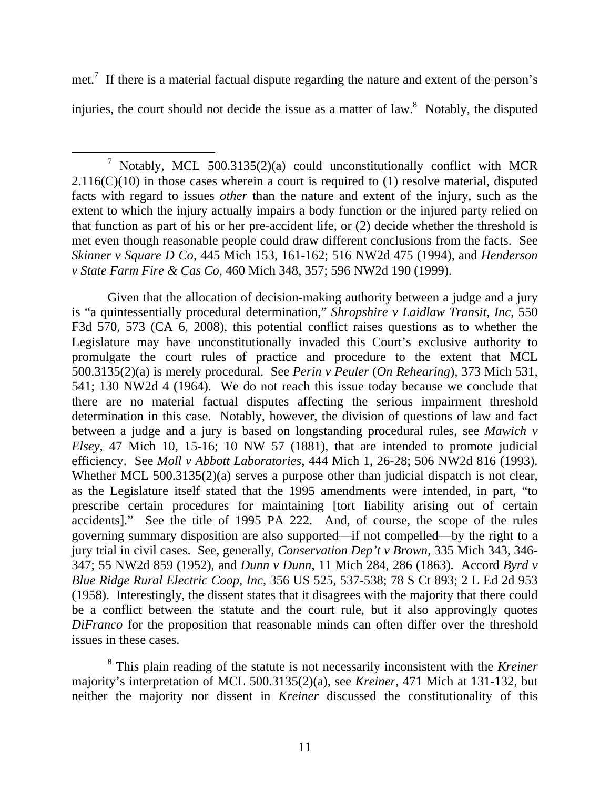met.<sup>7</sup> If there is a material factual dispute regarding the nature and extent of the person's injuries, the court should not decide the issue as a matter of law. $8$  Notably, the disputed

Given that the allocation of decision-making authority between a judge and a jury is "a quintessentially procedural determination," *Shropshire v Laidlaw Transit, Inc*, 550 F3d 570, 573 (CA 6, 2008), this potential conflict raises questions as to whether the Legislature may have unconstitutionally invaded this Court's exclusive authority to promulgate the court rules of practice and procedure to the extent that MCL 500.3135(2)(a) is merely procedural. See *Perin v Peuler* (*On Rehearing*), 373 Mich 531, 541; 130 NW2d 4 (1964). We do not reach this issue today because we conclude that there are no material factual disputes affecting the serious impairment threshold determination in this case. Notably, however, the division of questions of law and fact between a judge and a jury is based on longstanding procedural rules, see *Mawich v Elsey*, 47 Mich 10, 15-16; 10 NW 57 (1881), that are intended to promote judicial efficiency. See *Moll v Abbott Laboratories*, 444 Mich 1, 26-28; 506 NW2d 816 (1993). Whether MCL 500.3135(2)(a) serves a purpose other than judicial dispatch is not clear, as the Legislature itself stated that the 1995 amendments were intended, in part, "to prescribe certain procedures for maintaining [tort liability arising out of certain accidents]." See the title of 1995 PA 222. And, of course, the scope of the rules governing summary disposition are also supported—if not compelled—by the right to a jury trial in civil cases. See, generally, *Conservation Dep't v Brown*, 335 Mich 343, 346- 347; 55 NW2d 859 (1952), and *Dunn v Dunn*, 11 Mich 284, 286 (1863). Accord *Byrd v Blue Ridge Rural Electric Coop, Inc*, 356 US 525, 537-538; 78 S Ct 893; 2 L Ed 2d 953 (1958). Interestingly, the dissent states that it disagrees with the majority that there could be a conflict between the statute and the court rule, but it also approvingly quotes *DiFranco* for the proposition that reasonable minds can often differ over the threshold issues in these cases.

8 This plain reading of the statute is not necessarily inconsistent with the *Kreiner*  majority's interpretation of MCL 500.3135(2)(a), see *Kreiner*, 471 Mich at 131-132, but neither the majority nor dissent in *Kreiner* discussed the constitutionality of this

 $\frac{1}{7}$  $\frac{7}{1}$  Notably, MCL 500.3135(2)(a) could unconstitutionally conflict with MCR  $2.116(C)(10)$  in those cases wherein a court is required to (1) resolve material, disputed facts with regard to issues *other* than the nature and extent of the injury, such as the extent to which the injury actually impairs a body function or the injured party relied on that function as part of his or her pre-accident life, or (2) decide whether the threshold is met even though reasonable people could draw different conclusions from the facts. See *Skinner v Square D Co*, 445 Mich 153, 161-162; 516 NW2d 475 (1994), and *Henderson v State Farm Fire & Cas Co*, 460 Mich 348, 357; 596 NW2d 190 (1999).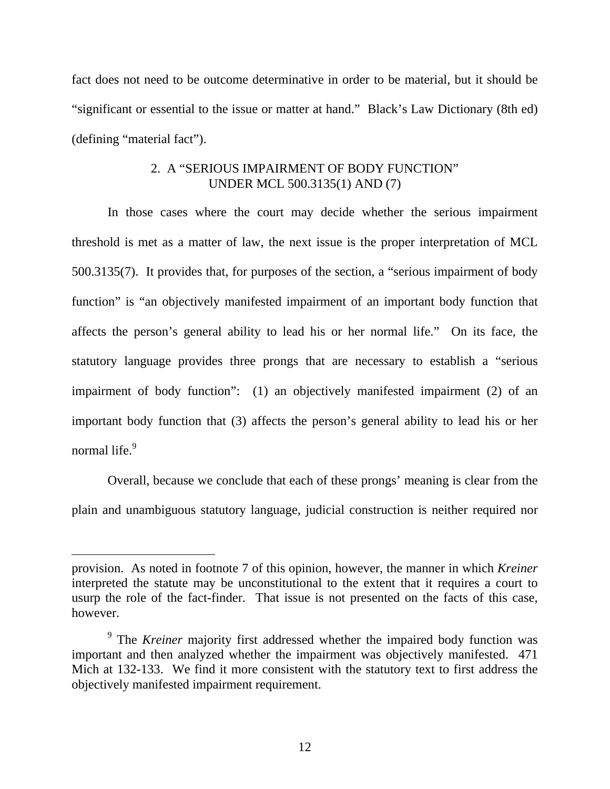fact does not need to be outcome determinative in order to be material, but it should be "significant or essential to the issue or matter at hand." Black's Law Dictionary (8th ed) (defining "material fact").

### 2. A "SERIOUS IMPAIRMENT OF BODY FUNCTION" UNDER MCL 500.3135(1) AND (7)

In those cases where the court may decide whether the serious impairment threshold is met as a matter of law, the next issue is the proper interpretation of MCL 500.3135(7). It provides that, for purposes of the section, a "serious impairment of body function" is "an objectively manifested impairment of an important body function that affects the person's general ability to lead his or her normal life." On its face, the statutory language provides three prongs that are necessary to establish a "serious impairment of body function": (1) an objectively manifested impairment (2) of an important body function that (3) affects the person's general ability to lead his or her normal life.<sup>9</sup>

Overall, because we conclude that each of these prongs' meaning is clear from the plain and unambiguous statutory language, judicial construction is neither required nor

 $\overline{a}$ 

provision. As noted in footnote 7 of this opinion, however, the manner in which *Kreiner* interpreted the statute may be unconstitutional to the extent that it requires a court to usurp the role of the fact-finder. That issue is not presented on the facts of this case, however.

<sup>&</sup>lt;sup>9</sup> The *Kreiner* majority first addressed whether the impaired body function was important and then analyzed whether the impairment was objectively manifested. 471 Mich at 132-133. We find it more consistent with the statutory text to first address the objectively manifested impairment requirement.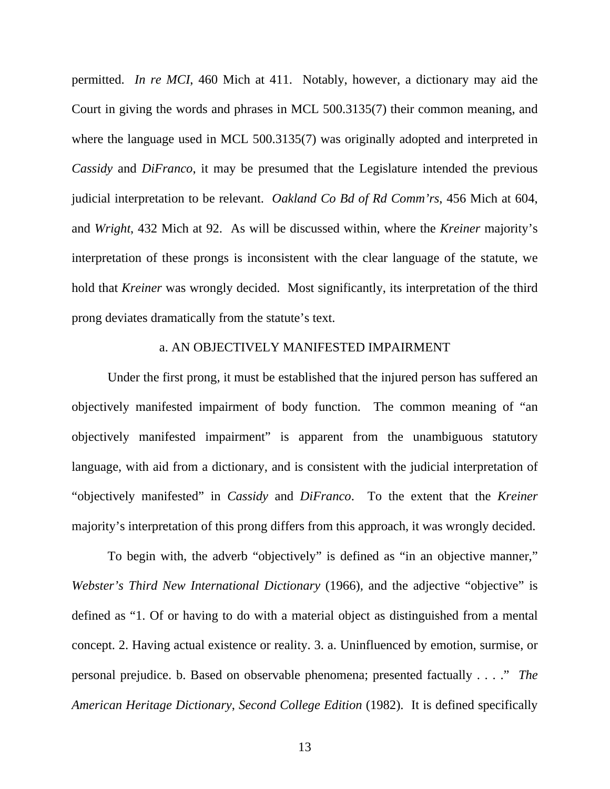permitted. *In re MCI*, 460 Mich at 411. Notably, however, a dictionary may aid the Court in giving the words and phrases in MCL 500.3135(7) their common meaning, and where the language used in MCL 500.3135(7) was originally adopted and interpreted in *Cassidy* and *DiFranco*, it may be presumed that the Legislature intended the previous judicial interpretation to be relevant. *Oakland Co Bd of Rd Comm'rs*, 456 Mich at 604, and *Wright*, 432 Mich at 92. As will be discussed within, where the *Kreiner* majority's interpretation of these prongs is inconsistent with the clear language of the statute, we hold that *Kreiner* was wrongly decided. Most significantly, its interpretation of the third prong deviates dramatically from the statute's text.

#### a. AN OBJECTIVELY MANIFESTED IMPAIRMENT

Under the first prong, it must be established that the injured person has suffered an objectively manifested impairment of body function. The common meaning of "an objectively manifested impairment" is apparent from the unambiguous statutory language, with aid from a dictionary, and is consistent with the judicial interpretation of "objectively manifested" in *Cassidy* and *DiFranco*. To the extent that the *Kreiner*  majority's interpretation of this prong differs from this approach, it was wrongly decided.

To begin with, the adverb "objectively" is defined as "in an objective manner," *Webster's Third New International Dictionary* (1966), and the adjective "objective" is defined as "1. Of or having to do with a material object as distinguished from a mental concept. 2. Having actual existence or reality. 3. a. Uninfluenced by emotion, surmise, or personal prejudice. b. Based on observable phenomena; presented factually . . . ." *The American Heritage Dictionary*, *Second College Edition* (1982). It is defined specifically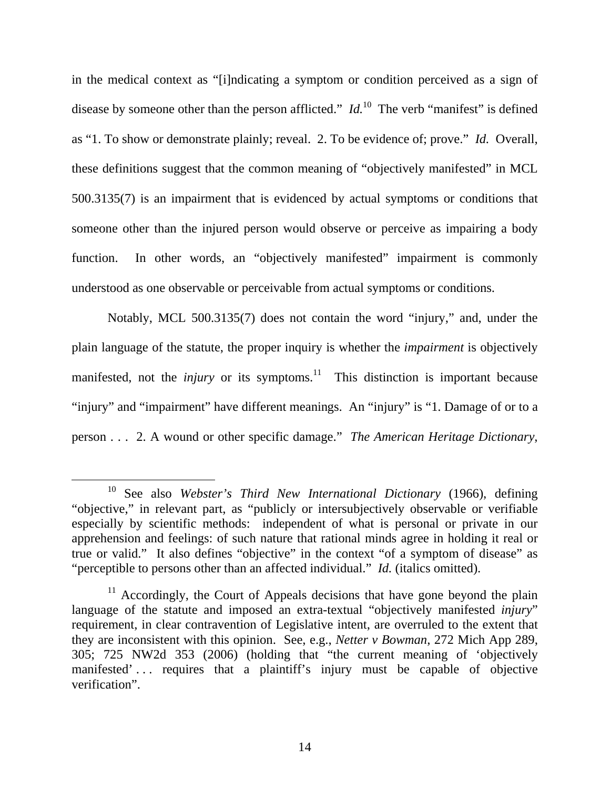in the medical context as "[i]ndicating a symptom or condition perceived as a sign of disease by someone other than the person afflicted."  $Id<sup>10</sup>$  The verb "manifest" is defined as "1. To show or demonstrate plainly; reveal. 2. To be evidence of; prove." *Id.* Overall, these definitions suggest that the common meaning of "objectively manifested" in MCL 500.3135(7) is an impairment that is evidenced by actual symptoms or conditions that someone other than the injured person would observe or perceive as impairing a body function. In other words, an "objectively manifested" impairment is commonly understood as one observable or perceivable from actual symptoms or conditions.

 Notably, MCL 500.3135(7) does not contain the word "injury," and, under the plain language of the statute, the proper inquiry is whether the *impairment* is objectively manifested, not the *injury* or its symptoms.<sup>11</sup> This distinction is important because "injury" and "impairment" have different meanings. An "injury" is "1. Damage of or to a person . . . 2. A wound or other specific damage." *The American Heritage Dictionary*,

 <sup>10</sup> See also *Webster's Third New International Dictionary* (1966), defining "objective," in relevant part, as "publicly or intersubjectively observable or verifiable especially by scientific methods: independent of what is personal or private in our apprehension and feelings: of such nature that rational minds agree in holding it real or true or valid." It also defines "objective" in the context "of a symptom of disease" as "perceptible to persons other than an affected individual." *Id.* (italics omitted).

 $11$  Accordingly, the Court of Appeals decisions that have gone beyond the plain language of the statute and imposed an extra-textual "objectively manifested *injury*" requirement, in clear contravention of Legislative intent, are overruled to the extent that they are inconsistent with this opinion. See, e.g., *Netter v Bowman*, 272 Mich App 289, 305; 725 NW2d 353 (2006) (holding that "the current meaning of 'objectively manifested'... requires that a plaintiff's injury must be capable of objective verification".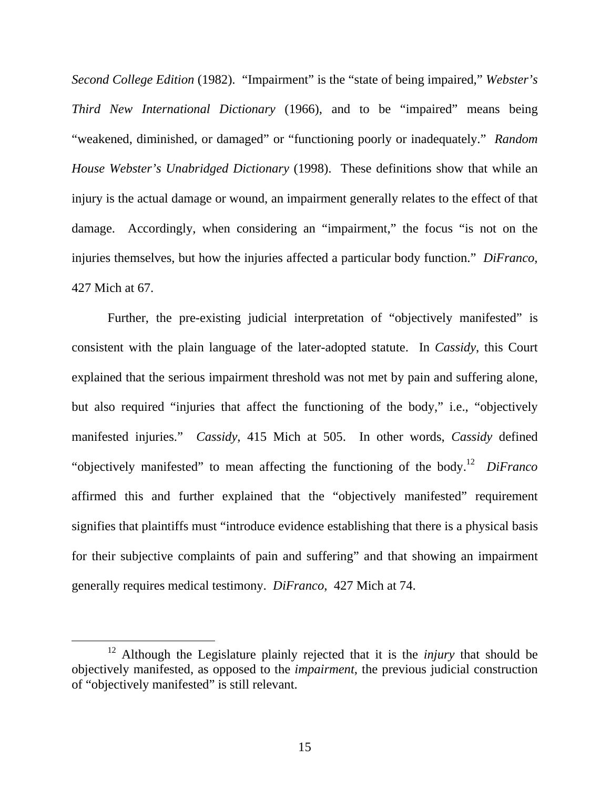*Second College Edition* (1982). "Impairment" is the "state of being impaired," *Webster's Third New International Dictionary* (1966), and to be "impaired" means being "weakened, diminished, or damaged" or "functioning poorly or inadequately." *Random House Webster's Unabridged Dictionary* (1998). These definitions show that while an injury is the actual damage or wound, an impairment generally relates to the effect of that damage. Accordingly, when considering an "impairment," the focus "is not on the injuries themselves, but how the injuries affected a particular body function." *DiFranco*, 427 Mich at 67.

Further, the pre-existing judicial interpretation of "objectively manifested" is consistent with the plain language of the later-adopted statute. In *Cassidy*, this Court explained that the serious impairment threshold was not met by pain and suffering alone, but also required "injuries that affect the functioning of the body," i.e., "objectively manifested injuries." *Cassidy*, 415 Mich at 505. In other words, *Cassidy* defined "objectively manifested" to mean affecting the functioning of the body.12 *DiFranco*  affirmed this and further explained that the "objectively manifested" requirement signifies that plaintiffs must "introduce evidence establishing that there is a physical basis for their subjective complaints of pain and suffering" and that showing an impairment generally requires medical testimony. *DiFranco*, 427 Mich at 74.

 <sup>12</sup> Although the Legislature plainly rejected that it is the *injury* that should be objectively manifested, as opposed to the *impairment*, the previous judicial construction of "objectively manifested" is still relevant.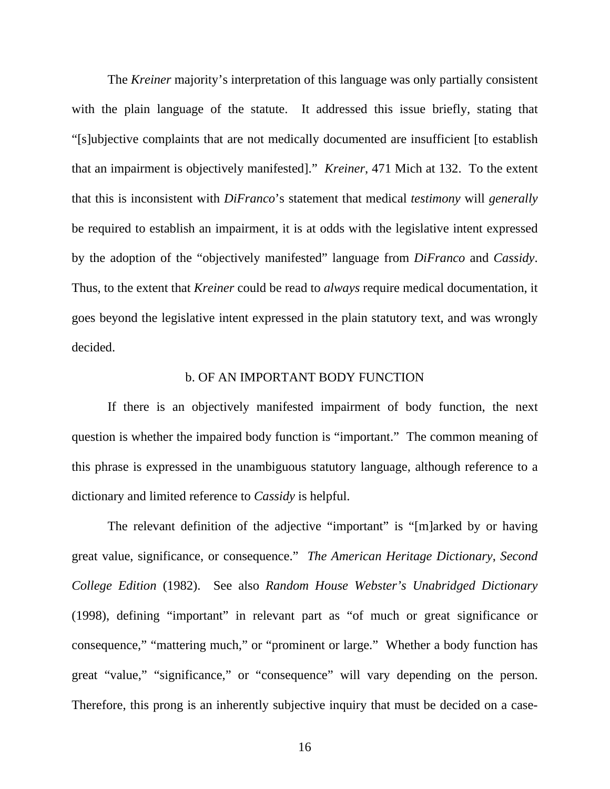The *Kreiner* majority's interpretation of this language was only partially consistent with the plain language of the statute. It addressed this issue briefly, stating that "[s]ubjective complaints that are not medically documented are insufficient [to establish that an impairment is objectively manifested]." *Kreiner*, 471 Mich at 132. To the extent that this is inconsistent with *DiFranco*'s statement that medical *testimony* will *generally*  be required to establish an impairment, it is at odds with the legislative intent expressed by the adoption of the "objectively manifested" language from *DiFranco* and *Cassidy*. Thus, to the extent that *Kreiner* could be read to *always* require medical documentation, it goes beyond the legislative intent expressed in the plain statutory text, and was wrongly decided.

#### b. OF AN IMPORTANT BODY FUNCTION

If there is an objectively manifested impairment of body function, the next question is whether the impaired body function is "important." The common meaning of this phrase is expressed in the unambiguous statutory language, although reference to a dictionary and limited reference to *Cassidy* is helpful.

The relevant definition of the adjective "important" is "[m]arked by or having great value, significance, or consequence." *The American Heritage Dictionary*, *Second College Edition* (1982). See also *Random House Webster's Unabridged Dictionary* (1998), defining "important" in relevant part as "of much or great significance or consequence," "mattering much," or "prominent or large." Whether a body function has great "value," "significance," or "consequence" will vary depending on the person. Therefore, this prong is an inherently subjective inquiry that must be decided on a case-

16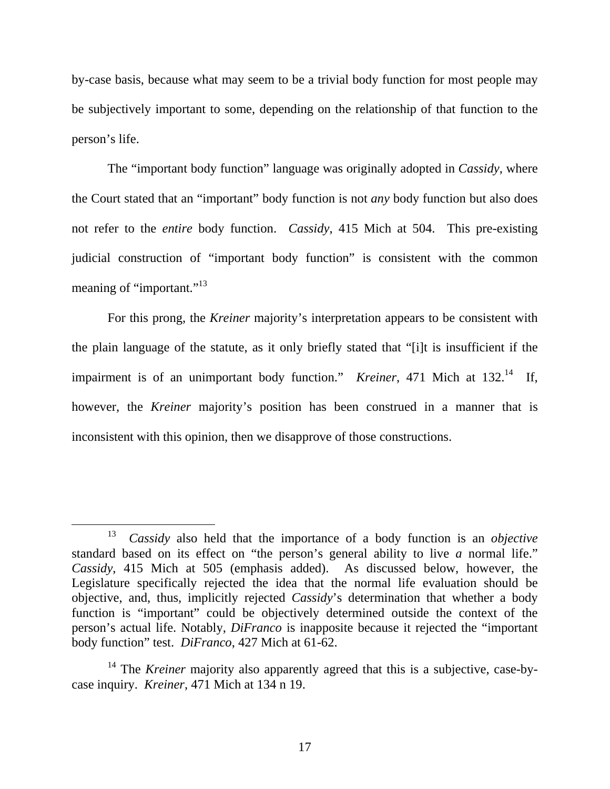by-case basis, because what may seem to be a trivial body function for most people may be subjectively important to some, depending on the relationship of that function to the person's life.

The "important body function" language was originally adopted in *Cassidy*, where the Court stated that an "important" body function is not *any* body function but also does not refer to the *entire* body function. *Cassidy*, 415 Mich at 504. This pre-existing judicial construction of "important body function" is consistent with the common meaning of "important."<sup>13</sup>

For this prong, the *Kreiner* majority's interpretation appears to be consistent with the plain language of the statute, as it only briefly stated that "[i]t is insufficient if the impairment is of an unimportant body function." *Kreiner*, 471 Mich at 132.<sup>14</sup> If, however, the *Kreiner* majority's position has been construed in a manner that is inconsistent with this opinion, then we disapprove of those constructions.

 <sup>13</sup> *Cassidy* also held that the importance of a body function is an *objective*  standard based on its effect on "the person's general ability to live *a* normal life." *Cassidy*, 415 Mich at 505 (emphasis added). As discussed below, however, the Legislature specifically rejected the idea that the normal life evaluation should be objective, and, thus, implicitly rejected *Cassidy*'s determination that whether a body function is "important" could be objectively determined outside the context of the person's actual life. Notably, *DiFranco* is inapposite because it rejected the "important body function" test. *DiFranco*, 427 Mich at 61-62.

<sup>&</sup>lt;sup>14</sup> The *Kreiner* majority also apparently agreed that this is a subjective, case-bycase inquiry. *Kreiner*, 471 Mich at 134 n 19.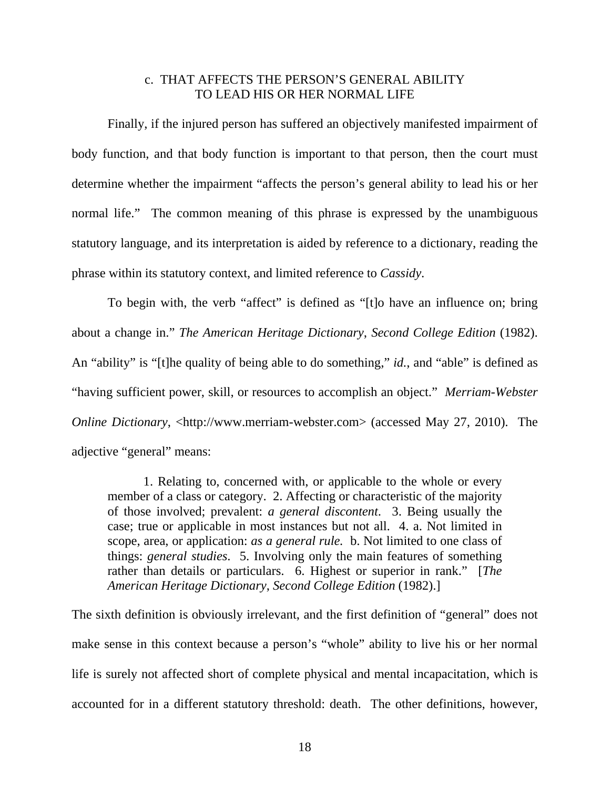## c. THAT AFFECTS THE PERSON'S GENERAL ABILITY TO LEAD HIS OR HER NORMAL LIFE

Finally, if the injured person has suffered an objectively manifested impairment of body function, and that body function is important to that person, then the court must determine whether the impairment "affects the person's general ability to lead his or her normal life." The common meaning of this phrase is expressed by the unambiguous statutory language, and its interpretation is aided by reference to a dictionary, reading the phrase within its statutory context, and limited reference to *Cassidy*.

To begin with, the verb "affect" is defined as "[t]o have an influence on; bring about a change in." *The American Heritage Dictionary*, *Second College Edition* (1982). An "ability" is "[t]he quality of being able to do something," *id.*, and "able" is defined as "having sufficient power, skill, or resources to accomplish an object." *Merriam-Webster Online Dictionary*, <http://www.merriam-webster.com> (accessed May 27, 2010). The adjective "general" means:

1. Relating to, concerned with, or applicable to the whole or every member of a class or category. 2. Affecting or characteristic of the majority of those involved; prevalent: *a general discontent*. 3. Being usually the case; true or applicable in most instances but not all. 4. a. Not limited in scope, area, or application: *as a general rule.* b. Not limited to one class of things: *general studies*. 5. Involving only the main features of something rather than details or particulars. 6. Highest or superior in rank." [*The American Heritage Dictionary*, *Second College Edition* (1982).]

The sixth definition is obviously irrelevant, and the first definition of "general" does not make sense in this context because a person's "whole" ability to live his or her normal life is surely not affected short of complete physical and mental incapacitation, which is accounted for in a different statutory threshold: death. The other definitions, however,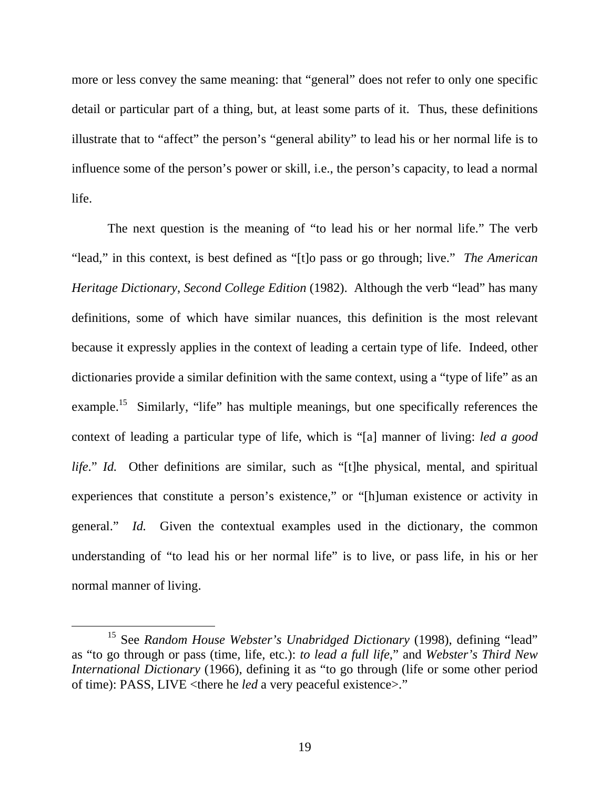more or less convey the same meaning: that "general" does not refer to only one specific detail or particular part of a thing, but, at least some parts of it. Thus, these definitions illustrate that to "affect" the person's "general ability" to lead his or her normal life is to influence some of the person's power or skill, i.e., the person's capacity, to lead a normal life.

The next question is the meaning of "to lead his or her normal life." The verb "lead," in this context, is best defined as "[t]o pass or go through; live." *The American Heritage Dictionary*, *Second College Edition* (1982). Although the verb "lead" has many definitions, some of which have similar nuances, this definition is the most relevant because it expressly applies in the context of leading a certain type of life. Indeed, other dictionaries provide a similar definition with the same context, using a "type of life" as an example.<sup>15</sup> Similarly, "life" has multiple meanings, but one specifically references the context of leading a particular type of life, which is "[a] manner of living: *led a good life*." *Id.* Other definitions are similar, such as "[t]he physical, mental, and spiritual experiences that constitute a person's existence," or "[h]uman existence or activity in general." *Id.* Given the contextual examples used in the dictionary, the common understanding of "to lead his or her normal life" is to live, or pass life, in his or her normal manner of living.

 <sup>15</sup> See *Random House Webster's Unabridged Dictionary* (1998), defining "lead" as "to go through or pass (time, life, etc.): *to lead a full life*," and *Webster's Third New International Dictionary* (1966), defining it as "to go through (life or some other period of time): PASS, LIVE <there he *led* a very peaceful existence>."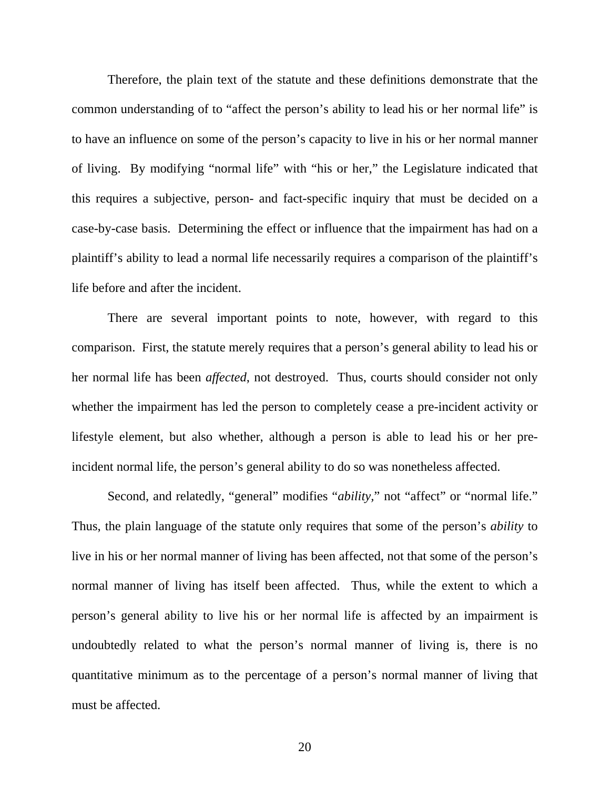Therefore, the plain text of the statute and these definitions demonstrate that the common understanding of to "affect the person's ability to lead his or her normal life" is to have an influence on some of the person's capacity to live in his or her normal manner of living. By modifying "normal life" with "his or her," the Legislature indicated that this requires a subjective, person- and fact-specific inquiry that must be decided on a case-by-case basis. Determining the effect or influence that the impairment has had on a plaintiff's ability to lead a normal life necessarily requires a comparison of the plaintiff's life before and after the incident.

There are several important points to note, however, with regard to this comparison. First, the statute merely requires that a person's general ability to lead his or her normal life has been *affected*, not destroyed. Thus, courts should consider not only whether the impairment has led the person to completely cease a pre-incident activity or lifestyle element, but also whether, although a person is able to lead his or her preincident normal life, the person's general ability to do so was nonetheless affected.

Second, and relatedly, "general" modifies "*ability*," not "affect" or "normal life." Thus, the plain language of the statute only requires that some of the person's *ability* to live in his or her normal manner of living has been affected, not that some of the person's normal manner of living has itself been affected. Thus, while the extent to which a person's general ability to live his or her normal life is affected by an impairment is undoubtedly related to what the person's normal manner of living is, there is no quantitative minimum as to the percentage of a person's normal manner of living that must be affected.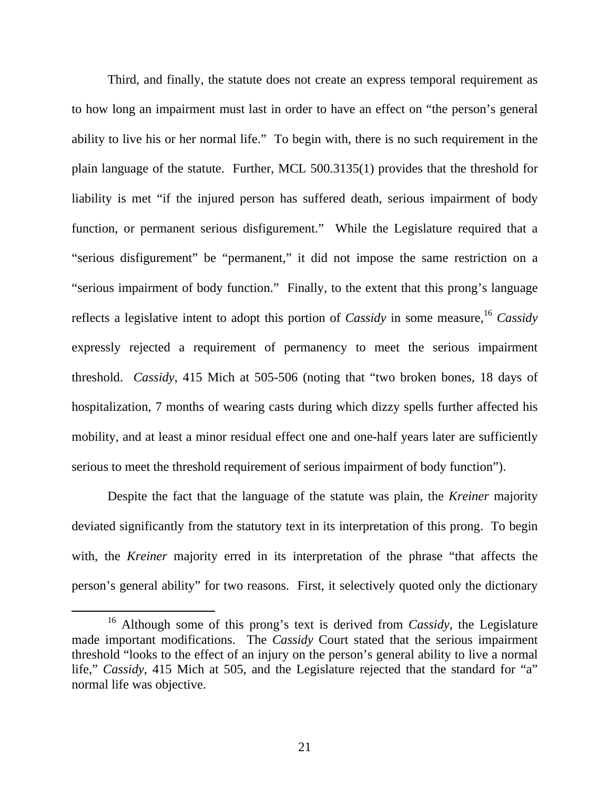Third, and finally, the statute does not create an express temporal requirement as to how long an impairment must last in order to have an effect on "the person's general ability to live his or her normal life." To begin with, there is no such requirement in the plain language of the statute. Further, MCL 500.3135(1) provides that the threshold for liability is met "if the injured person has suffered death, serious impairment of body function, or permanent serious disfigurement." While the Legislature required that a "serious disfigurement" be "permanent," it did not impose the same restriction on a "serious impairment of body function." Finally, to the extent that this prong's language reflects a legislative intent to adopt this portion of *Cassidy* in some measure,<sup>16</sup> *Cassidy* expressly rejected a requirement of permanency to meet the serious impairment threshold. *Cassidy*, 415 Mich at 505-506 (noting that "two broken bones, 18 days of hospitalization, 7 months of wearing casts during which dizzy spells further affected his mobility, and at least a minor residual effect one and one-half years later are sufficiently serious to meet the threshold requirement of serious impairment of body function").

Despite the fact that the language of the statute was plain, the *Kreiner* majority deviated significantly from the statutory text in its interpretation of this prong. To begin with, the *Kreiner* majority erred in its interpretation of the phrase "that affects the person's general ability" for two reasons. First, it selectively quoted only the dictionary

 <sup>16</sup> Although some of this prong's text is derived from *Cassidy,* the Legislature made important modifications. The *Cassidy* Court stated that the serious impairment threshold "looks to the effect of an injury on the person's general ability to live a normal life," *Cassidy*, 415 Mich at 505, and the Legislature rejected that the standard for "a" normal life was objective.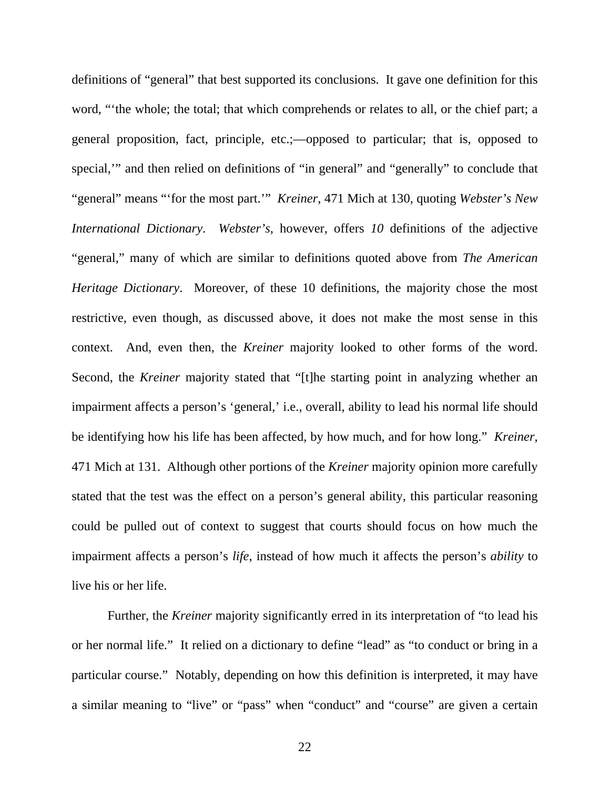definitions of "general" that best supported its conclusions. It gave one definition for this word, "'the whole; the total; that which comprehends or relates to all, or the chief part; a general proposition, fact, principle, etc.;—opposed to particular; that is, opposed to special," and then relied on definitions of "in general" and "generally" to conclude that "general" means "'for the most part.'" *Kreiner*, 471 Mich at 130, quoting *Webster's New International Dictionary*. *Webster's*, however, offers *10* definitions of the adjective "general," many of which are similar to definitions quoted above from *The American Heritage Dictionary*. Moreover, of these 10 definitions, the majority chose the most restrictive, even though, as discussed above, it does not make the most sense in this context. And, even then, the *Kreiner* majority looked to other forms of the word. Second, the *Kreiner* majority stated that "[t]he starting point in analyzing whether an impairment affects a person's 'general,' i.e., overall, ability to lead his normal life should be identifying how his life has been affected, by how much, and for how long." *Kreiner*, 471 Mich at 131. Although other portions of the *Kreiner* majority opinion more carefully stated that the test was the effect on a person's general ability, this particular reasoning could be pulled out of context to suggest that courts should focus on how much the impairment affects a person's *life*, instead of how much it affects the person's *ability* to live his or her life.

Further, the *Kreiner* majority significantly erred in its interpretation of "to lead his or her normal life." It relied on a dictionary to define "lead" as "to conduct or bring in a particular course." Notably, depending on how this definition is interpreted, it may have a similar meaning to "live" or "pass" when "conduct" and "course" are given a certain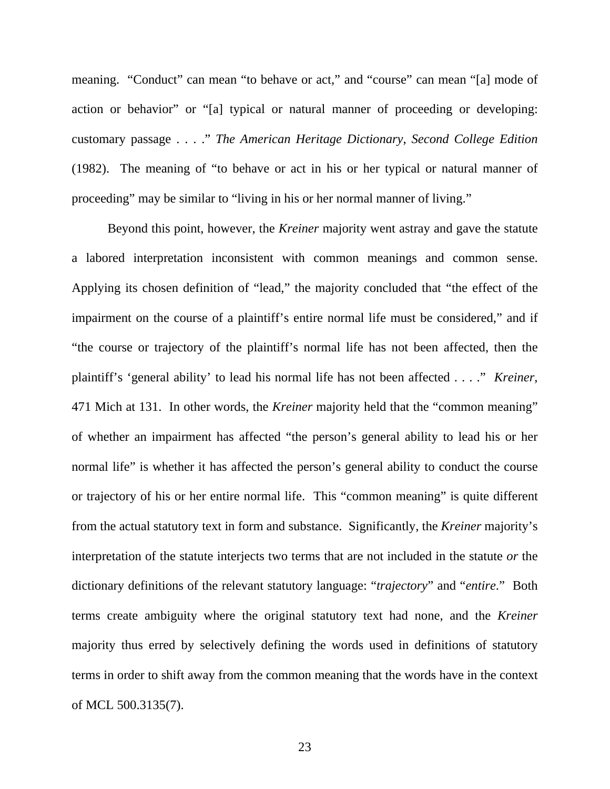meaning. "Conduct" can mean "to behave or act," and "course" can mean "[a] mode of action or behavior" or "[a] typical or natural manner of proceeding or developing: customary passage . . . ." *The American Heritage Dictionary*, *Second College Edition* (1982). The meaning of "to behave or act in his or her typical or natural manner of proceeding" may be similar to "living in his or her normal manner of living."

Beyond this point, however, the *Kreiner* majority went astray and gave the statute a labored interpretation inconsistent with common meanings and common sense. Applying its chosen definition of "lead," the majority concluded that "the effect of the impairment on the course of a plaintiff's entire normal life must be considered," and if "the course or trajectory of the plaintiff's normal life has not been affected, then the plaintiff's 'general ability' to lead his normal life has not been affected . . . ." *Kreiner*, 471 Mich at 131. In other words, the *Kreiner* majority held that the "common meaning" of whether an impairment has affected "the person's general ability to lead his or her normal life" is whether it has affected the person's general ability to conduct the course or trajectory of his or her entire normal life. This "common meaning" is quite different from the actual statutory text in form and substance. Significantly, the *Kreiner* majority's interpretation of the statute interjects two terms that are not included in the statute *or* the dictionary definitions of the relevant statutory language: "*trajectory*" and "*entire*." Both terms create ambiguity where the original statutory text had none, and the *Kreiner*  majority thus erred by selectively defining the words used in definitions of statutory terms in order to shift away from the common meaning that the words have in the context of MCL 500.3135(7).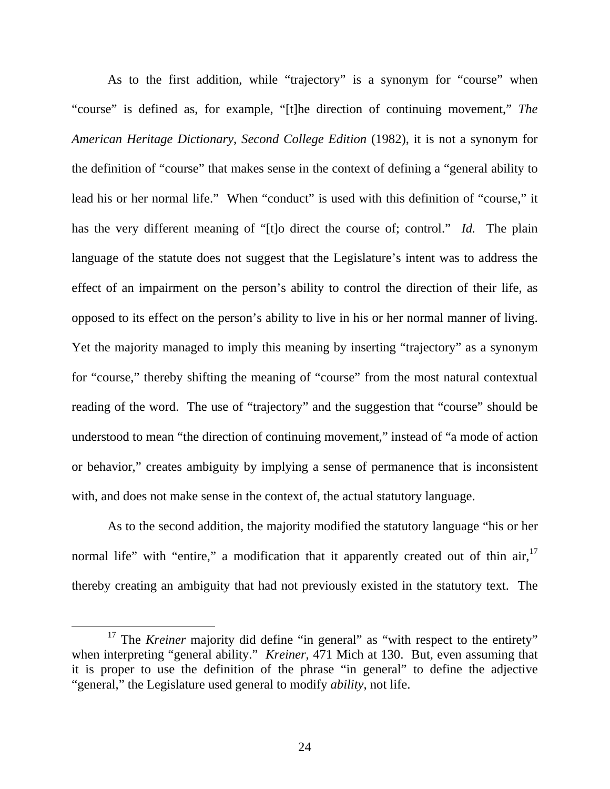As to the first addition, while "trajectory" is a synonym for "course" when "course" is defined as, for example, "[t]he direction of continuing movement," *The American Heritage Dictionary*, *Second College Edition* (1982), it is not a synonym for the definition of "course" that makes sense in the context of defining a "general ability to lead his or her normal life." When "conduct" is used with this definition of "course," it has the very different meaning of "[t]o direct the course of; control." *Id.* The plain language of the statute does not suggest that the Legislature's intent was to address the effect of an impairment on the person's ability to control the direction of their life, as opposed to its effect on the person's ability to live in his or her normal manner of living. Yet the majority managed to imply this meaning by inserting "trajectory" as a synonym for "course," thereby shifting the meaning of "course" from the most natural contextual reading of the word. The use of "trajectory" and the suggestion that "course" should be understood to mean "the direction of continuing movement," instead of "a mode of action or behavior," creates ambiguity by implying a sense of permanence that is inconsistent with, and does not make sense in the context of, the actual statutory language.

As to the second addition, the majority modified the statutory language "his or her normal life" with "entire," a modification that it apparently created out of thin air, <sup>17</sup> thereby creating an ambiguity that had not previously existed in the statutory text. The

<sup>&</sup>lt;sup>17</sup> The *Kreiner* majority did define "in general" as "with respect to the entirety" when interpreting "general ability." *Kreiner*, 471 Mich at 130. But, even assuming that it is proper to use the definition of the phrase "in general" to define the adjective "general," the Legislature used general to modify *ability*, not life.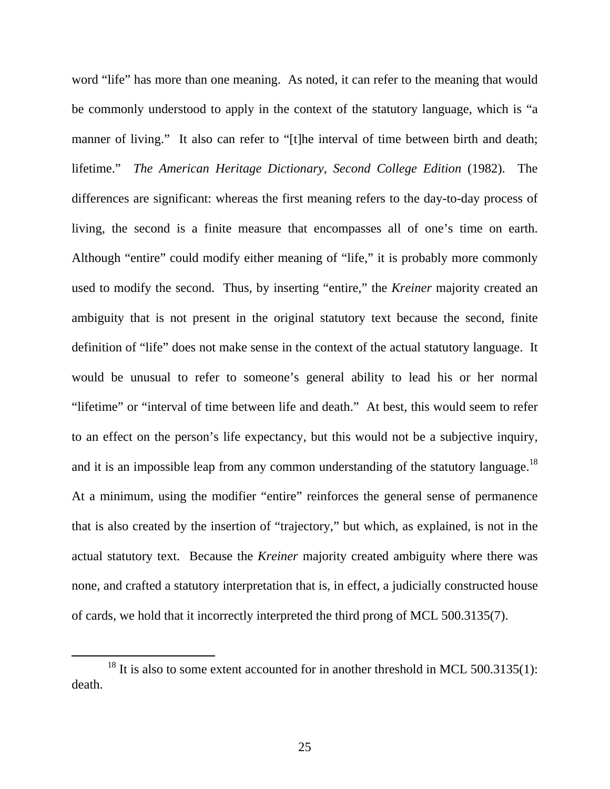word "life" has more than one meaning. As noted, it can refer to the meaning that would be commonly understood to apply in the context of the statutory language, which is "a manner of living." It also can refer to "[t]he interval of time between birth and death; lifetime." *The American Heritage Dictionary*, *Second College Edition* (1982). The differences are significant: whereas the first meaning refers to the day-to-day process of living, the second is a finite measure that encompasses all of one's time on earth. Although "entire" could modify either meaning of "life," it is probably more commonly used to modify the second. Thus, by inserting "entire," the *Kreiner* majority created an ambiguity that is not present in the original statutory text because the second, finite definition of "life" does not make sense in the context of the actual statutory language. It would be unusual to refer to someone's general ability to lead his or her normal "lifetime" or "interval of time between life and death." At best, this would seem to refer to an effect on the person's life expectancy, but this would not be a subjective inquiry, and it is an impossible leap from any common understanding of the statutory language.<sup>18</sup> At a minimum, using the modifier "entire" reinforces the general sense of permanence that is also created by the insertion of "trajectory," but which, as explained, is not in the actual statutory text. Because the *Kreiner* majority created ambiguity where there was none, and crafted a statutory interpretation that is, in effect, a judicially constructed house of cards, we hold that it incorrectly interpreted the third prong of MCL 500.3135(7).

 $18$  It is also to some extent accounted for in another threshold in MCL 500.3135(1): death.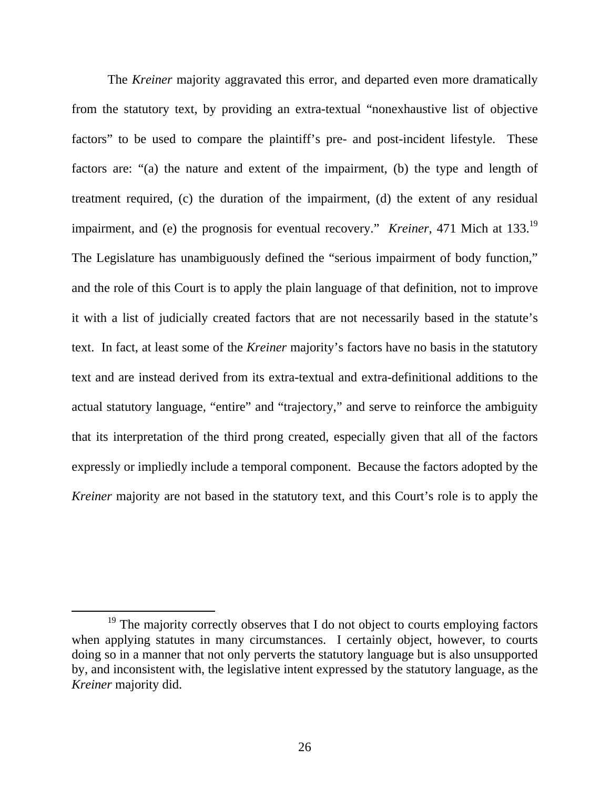The *Kreiner* majority aggravated this error, and departed even more dramatically from the statutory text, by providing an extra-textual "nonexhaustive list of objective factors" to be used to compare the plaintiff's pre- and post-incident lifestyle. These factors are: "(a) the nature and extent of the impairment, (b) the type and length of treatment required, (c) the duration of the impairment, (d) the extent of any residual impairment, and (e) the prognosis for eventual recovery." *Kreiner*, 471 Mich at 133.19 The Legislature has unambiguously defined the "serious impairment of body function," and the role of this Court is to apply the plain language of that definition, not to improve it with a list of judicially created factors that are not necessarily based in the statute's text. In fact, at least some of the *Kreiner* majority's factors have no basis in the statutory text and are instead derived from its extra-textual and extra-definitional additions to the actual statutory language, "entire" and "trajectory," and serve to reinforce the ambiguity that its interpretation of the third prong created, especially given that all of the factors expressly or impliedly include a temporal component. Because the factors adopted by the *Kreiner* majority are not based in the statutory text, and this Court's role is to apply the

<sup>&</sup>lt;sup>19</sup> The majority correctly observes that I do not object to courts employing factors when applying statutes in many circumstances. I certainly object, however, to courts doing so in a manner that not only perverts the statutory language but is also unsupported by, and inconsistent with, the legislative intent expressed by the statutory language, as the *Kreiner* majority did.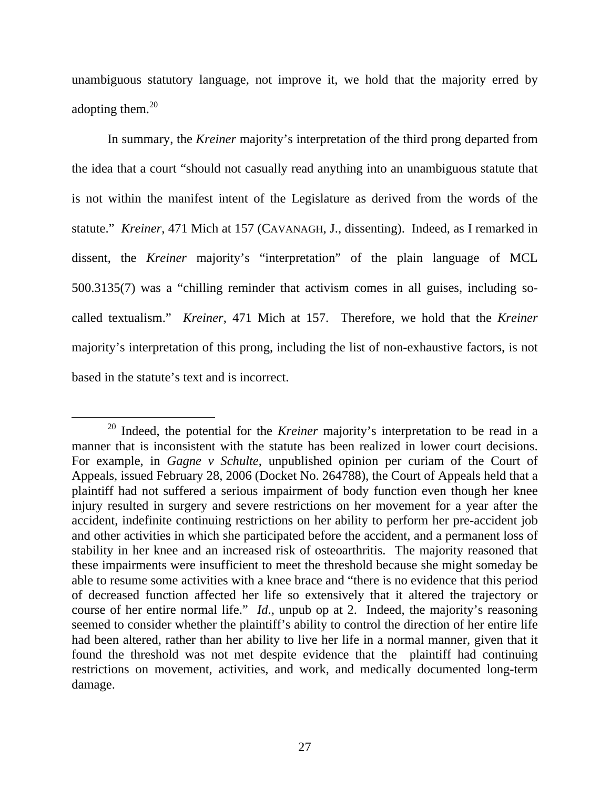unambiguous statutory language, not improve it, we hold that the majority erred by adopting them.20

In summary, the *Kreiner* majority's interpretation of the third prong departed from the idea that a court "should not casually read anything into an unambiguous statute that is not within the manifest intent of the Legislature as derived from the words of the statute." *Kreiner*, 471 Mich at 157 (CAVANAGH, J., dissenting). Indeed, as I remarked in dissent, the *Kreiner* majority's "interpretation" of the plain language of MCL 500.3135(7) was a "chilling reminder that activism comes in all guises, including socalled textualism." *Kreiner*, 471 Mich at 157. Therefore, we hold that the *Kreiner*  majority's interpretation of this prong, including the list of non-exhaustive factors, is not based in the statute's text and is incorrect.

 <sup>20</sup> Indeed, the potential for the *Kreiner* majority's interpretation to be read in a manner that is inconsistent with the statute has been realized in lower court decisions. For example, in *Gagne v Schulte*, unpublished opinion per curiam of the Court of Appeals, issued February 28, 2006 (Docket No. 264788), the Court of Appeals held that a plaintiff had not suffered a serious impairment of body function even though her knee injury resulted in surgery and severe restrictions on her movement for a year after the accident, indefinite continuing restrictions on her ability to perform her pre-accident job and other activities in which she participated before the accident, and a permanent loss of stability in her knee and an increased risk of osteoarthritis. The majority reasoned that these impairments were insufficient to meet the threshold because she might someday be able to resume some activities with a knee brace and "there is no evidence that this period of decreased function affected her life so extensively that it altered the trajectory or course of her entire normal life." *Id*., unpub op at 2. Indeed, the majority's reasoning seemed to consider whether the plaintiff's ability to control the direction of her entire life had been altered, rather than her ability to live her life in a normal manner, given that it found the threshold was not met despite evidence that the plaintiff had continuing restrictions on movement, activities, and work, and medically documented long-term damage.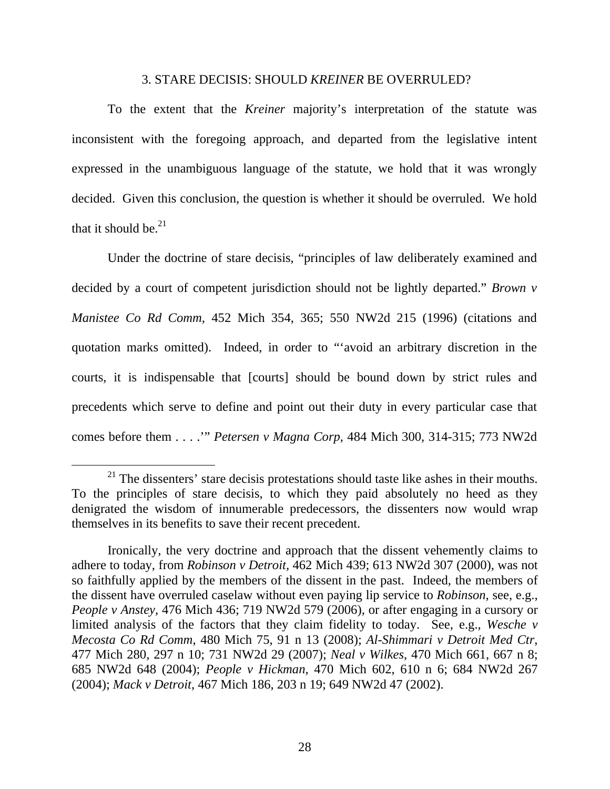#### 3. STARE DECISIS: SHOULD *KREINER* BE OVERRULED?

To the extent that the *Kreiner* majority's interpretation of the statute was inconsistent with the foregoing approach, and departed from the legislative intent expressed in the unambiguous language of the statute, we hold that it was wrongly decided. Given this conclusion, the question is whether it should be overruled. We hold that it should be.  $21$ 

Under the doctrine of stare decisis, "principles of law deliberately examined and decided by a court of competent jurisdiction should not be lightly departed." *Brown v Manistee Co Rd Comm*, 452 Mich 354, 365; 550 NW2d 215 (1996) (citations and quotation marks omitted). Indeed, in order to "'avoid an arbitrary discretion in the courts, it is indispensable that [courts] should be bound down by strict rules and precedents which serve to define and point out their duty in every particular case that comes before them . . . .'" *Petersen v Magna Corp*, 484 Mich 300, 314-315; 773 NW2d

 $21$  The dissenters' stare decisis protestations should taste like ashes in their mouths. To the principles of stare decisis, to which they paid absolutely no heed as they denigrated the wisdom of innumerable predecessors, the dissenters now would wrap themselves in its benefits to save their recent precedent.

Ironically, the very doctrine and approach that the dissent vehemently claims to adhere to today, from *Robinson v Detroit,* 462 Mich 439; 613 NW2d 307 (2000), was not so faithfully applied by the members of the dissent in the past. Indeed, the members of the dissent have overruled caselaw without even paying lip service to *Robinson*, see, e.g., *People v Anstey*, 476 Mich 436; 719 NW2d 579 (2006), or after engaging in a cursory or limited analysis of the factors that they claim fidelity to today. See, e.g., *Wesche v Mecosta Co Rd Comm*, 480 Mich 75, 91 n 13 (2008); *Al-Shimmari v Detroit Med Ctr*, 477 Mich 280, 297 n 10; 731 NW2d 29 (2007); *Neal v Wilkes*, 470 Mich 661, 667 n 8; 685 NW2d 648 (2004); *People v Hickman*, 470 Mich 602, 610 n 6; 684 NW2d 267 (2004); *Mack v Detroit*, 467 Mich 186, 203 n 19; 649 NW2d 47 (2002).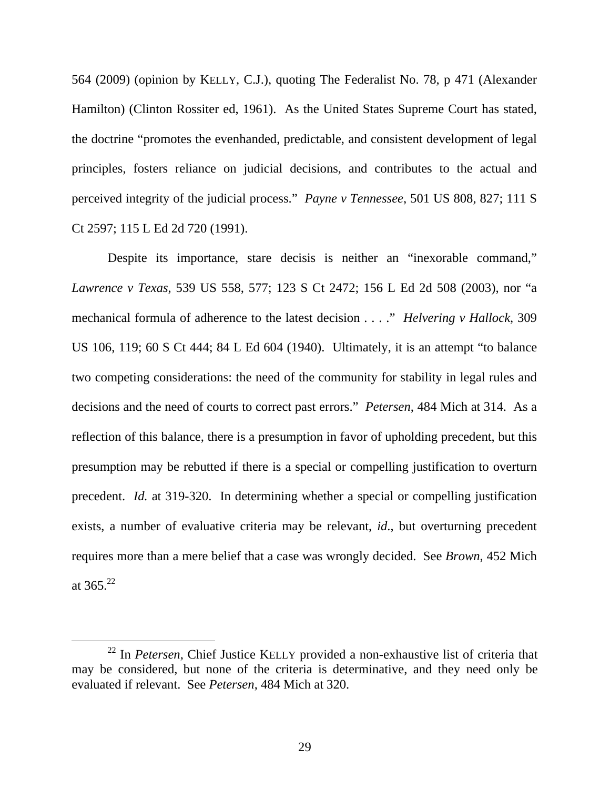564 (2009) (opinion by KELLY, C.J.), quoting The Federalist No. 78, p 471 (Alexander Hamilton) (Clinton Rossiter ed, 1961). As the United States Supreme Court has stated, the doctrine "promotes the evenhanded, predictable, and consistent development of legal principles, fosters reliance on judicial decisions, and contributes to the actual and perceived integrity of the judicial process." *Payne v Tennessee*, 501 US 808, 827; 111 S Ct 2597; 115 L Ed 2d 720 (1991).

Despite its importance, stare decisis is neither an "inexorable command," *Lawrence v Texas*, 539 US 558, 577; 123 S Ct 2472; 156 L Ed 2d 508 (2003), nor "a mechanical formula of adherence to the latest decision . . . ." *Helvering v Hallock*, 309 US 106, 119; 60 S Ct 444; 84 L Ed 604 (1940). Ultimately, it is an attempt "to balance two competing considerations: the need of the community for stability in legal rules and decisions and the need of courts to correct past errors." *Petersen*, 484 Mich at 314. As a reflection of this balance, there is a presumption in favor of upholding precedent, but this presumption may be rebutted if there is a special or compelling justification to overturn precedent. *Id.* at 319-320. In determining whether a special or compelling justification exists, a number of evaluative criteria may be relevant, *id*., but overturning precedent requires more than a mere belief that a case was wrongly decided. See *Brown*, 452 Mich at  $365^{22}$ 

 <sup>22</sup> In *Petersen*, Chief Justice KELLY provided a non-exhaustive list of criteria that may be considered, but none of the criteria is determinative, and they need only be evaluated if relevant. See *Petersen*, 484 Mich at 320.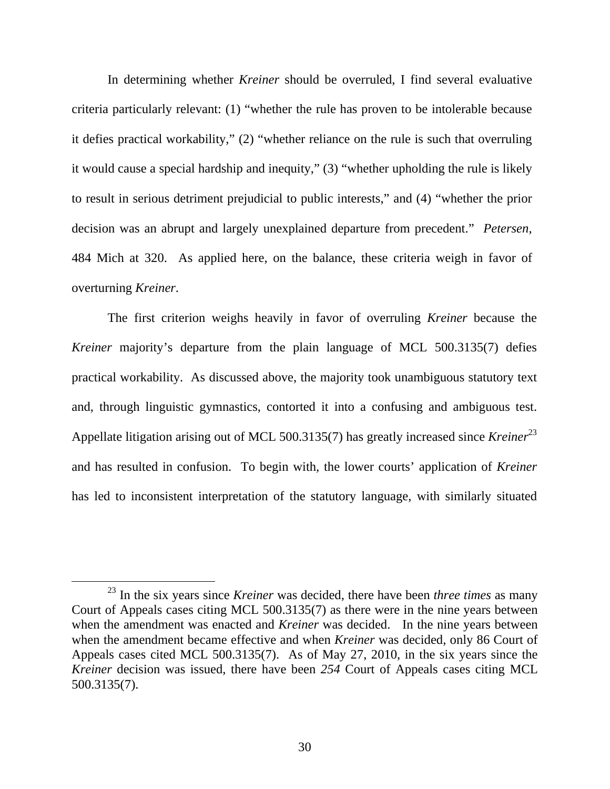In determining whether *Kreiner* should be overruled, I find several evaluative criteria particularly relevant: (1) "whether the rule has proven to be intolerable because it defies practical workability," (2) "whether reliance on the rule is such that overruling it would cause a special hardship and inequity," (3) "whether upholding the rule is likely to result in serious detriment prejudicial to public interests," and (4) "whether the prior decision was an abrupt and largely unexplained departure from precedent." *Petersen*, 484 Mich at 320. As applied here, on the balance, these criteria weigh in favor of overturning *Kreiner*.

The first criterion weighs heavily in favor of overruling *Kreiner* because the *Kreiner* majority's departure from the plain language of MCL 500.3135(7) defies practical workability. As discussed above, the majority took unambiguous statutory text and, through linguistic gymnastics, contorted it into a confusing and ambiguous test. Appellate litigation arising out of MCL 500.3135(7) has greatly increased since *Kreiner*<sup>23</sup> and has resulted in confusion. To begin with, the lower courts' application of *Kreiner*  has led to inconsistent interpretation of the statutory language, with similarly situated

 <sup>23</sup> In the six years since *Kreiner* was decided, there have been *three times* as many Court of Appeals cases citing MCL 500.3135(7) as there were in the nine years between when the amendment was enacted and *Kreiner* was decided. In the nine years between when the amendment became effective and when *Kreiner* was decided, only 86 Court of Appeals cases cited MCL 500.3135(7). As of May 27, 2010, in the six years since the *Kreiner* decision was issued, there have been *254* Court of Appeals cases citing MCL 500.3135(7).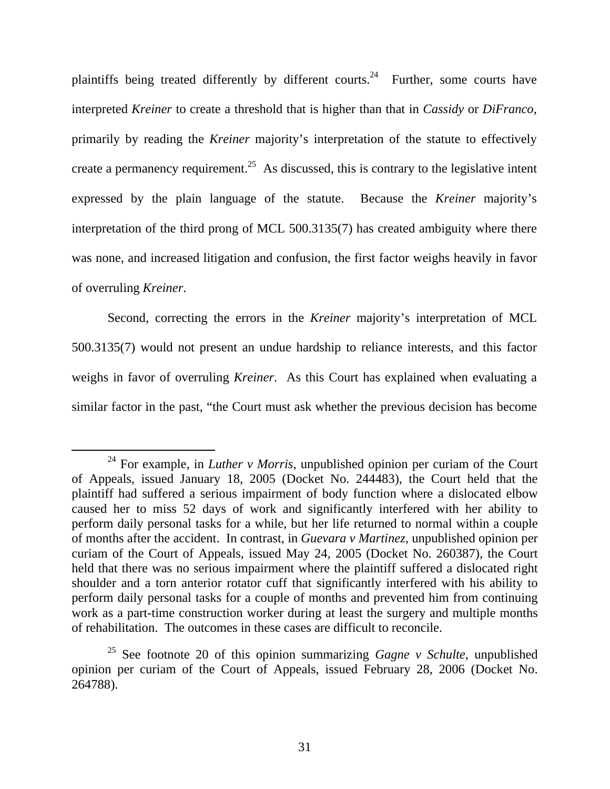plaintiffs being treated differently by different courts.<sup>24</sup> Further, some courts have interpreted *Kreiner* to create a threshold that is higher than that in *Cassidy* or *DiFranco*, primarily by reading the *Kreiner* majority's interpretation of the statute to effectively create a permanency requirement.<sup>25</sup> As discussed, this is contrary to the legislative intent expressed by the plain language of the statute. Because the *Kreiner* majority's interpretation of the third prong of MCL 500.3135(7) has created ambiguity where there was none, and increased litigation and confusion, the first factor weighs heavily in favor of overruling *Kreiner*.

Second, correcting the errors in the *Kreiner* majority's interpretation of MCL 500.3135(7) would not present an undue hardship to reliance interests, and this factor weighs in favor of overruling *Kreiner*. As this Court has explained when evaluating a similar factor in the past, "the Court must ask whether the previous decision has become

 <sup>24</sup> For example, in *Luther v Morris*, unpublished opinion per curiam of the Court of Appeals, issued January 18, 2005 (Docket No. 244483), the Court held that the plaintiff had suffered a serious impairment of body function where a dislocated elbow caused her to miss 52 days of work and significantly interfered with her ability to perform daily personal tasks for a while, but her life returned to normal within a couple of months after the accident. In contrast, in *Guevara v Martinez*, unpublished opinion per curiam of the Court of Appeals, issued May 24, 2005 (Docket No. 260387), the Court held that there was no serious impairment where the plaintiff suffered a dislocated right shoulder and a torn anterior rotator cuff that significantly interfered with his ability to perform daily personal tasks for a couple of months and prevented him from continuing work as a part-time construction worker during at least the surgery and multiple months of rehabilitation. The outcomes in these cases are difficult to reconcile.

<sup>25</sup> See footnote 20 of this opinion summarizing *Gagne v Schulte*, unpublished opinion per curiam of the Court of Appeals, issued February 28, 2006 (Docket No. 264788).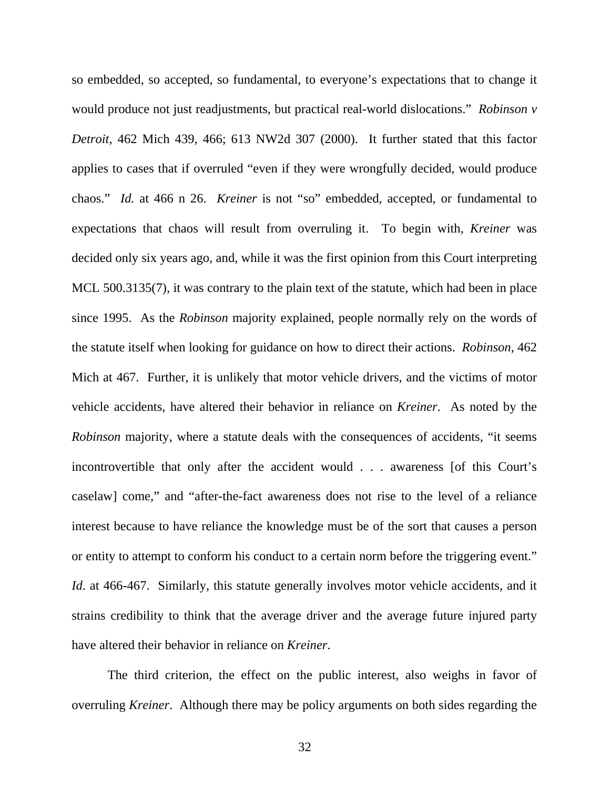so embedded, so accepted, so fundamental, to everyone's expectations that to change it would produce not just readjustments, but practical real-world dislocations." *Robinson v Detroit*, 462 Mich 439, 466; 613 NW2d 307 (2000). It further stated that this factor applies to cases that if overruled "even if they were wrongfully decided, would produce chaos." *Id.* at 466 n 26. *Kreiner* is not "so" embedded, accepted, or fundamental to expectations that chaos will result from overruling it. To begin with, *Kreiner* was decided only six years ago, and, while it was the first opinion from this Court interpreting MCL 500.3135(7), it was contrary to the plain text of the statute, which had been in place since 1995. As the *Robinson* majority explained, people normally rely on the words of the statute itself when looking for guidance on how to direct their actions. *Robinson*, 462 Mich at 467. Further, it is unlikely that motor vehicle drivers, and the victims of motor vehicle accidents, have altered their behavior in reliance on *Kreiner*.As noted by the *Robinson* majority, where a statute deals with the consequences of accidents, "it seems incontrovertible that only after the accident would . . . awareness [of this Court's caselaw] come," and "after-the-fact awareness does not rise to the level of a reliance interest because to have reliance the knowledge must be of the sort that causes a person or entity to attempt to conform his conduct to a certain norm before the triggering event." *Id.* at 466-467. Similarly, this statute generally involves motor vehicle accidents, and it strains credibility to think that the average driver and the average future injured party have altered their behavior in reliance on *Kreiner*.

The third criterion, the effect on the public interest, also weighs in favor of overruling *Kreiner*. Although there may be policy arguments on both sides regarding the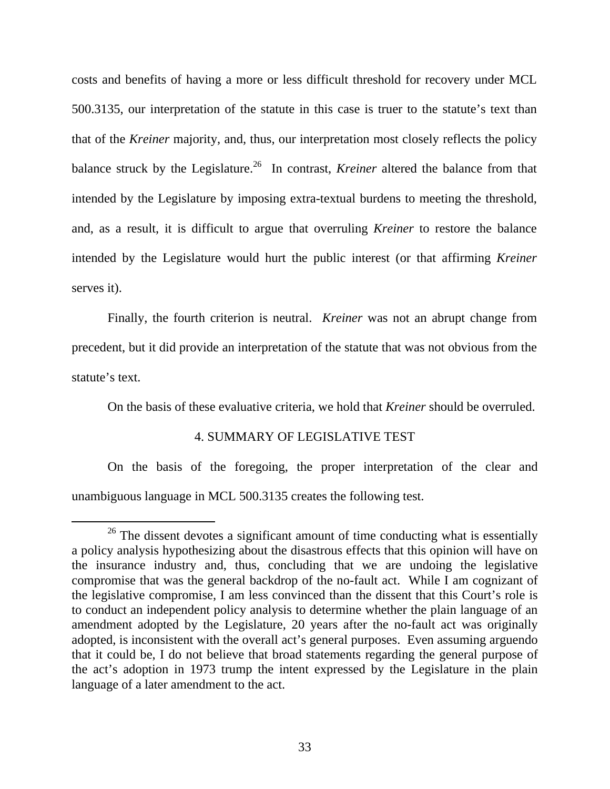costs and benefits of having a more or less difficult threshold for recovery under MCL 500.3135, our interpretation of the statute in this case is truer to the statute's text than that of the *Kreiner* majority, and, thus, our interpretation most closely reflects the policy balance struck by the Legislature.<sup>26</sup> In contrast, *Kreiner* altered the balance from that intended by the Legislature by imposing extra-textual burdens to meeting the threshold, and, as a result, it is difficult to argue that overruling *Kreiner* to restore the balance intended by the Legislature would hurt the public interest (or that affirming *Kreiner*  serves it).

Finally, the fourth criterion is neutral. *Kreiner* was not an abrupt change from precedent, but it did provide an interpretation of the statute that was not obvious from the statute's text.

On the basis of these evaluative criteria, we hold that *Kreiner* should be overruled.

#### 4. SUMMARY OF LEGISLATIVE TEST

On the basis of the foregoing, the proper interpretation of the clear and unambiguous language in MCL 500.3135 creates the following test.

 $26$  The dissent devotes a significant amount of time conducting what is essentially a policy analysis hypothesizing about the disastrous effects that this opinion will have on the insurance industry and, thus, concluding that we are undoing the legislative compromise that was the general backdrop of the no-fault act. While I am cognizant of the legislative compromise, I am less convinced than the dissent that this Court's role is to conduct an independent policy analysis to determine whether the plain language of an amendment adopted by the Legislature, 20 years after the no-fault act was originally adopted, is inconsistent with the overall act's general purposes. Even assuming arguendo that it could be, I do not believe that broad statements regarding the general purpose of the act's adoption in 1973 trump the intent expressed by the Legislature in the plain language of a later amendment to the act.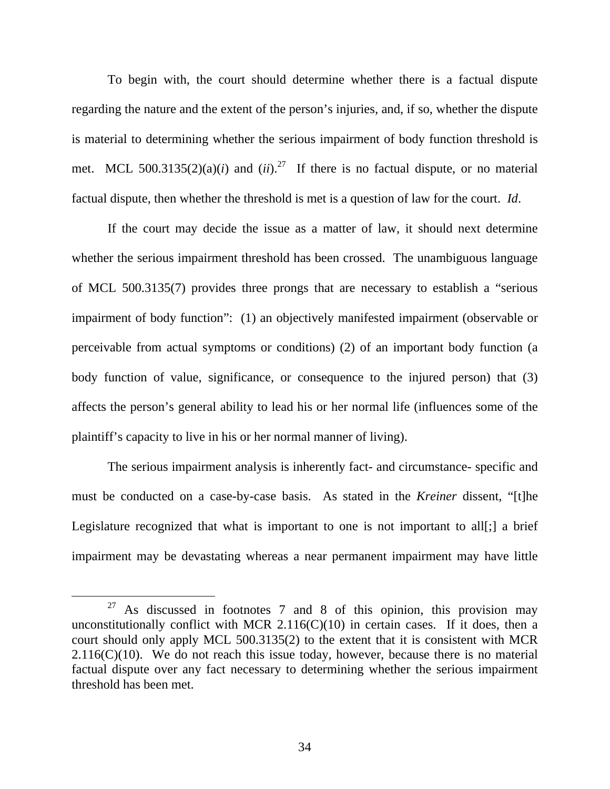To begin with, the court should determine whether there is a factual dispute regarding the nature and the extent of the person's injuries, and, if so, whether the dispute is material to determining whether the serious impairment of body function threshold is met. MCL  $500.3135(2)(a)(i)$  and  $(ii).^{27}$  If there is no factual dispute, or no material factual dispute, then whether the threshold is met is a question of law for the court. *Id*.

If the court may decide the issue as a matter of law, it should next determine whether the serious impairment threshold has been crossed. The unambiguous language of MCL 500.3135(7) provides three prongs that are necessary to establish a "serious impairment of body function": (1) an objectively manifested impairment (observable or perceivable from actual symptoms or conditions) (2) of an important body function (a body function of value, significance, or consequence to the injured person) that (3) affects the person's general ability to lead his or her normal life (influences some of the plaintiff's capacity to live in his or her normal manner of living).

The serious impairment analysis is inherently fact- and circumstance- specific and must be conducted on a case-by-case basis. As stated in the *Kreiner* dissent, "[t]he Legislature recognized that what is important to one is not important to all[;] a brief impairment may be devastating whereas a near permanent impairment may have little

 $27$  As discussed in footnotes 7 and 8 of this opinion, this provision may unconstitutionally conflict with MCR  $2.116(C)(10)$  in certain cases. If it does, then a court should only apply MCL 500.3135(2) to the extent that it is consistent with MCR  $2.116(C)(10)$ . We do not reach this issue today, however, because there is no material factual dispute over any fact necessary to determining whether the serious impairment threshold has been met.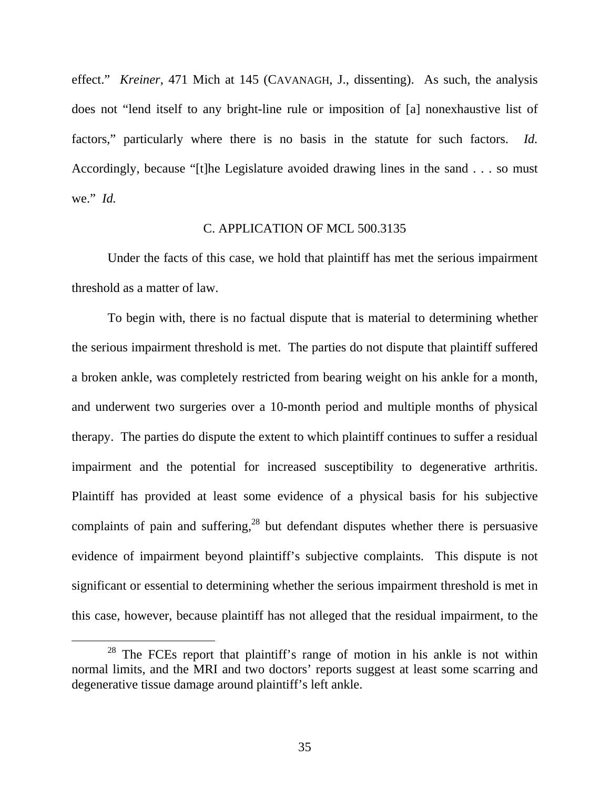effect." *Kreiner*, 471 Mich at 145 (CAVANAGH, J., dissenting). As such, the analysis does not "lend itself to any bright-line rule or imposition of [a] nonexhaustive list of factors," particularly where there is no basis in the statute for such factors. *Id.*  Accordingly, because "[t]he Legislature avoided drawing lines in the sand . . . so must we." *Id.* 

#### C. APPLICATION OF MCL 500.3135

Under the facts of this case, we hold that plaintiff has met the serious impairment threshold as a matter of law.

To begin with, there is no factual dispute that is material to determining whether the serious impairment threshold is met. The parties do not dispute that plaintiff suffered a broken ankle, was completely restricted from bearing weight on his ankle for a month, and underwent two surgeries over a 10-month period and multiple months of physical therapy. The parties do dispute the extent to which plaintiff continues to suffer a residual impairment and the potential for increased susceptibility to degenerative arthritis. Plaintiff has provided at least some evidence of a physical basis for his subjective complaints of pain and suffering,  $28$  but defendant disputes whether there is persuasive evidence of impairment beyond plaintiff's subjective complaints. This dispute is not significant or essential to determining whether the serious impairment threshold is met in this case, however, because plaintiff has not alleged that the residual impairment, to the

 $28$  The FCEs report that plaintiff's range of motion in his ankle is not within normal limits, and the MRI and two doctors' reports suggest at least some scarring and degenerative tissue damage around plaintiff's left ankle.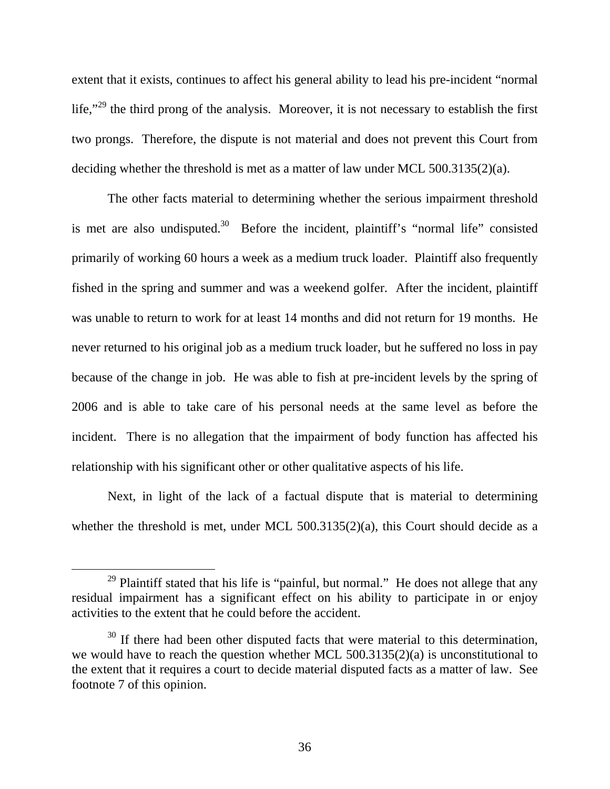extent that it exists, continues to affect his general ability to lead his pre-incident "normal life,"<sup>29</sup> the third prong of the analysis. Moreover, it is not necessary to establish the first two prongs. Therefore, the dispute is not material and does not prevent this Court from deciding whether the threshold is met as a matter of law under MCL 500.3135(2)(a).

The other facts material to determining whether the serious impairment threshold is met are also undisputed.30 Before the incident, plaintiff's "normal life" consisted primarily of working 60 hours a week as a medium truck loader. Plaintiff also frequently fished in the spring and summer and was a weekend golfer. After the incident, plaintiff was unable to return to work for at least 14 months and did not return for 19 months. He never returned to his original job as a medium truck loader, but he suffered no loss in pay because of the change in job. He was able to fish at pre-incident levels by the spring of 2006 and is able to take care of his personal needs at the same level as before the incident. There is no allegation that the impairment of body function has affected his relationship with his significant other or other qualitative aspects of his life.

Next, in light of the lack of a factual dispute that is material to determining whether the threshold is met, under MCL 500.3135(2)(a), this Court should decide as a

 $29$  Plaintiff stated that his life is "painful, but normal." He does not allege that any residual impairment has a significant effect on his ability to participate in or enjoy activities to the extent that he could before the accident.

 $30$  If there had been other disputed facts that were material to this determination, we would have to reach the question whether MCL 500.3135(2)(a) is unconstitutional to the extent that it requires a court to decide material disputed facts as a matter of law. See footnote 7 of this opinion.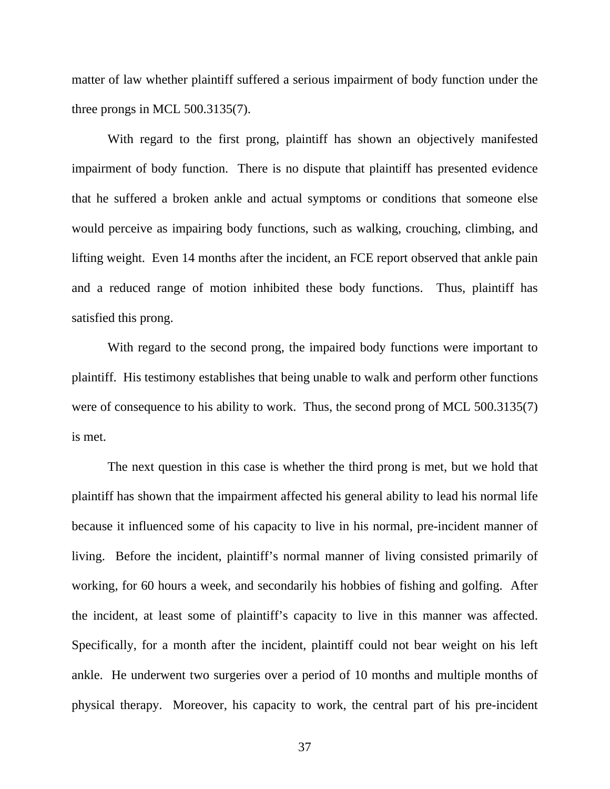matter of law whether plaintiff suffered a serious impairment of body function under the three prongs in MCL 500.3135(7).

With regard to the first prong, plaintiff has shown an objectively manifested impairment of body function. There is no dispute that plaintiff has presented evidence that he suffered a broken ankle and actual symptoms or conditions that someone else would perceive as impairing body functions, such as walking, crouching, climbing, and lifting weight. Even 14 months after the incident, an FCE report observed that ankle pain and a reduced range of motion inhibited these body functions. Thus, plaintiff has satisfied this prong.

With regard to the second prong, the impaired body functions were important to plaintiff. His testimony establishes that being unable to walk and perform other functions were of consequence to his ability to work. Thus, the second prong of MCL 500.3135(7) is met.

The next question in this case is whether the third prong is met, but we hold that plaintiff has shown that the impairment affected his general ability to lead his normal life because it influenced some of his capacity to live in his normal, pre-incident manner of living. Before the incident, plaintiff's normal manner of living consisted primarily of working, for 60 hours a week, and secondarily his hobbies of fishing and golfing. After the incident, at least some of plaintiff's capacity to live in this manner was affected. Specifically, for a month after the incident, plaintiff could not bear weight on his left ankle. He underwent two surgeries over a period of 10 months and multiple months of physical therapy. Moreover, his capacity to work, the central part of his pre-incident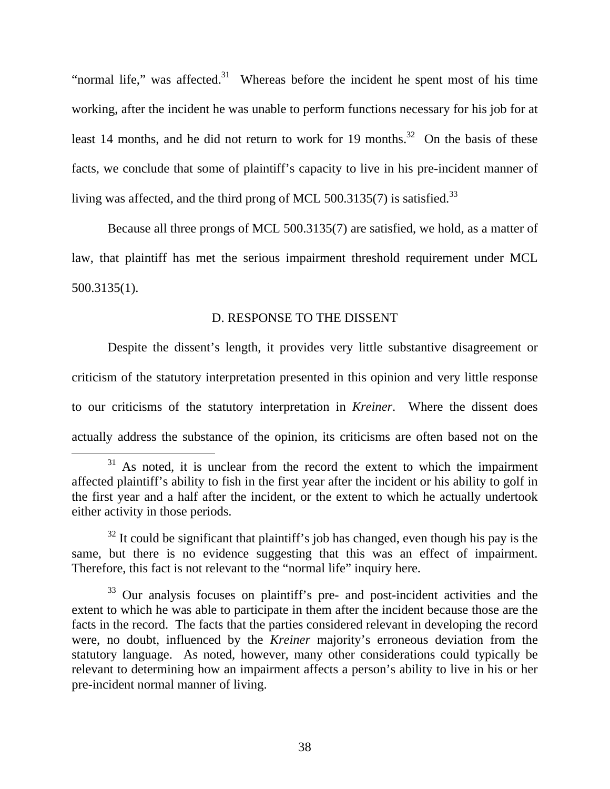"normal life," was affected. $31$  Whereas before the incident he spent most of his time working, after the incident he was unable to perform functions necessary for his job for at least 14 months, and he did not return to work for 19 months.<sup>32</sup> On the basis of these facts, we conclude that some of plaintiff's capacity to live in his pre-incident manner of living was affected, and the third prong of MCL 500.3135(7) is satisfied.<sup>33</sup>

Because all three prongs of MCL 500.3135(7) are satisfied, we hold, as a matter of law, that plaintiff has met the serious impairment threshold requirement under MCL 500.3135(1).

# D. RESPONSE TO THE DISSENT

Despite the dissent's length, it provides very little substantive disagreement or criticism of the statutory interpretation presented in this opinion and very little response to our criticisms of the statutory interpretation in *Kreiner*. Where the dissent does actually address the substance of the opinion, its criticisms are often based not on the

 $31$  As noted, it is unclear from the record the extent to which the impairment affected plaintiff's ability to fish in the first year after the incident or his ability to golf in the first year and a half after the incident, or the extent to which he actually undertook either activity in those periods.

 $32$  It could be significant that plaintiff's job has changed, even though his pay is the same, but there is no evidence suggesting that this was an effect of impairment. Therefore, this fact is not relevant to the "normal life" inquiry here.

<sup>&</sup>lt;sup>33</sup> Our analysis focuses on plaintiff's pre- and post-incident activities and the extent to which he was able to participate in them after the incident because those are the facts in the record. The facts that the parties considered relevant in developing the record were, no doubt, influenced by the *Kreiner* majority's erroneous deviation from the statutory language. As noted, however, many other considerations could typically be relevant to determining how an impairment affects a person's ability to live in his or her pre-incident normal manner of living.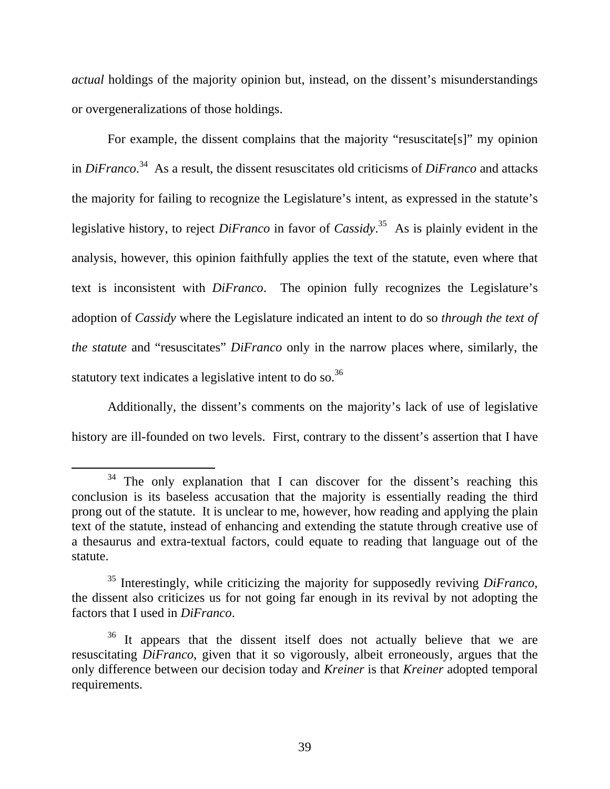*actual* holdings of the majority opinion but, instead, on the dissent's misunderstandings or overgeneralizations of those holdings.

For example, the dissent complains that the majority "resuscitate[s]" my opinion in *DiFranco*. 34 As a result, the dissent resuscitates old criticisms of *DiFranco* and attacks the majority for failing to recognize the Legislature's intent, as expressed in the statute's legislative history, to reject *DiFranco* in favor of *Cassidy*. 35 As is plainly evident in the analysis, however, this opinion faithfully applies the text of the statute, even where that text is inconsistent with *DiFranco*. The opinion fully recognizes the Legislature's adoption of *Cassidy* where the Legislature indicated an intent to do so *through the text of the statute* and "resuscitates" *DiFranco* only in the narrow places where, similarly, the statutory text indicates a legislative intent to do so.<sup>36</sup>

Additionally, the dissent's comments on the majority's lack of use of legislative history are ill-founded on two levels. First, contrary to the dissent's assertion that I have

<sup>&</sup>lt;sup>34</sup> The only explanation that I can discover for the dissent's reaching this conclusion is its baseless accusation that the majority is essentially reading the third prong out of the statute. It is unclear to me, however, how reading and applying the plain text of the statute, instead of enhancing and extending the statute through creative use of a thesaurus and extra-textual factors, could equate to reading that language out of the statute.

<sup>35</sup> Interestingly, while criticizing the majority for supposedly reviving *DiFranco*, the dissent also criticizes us for not going far enough in its revival by not adopting the factors that I used in *DiFranco*.

<sup>&</sup>lt;sup>36</sup> It appears that the dissent itself does not actually believe that we are resuscitating *DiFranco*, given that it so vigorously, albeit erroneously, argues that the only difference between our decision today and *Kreiner* is that *Kreiner* adopted temporal requirements.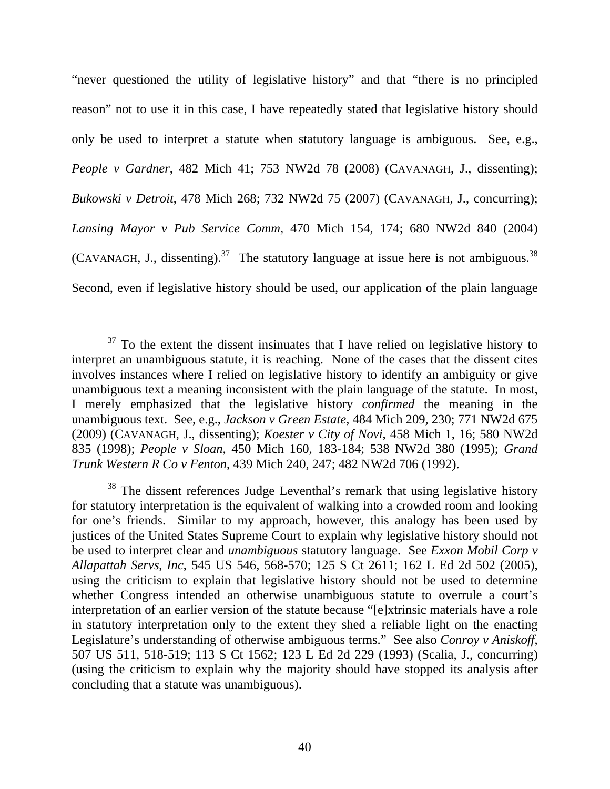"never questioned the utility of legislative history" and that "there is no principled reason" not to use it in this case, I have repeatedly stated that legislative history should only be used to interpret a statute when statutory language is ambiguous. See, e.g., *People v Gardner*, 482 Mich 41; 753 NW2d 78 (2008) (CAVANAGH, J., dissenting); *Bukowski v Detroit*, 478 Mich 268; 732 NW2d 75 (2007) (CAVANAGH, J., concurring); *Lansing Mayor v Pub Service Comm*, 470 Mich 154, 174; 680 NW2d 840 (2004) (CAVANAGH, J., dissenting).<sup>37</sup> The statutory language at issue here is not ambiguous.<sup>38</sup> Second, even if legislative history should be used, our application of the plain language

 $38$  The dissent references Judge Leventhal's remark that using legislative history for statutory interpretation is the equivalent of walking into a crowded room and looking for one's friends. Similar to my approach, however, this analogy has been used by justices of the United States Supreme Court to explain why legislative history should not be used to interpret clear and *unambiguous* statutory language. See *Exxon Mobil Corp v Allapattah Servs*, *Inc*, 545 US 546, 568-570; 125 S Ct 2611; 162 L Ed 2d 502 (2005), using the criticism to explain that legislative history should not be used to determine whether Congress intended an otherwise unambiguous statute to overrule a court's interpretation of an earlier version of the statute because "[e]xtrinsic materials have a role in statutory interpretation only to the extent they shed a reliable light on the enacting Legislature's understanding of otherwise ambiguous terms." See also *Conroy v Aniskoff*, 507 US 511, 518-519; 113 S Ct 1562; 123 L Ed 2d 229 (1993) (Scalia, J., concurring) (using the criticism to explain why the majority should have stopped its analysis after concluding that a statute was unambiguous).

 $37$  To the extent the dissent insinuates that I have relied on legislative history to interpret an unambiguous statute, it is reaching. None of the cases that the dissent cites involves instances where I relied on legislative history to identify an ambiguity or give unambiguous text a meaning inconsistent with the plain language of the statute. In most, I merely emphasized that the legislative history *confirmed* the meaning in the unambiguous text. See, e.g., *Jackson v Green Estate*, 484 Mich 209, 230; 771 NW2d 675 (2009) (CAVANAGH, J., dissenting); *Koester v City of Novi*, 458 Mich 1, 16; 580 NW2d 835 (1998); *People v Sloan*, 450 Mich 160, 183-184; 538 NW2d 380 (1995); *Grand Trunk Western R Co v Fenton*, 439 Mich 240, 247; 482 NW2d 706 (1992).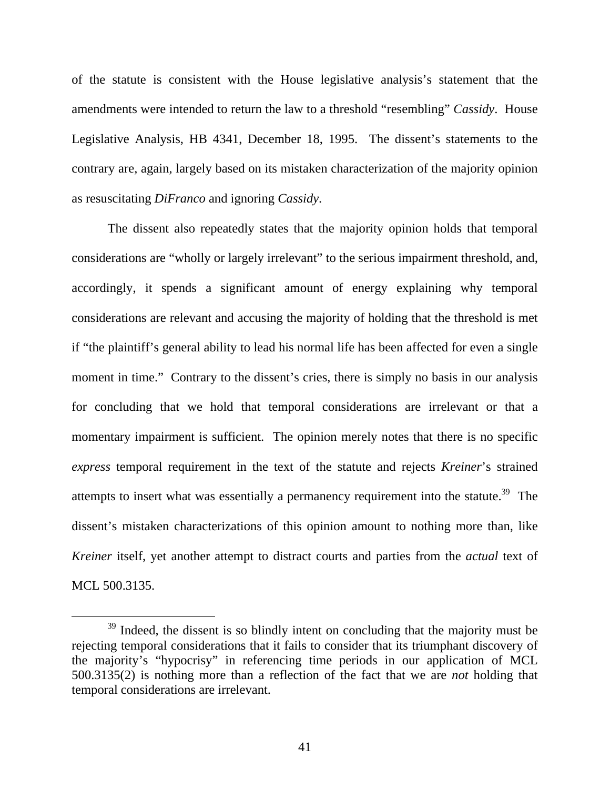of the statute is consistent with the House legislative analysis's statement that the amendments were intended to return the law to a threshold "resembling" *Cassidy*. House Legislative Analysis, HB 4341, December 18, 1995. The dissent's statements to the contrary are, again, largely based on its mistaken characterization of the majority opinion as resuscitating *DiFranco* and ignoring *Cassidy*.

The dissent also repeatedly states that the majority opinion holds that temporal considerations are "wholly or largely irrelevant" to the serious impairment threshold, and, accordingly, it spends a significant amount of energy explaining why temporal considerations are relevant and accusing the majority of holding that the threshold is met if "the plaintiff's general ability to lead his normal life has been affected for even a single moment in time." Contrary to the dissent's cries, there is simply no basis in our analysis for concluding that we hold that temporal considerations are irrelevant or that a momentary impairment is sufficient. The opinion merely notes that there is no specific *express* temporal requirement in the text of the statute and rejects *Kreiner*'s strained attempts to insert what was essentially a permanency requirement into the statute.<sup>39</sup> The dissent's mistaken characterizations of this opinion amount to nothing more than, like *Kreiner* itself, yet another attempt to distract courts and parties from the *actual* text of MCL 500.3135.

<sup>&</sup>lt;sup>39</sup> Indeed, the dissent is so blindly intent on concluding that the majority must be rejecting temporal considerations that it fails to consider that its triumphant discovery of the majority's "hypocrisy" in referencing time periods in our application of MCL 500.3135(2) is nothing more than a reflection of the fact that we are *not* holding that temporal considerations are irrelevant.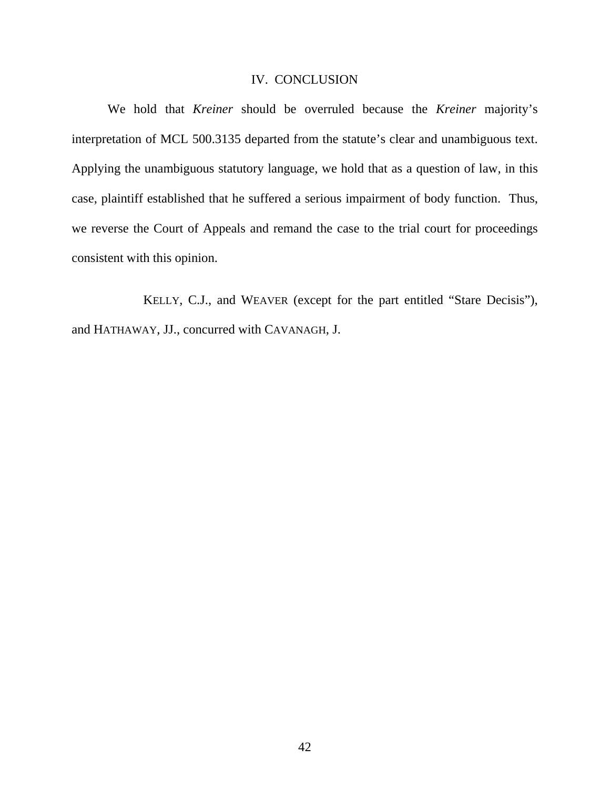#### IV. CONCLUSION

We hold that *Kreiner* should be overruled because the *Kreiner* majority's interpretation of MCL 500.3135 departed from the statute's clear and unambiguous text. Applying the unambiguous statutory language, we hold that as a question of law, in this case, plaintiff established that he suffered a serious impairment of body function. Thus, we reverse the Court of Appeals and remand the case to the trial court for proceedings consistent with this opinion.

 KELLY, C.J., and WEAVER (except for the part entitled "Stare Decisis"), and HATHAWAY, JJ., concurred with CAVANAGH, J.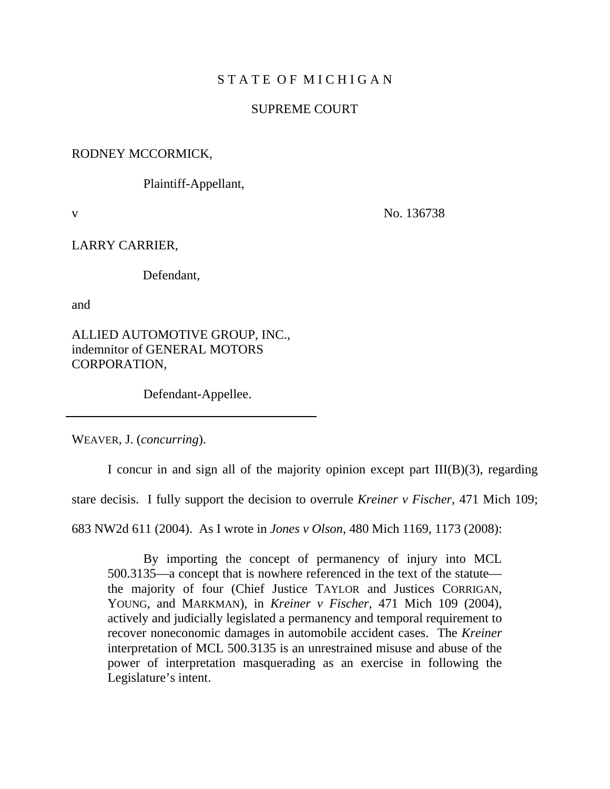# STATE OF MICHIGAN

## SUPREME COURT

### RODNEY MCCORMICK,

Plaintiff-Appellant,

v No. 136738

LARRY CARRIER,

Defendant,

and

ALLIED AUTOMOTIVE GROUP, INC., indemnitor of GENERAL MOTORS CORPORATION*,* 

Defendant-Appellee.

WEAVER, J. (*concurring*).

I concur in and sign all of the majority opinion except part III(B)(3), regarding

stare decisis. I fully support the decision to overrule *Kreiner v Fischer*, 471 Mich 109;

683 NW2d 611 (2004). As I wrote in *Jones v Olson*, 480 Mich 1169, 1173 (2008):

By importing the concept of permanency of injury into MCL 500.3135—a concept that is nowhere referenced in the text of the statute the majority of four (Chief Justice TAYLOR and Justices CORRIGAN, YOUNG, and MARKMAN), in *Kreiner v Fischer*, 471 Mich 109 (2004), actively and judicially legislated a permanency and temporal requirement to recover noneconomic damages in automobile accident cases. The *Kreiner*  interpretation of MCL 500.3135 is an unrestrained misuse and abuse of the power of interpretation masquerading as an exercise in following the Legislature's intent.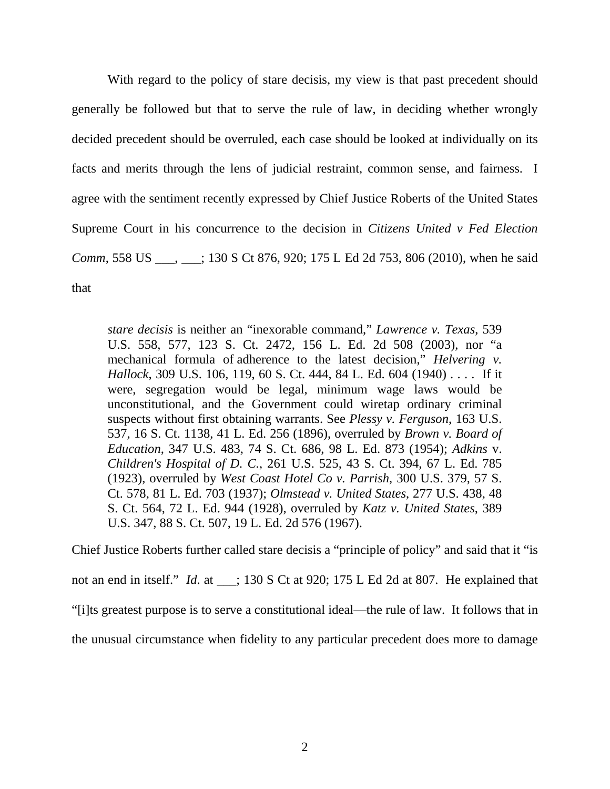With regard to the policy of stare decisis, my view is that past precedent should generally be followed but that to serve the rule of law, in deciding whether wrongly decided precedent should be overruled, each case should be looked at individually on its facts and merits through the lens of judicial restraint, common sense, and fairness. I agree with the sentiment recently expressed by Chief Justice Roberts of the United States Supreme Court in his concurrence to the decision in *Citizens United v Fed Election Comm*, 558 US \_\_\_, \_\_\_; 130 S Ct 876, 920; 175 L Ed 2d 753, 806 (2010), when he said that

*stare decisis* is neither an "inexorable command," *Lawrence v. Texas*, 539 U.S. 558, 577, 123 S. Ct. 2472, 156 L. Ed. 2d 508 (2003), nor "a mechanical formula of adherence to the latest decision," *Helvering v. Hallock*, 309 U.S. 106, 119, 60 S. Ct. 444, 84 L. Ed. 604 (1940) . . . . If it were, segregation would be legal, minimum wage laws would be unconstitutional, and the Government could wiretap ordinary criminal suspects without first obtaining warrants. See *Plessy v. Ferguson*, 163 U.S. 537, 16 S. Ct. 1138, 41 L. Ed. 256 (1896), overruled by *Brown v. Board of Education*, 347 U.S. 483, 74 S. Ct. 686, 98 L. Ed. 873 (1954); *Adkins* v. *Children's Hospital of D. C.*, 261 U.S. 525, 43 S. Ct. 394, 67 L. Ed. 785 (1923), overruled by *West Coast Hotel Co v. Parrish*, 300 U.S. 379, 57 S. Ct. 578, 81 L. Ed. 703 (1937); *Olmstead v. United States*, 277 U.S. 438, 48 S. Ct. 564, 72 L. Ed. 944 (1928), overruled by *Katz v. United States*, 389 U.S. 347, 88 S. Ct. 507, 19 L. Ed. 2d 576 (1967).

Chief Justice Roberts further called stare decisis a "principle of policy" and said that it "is not an end in itself." *Id*. at \_\_\_; 130 S Ct at 920; 175 L Ed 2d at 807. He explained that "[i]ts greatest purpose is to serve a constitutional ideal—the rule of law. It follows that in the unusual circumstance when fidelity to any particular precedent does more to damage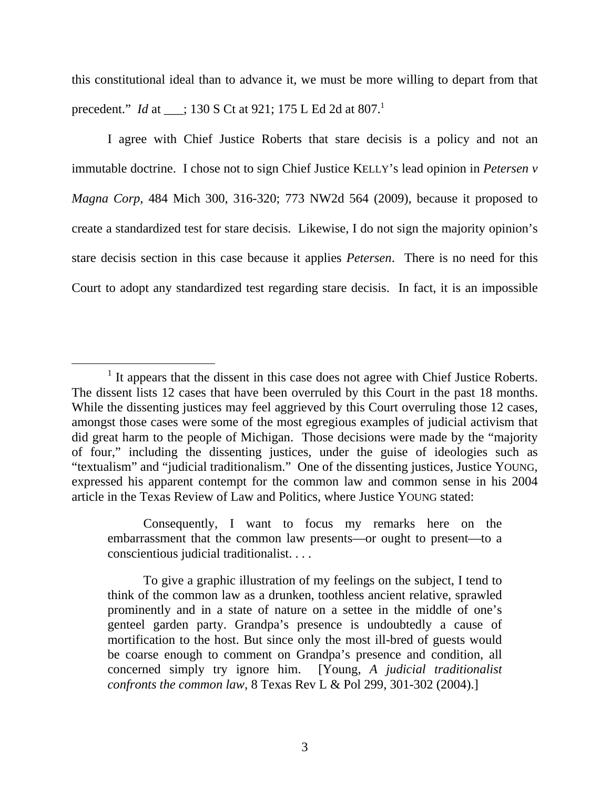this constitutional ideal than to advance it, we must be more willing to depart from that precedent." *Id* at \_\_\_; 130 S Ct at 921; 175 L Ed 2d at 807.<sup>1</sup>

I agree with Chief Justice Roberts that stare decisis is a policy and not an immutable doctrine. I chose not to sign Chief Justice KELLY's lead opinion in *Petersen v Magna Corp*, 484 Mich 300, 316-320; 773 NW2d 564 (2009), because it proposed to create a standardized test for stare decisis. Likewise, I do not sign the majority opinion's stare decisis section in this case because it applies *Petersen*. There is no need for this Court to adopt any standardized test regarding stare decisis. In fact, it is an impossible

Consequently, I want to focus my remarks here on the embarrassment that the common law presents—or ought to present—to a conscientious judicial traditionalist. . . .

<sup>&</sup>lt;u>1</u>  $<sup>1</sup>$  It appears that the dissent in this case does not agree with Chief Justice Roberts.</sup> The dissent lists 12 cases that have been overruled by this Court in the past 18 months. While the dissenting justices may feel aggrieved by this Court overruling those 12 cases, amongst those cases were some of the most egregious examples of judicial activism that did great harm to the people of Michigan. Those decisions were made by the "majority of four," including the dissenting justices, under the guise of ideologies such as "textualism" and "judicial traditionalism." One of the dissenting justices, Justice YOUNG, expressed his apparent contempt for the common law and common sense in his 2004 article in the Texas Review of Law and Politics, where Justice YOUNG stated:

To give a graphic illustration of my feelings on the subject, I tend to think of the common law as a drunken, toothless ancient relative, sprawled prominently and in a state of nature on a settee in the middle of one's genteel garden party. Grandpa's presence is undoubtedly a cause of mortification to the host. But since only the most ill-bred of guests would be coarse enough to comment on Grandpa's presence and condition, all concerned simply try ignore him. [Young, *A judicial traditionalist confronts the common law*, 8 Texas Rev L & Pol 299, 301-302 (2004).]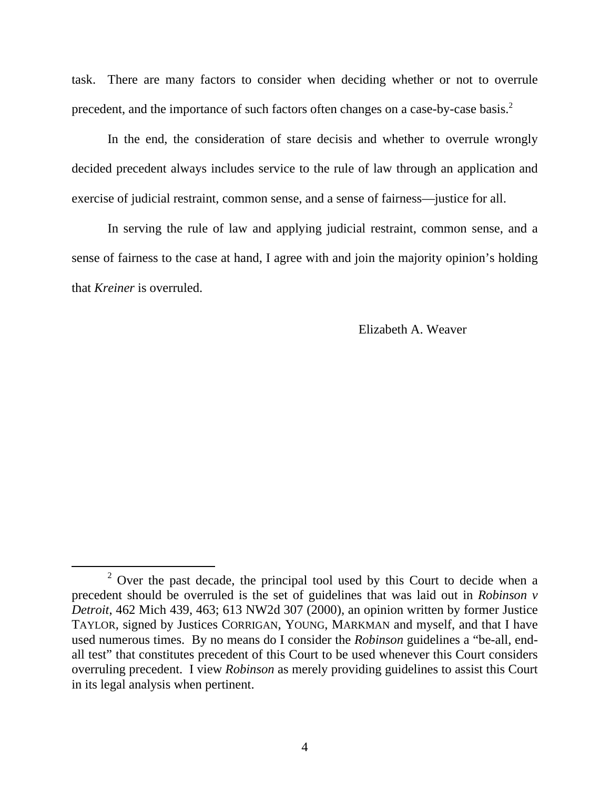task. There are many factors to consider when deciding whether or not to overrule precedent, and the importance of such factors often changes on a case-by-case basis.<sup>2</sup>

In the end, the consideration of stare decisis and whether to overrule wrongly decided precedent always includes service to the rule of law through an application and exercise of judicial restraint, common sense, and a sense of fairness—justice for all.

In serving the rule of law and applying judicial restraint, common sense, and a sense of fairness to the case at hand, I agree with and join the majority opinion's holding that *Kreiner* is overruled.

Elizabeth A. Weaver

 $\frac{1}{2}$  $2$  Over the past decade, the principal tool used by this Court to decide when a precedent should be overruled is the set of guidelines that was laid out in *Robinson v Detroit*, 462 Mich 439, 463; 613 NW2d 307 (2000), an opinion written by former Justice TAYLOR, signed by Justices CORRIGAN, YOUNG, MARKMAN and myself, and that I have used numerous times. By no means do I consider the *Robinson* guidelines a "be-all, endall test" that constitutes precedent of this Court to be used whenever this Court considers overruling precedent. I view *Robinson* as merely providing guidelines to assist this Court in its legal analysis when pertinent.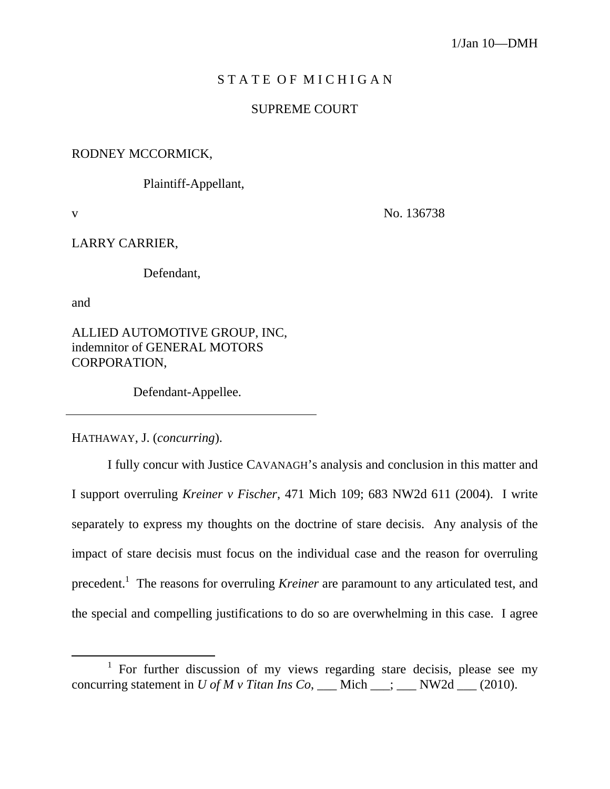# STATE OF MICHIGAN

## SUPREME COURT

## RODNEY MCCORMICK,

Plaintiff-Appellant,

v No. 136738

LARRY CARRIER,

Defendant,

and

ALLIED AUTOMOTIVE GROUP, INC, indemnitor of GENERAL MOTORS CORPORATION,

Defendant-Appellee.

HATHAWAY, J. (*concurring*).

I fully concur with Justice CAVANAGH's analysis and conclusion in this matter and I support overruling *Kreiner v Fischer*, 471 Mich 109; 683 NW2d 611 (2004). I write separately to express my thoughts on the doctrine of stare decisis. Any analysis of the impact of stare decisis must focus on the individual case and the reason for overruling precedent.<sup>1</sup> The reasons for overruling *Kreiner* are paramount to any articulated test, and the special and compelling justifications to do so are overwhelming in this case. I agree

 $\overline{\phantom{a}}$ <sup>1</sup> For further discussion of my views regarding stare decisis, please see my concurring statement in *U of M v Titan Ins Co*, \_\_\_ Mich \_\_\_; \_\_\_ NW2d \_\_\_ (2010).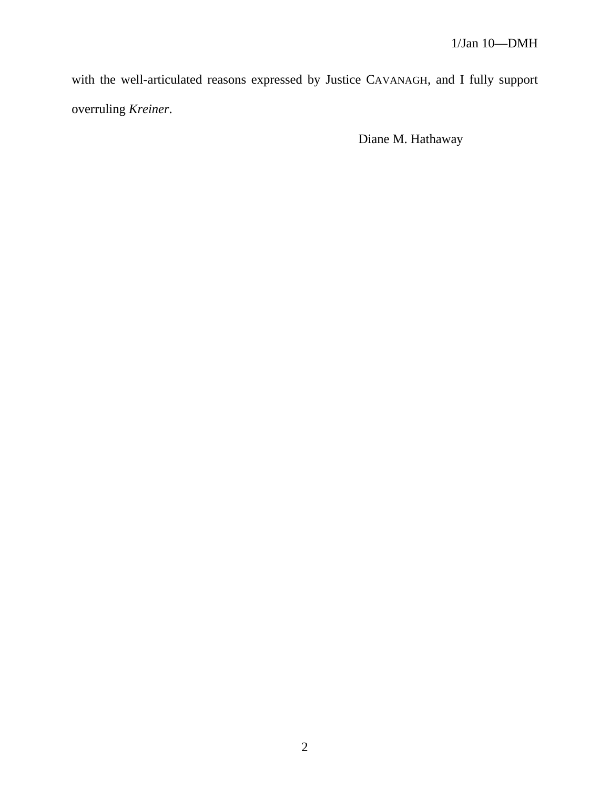with the well-articulated reasons expressed by Justice CAVANAGH, and I fully support overruling *Kreiner*.

Diane M. Hathaway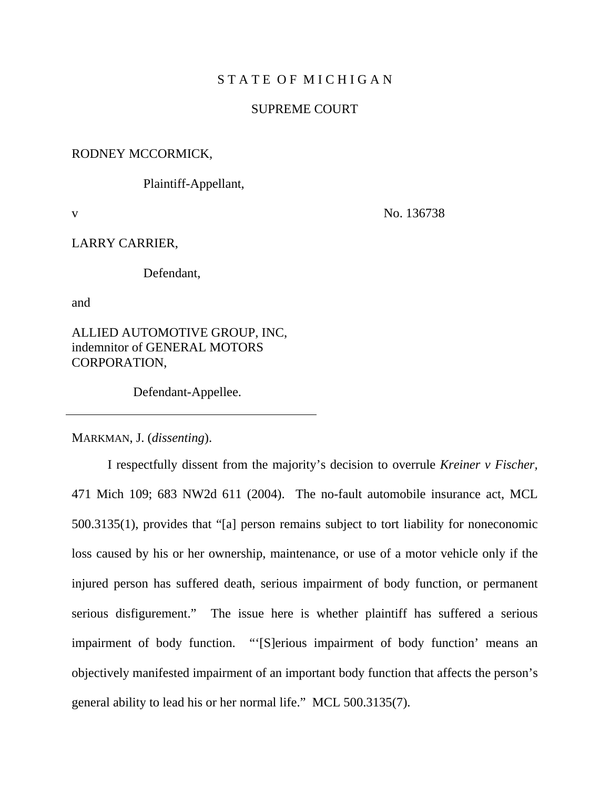## STATE OF MICHIGAN

### SUPREME COURT

# RODNEY MCCORMICK,

### Plaintiff-Appellant,

v No. 136738

LARRY CARRIER,

Defendant,

and

ALLIED AUTOMOTIVE GROUP, INC, indemnitor of GENERAL MOTORS CORPORATION,

Defendant-Appellee.

MARKMAN, J. (*dissenting*).

I respectfully dissent from the majority's decision to overrule *Kreiner v Fischer,*  471 Mich 109; 683 NW2d 611 (2004). The no-fault automobile insurance act, MCL 500.3135(1), provides that "[a] person remains subject to tort liability for noneconomic loss caused by his or her ownership, maintenance, or use of a motor vehicle only if the injured person has suffered death, serious impairment of body function, or permanent serious disfigurement." The issue here is whether plaintiff has suffered a serious impairment of body function. "'[S]erious impairment of body function' means an objectively manifested impairment of an important body function that affects the person's general ability to lead his or her normal life." MCL 500.3135(7).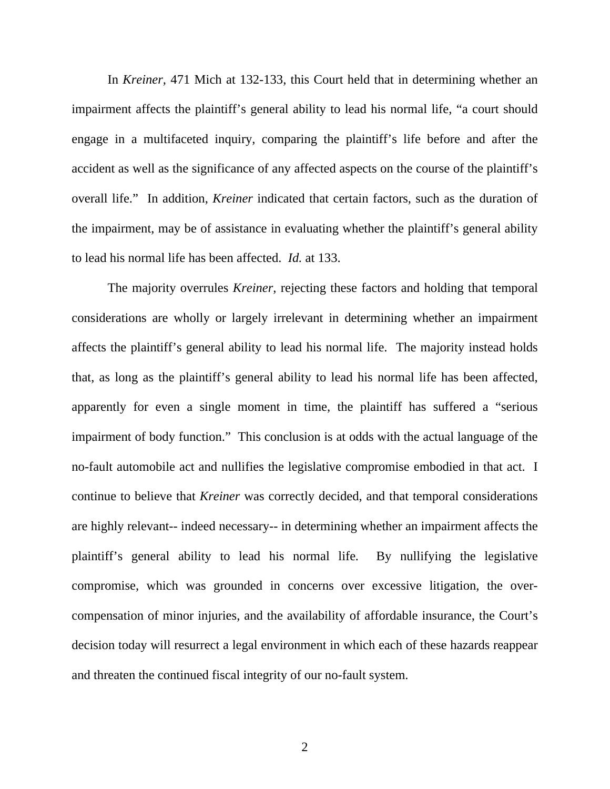In *Kreiner,* 471 Mich at 132-133, this Court held that in determining whether an impairment affects the plaintiff's general ability to lead his normal life, "a court should engage in a multifaceted inquiry, comparing the plaintiff's life before and after the accident as well as the significance of any affected aspects on the course of the plaintiff's overall life." In addition, *Kreiner* indicated that certain factors, such as the duration of the impairment, may be of assistance in evaluating whether the plaintiff's general ability to lead his normal life has been affected. *Id.* at 133.

The majority overrules *Kreiner*, rejecting these factors and holding that temporal considerations are wholly or largely irrelevant in determining whether an impairment affects the plaintiff's general ability to lead his normal life. The majority instead holds that, as long as the plaintiff's general ability to lead his normal life has been affected, apparently for even a single moment in time, the plaintiff has suffered a "serious impairment of body function." This conclusion is at odds with the actual language of the no-fault automobile act and nullifies the legislative compromise embodied in that act. I continue to believe that *Kreiner* was correctly decided, and that temporal considerations are highly relevant-- indeed necessary-- in determining whether an impairment affects the plaintiff's general ability to lead his normal life*.* By nullifying the legislative compromise, which was grounded in concerns over excessive litigation, the overcompensation of minor injuries, and the availability of affordable insurance, the Court's decision today will resurrect a legal environment in which each of these hazards reappear and threaten the continued fiscal integrity of our no-fault system.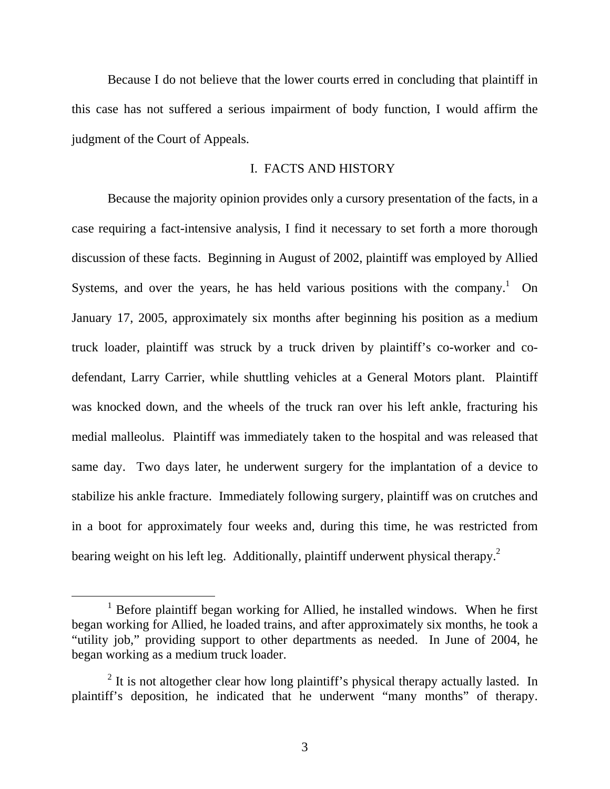Because I do not believe that the lower courts erred in concluding that plaintiff in this case has not suffered a serious impairment of body function, I would affirm the judgment of the Court of Appeals.

#### I. FACTS AND HISTORY

Because the majority opinion provides only a cursory presentation of the facts, in a case requiring a fact-intensive analysis, I find it necessary to set forth a more thorough discussion of these facts. Beginning in August of 2002, plaintiff was employed by Allied Systems, and over the years, he has held various positions with the company.<sup>1</sup> On January 17, 2005, approximately six months after beginning his position as a medium truck loader, plaintiff was struck by a truck driven by plaintiff's co-worker and codefendant, Larry Carrier, while shuttling vehicles at a General Motors plant. Plaintiff was knocked down, and the wheels of the truck ran over his left ankle, fracturing his medial malleolus. Plaintiff was immediately taken to the hospital and was released that same day. Two days later, he underwent surgery for the implantation of a device to stabilize his ankle fracture. Immediately following surgery, plaintiff was on crutches and in a boot for approximately four weeks and, during this time, he was restricted from bearing weight on his left leg. Additionally, plaintiff underwent physical therapy.<sup>2</sup>

 $\frac{1}{1}$  $1$  Before plaintiff began working for Allied, he installed windows. When he first began working for Allied, he loaded trains, and after approximately six months, he took a "utility job," providing support to other departments as needed. In June of 2004, he began working as a medium truck loader.

 $2$  It is not altogether clear how long plaintiff's physical therapy actually lasted. In plaintiff's deposition, he indicated that he underwent "many months" of therapy.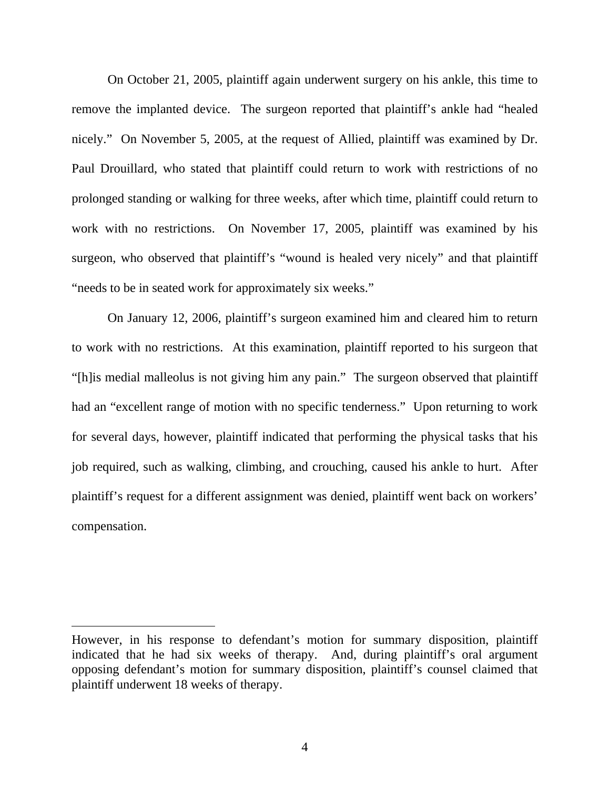On October 21, 2005, plaintiff again underwent surgery on his ankle, this time to remove the implanted device. The surgeon reported that plaintiff's ankle had "healed nicely." On November 5, 2005, at the request of Allied, plaintiff was examined by Dr. Paul Drouillard, who stated that plaintiff could return to work with restrictions of no prolonged standing or walking for three weeks, after which time, plaintiff could return to work with no restrictions. On November 17, 2005, plaintiff was examined by his surgeon, who observed that plaintiff's "wound is healed very nicely" and that plaintiff "needs to be in seated work for approximately six weeks."

On January 12, 2006, plaintiff's surgeon examined him and cleared him to return to work with no restrictions. At this examination, plaintiff reported to his surgeon that "[h]is medial malleolus is not giving him any pain." The surgeon observed that plaintiff had an "excellent range of motion with no specific tenderness." Upon returning to work for several days, however, plaintiff indicated that performing the physical tasks that his job required, such as walking, climbing, and crouching, caused his ankle to hurt. After plaintiff's request for a different assignment was denied, plaintiff went back on workers' compensation.

 $\overline{a}$ 

However, in his response to defendant's motion for summary disposition, plaintiff indicated that he had six weeks of therapy. And, during plaintiff's oral argument opposing defendant's motion for summary disposition, plaintiff's counsel claimed that plaintiff underwent 18 weeks of therapy.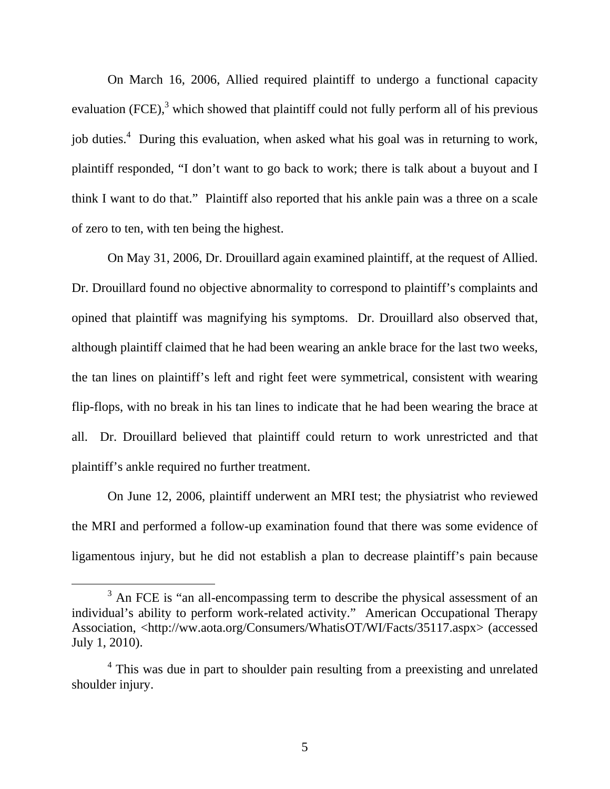On March 16, 2006, Allied required plaintiff to undergo a functional capacity evaluation (FCE), $3$  which showed that plaintiff could not fully perform all of his previous job duties.<sup>4</sup> During this evaluation, when asked what his goal was in returning to work, plaintiff responded, "I don't want to go back to work; there is talk about a buyout and I think I want to do that." Plaintiff also reported that his ankle pain was a three on a scale of zero to ten, with ten being the highest.

On May 31, 2006, Dr. Drouillard again examined plaintiff, at the request of Allied. Dr. Drouillard found no objective abnormality to correspond to plaintiff's complaints and opined that plaintiff was magnifying his symptoms. Dr. Drouillard also observed that, although plaintiff claimed that he had been wearing an ankle brace for the last two weeks, the tan lines on plaintiff's left and right feet were symmetrical, consistent with wearing flip-flops, with no break in his tan lines to indicate that he had been wearing the brace at all. Dr. Drouillard believed that plaintiff could return to work unrestricted and that plaintiff's ankle required no further treatment.

On June 12, 2006, plaintiff underwent an MRI test; the physiatrist who reviewed the MRI and performed a follow-up examination found that there was some evidence of ligamentous injury, but he did not establish a plan to decrease plaintiff's pain because

 $\frac{1}{3}$  $3$  An FCE is "an all-encompassing term to describe the physical assessment of an individual's ability to perform work-related activity." American Occupational Therapy Association, <http://ww.aota.org/Consumers/WhatisOT/WI/Facts/35117.aspx> (accessed July 1, 2010).

<sup>&</sup>lt;sup>4</sup> This was due in part to shoulder pain resulting from a preexisting and unrelated shoulder injury.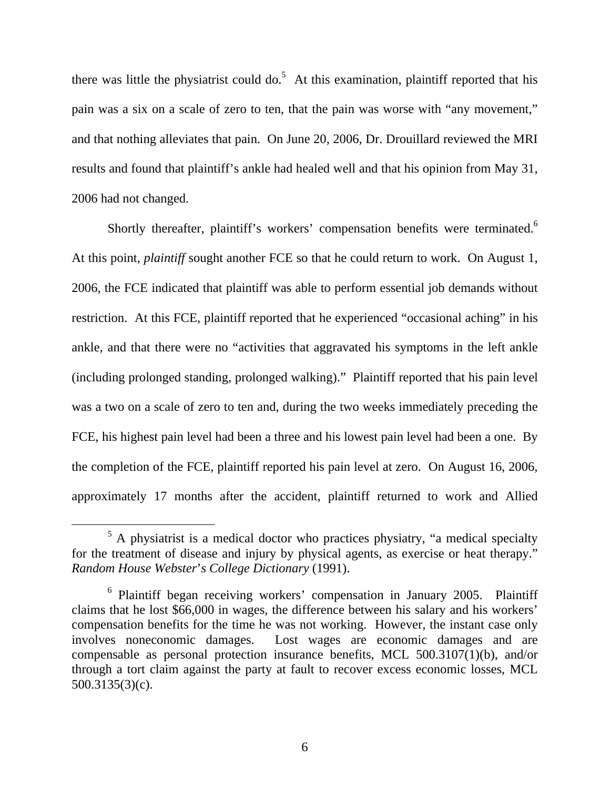there was little the physiatrist could do.<sup>5</sup> At this examination, plaintiff reported that his pain was a six on a scale of zero to ten, that the pain was worse with "any movement," and that nothing alleviates that pain. On June 20, 2006, Dr. Drouillard reviewed the MRI results and found that plaintiff's ankle had healed well and that his opinion from May 31, 2006 had not changed.

Shortly thereafter, plaintiff's workers' compensation benefits were terminated.<sup>6</sup> At this point, *plaintiff* sought another FCE so that he could return to work. On August 1, 2006, the FCE indicated that plaintiff was able to perform essential job demands without restriction. At this FCE, plaintiff reported that he experienced "occasional aching" in his ankle, and that there were no "activities that aggravated his symptoms in the left ankle (including prolonged standing, prolonged walking)." Plaintiff reported that his pain level was a two on a scale of zero to ten and, during the two weeks immediately preceding the FCE, his highest pain level had been a three and his lowest pain level had been a one. By the completion of the FCE, plaintiff reported his pain level at zero. On August 16, 2006, approximately 17 months after the accident, plaintiff returned to work and Allied

 $\frac{1}{5}$  $5$  A physiatrist is a medical doctor who practices physiatry, "a medical specialty for the treatment of disease and injury by physical agents, as exercise or heat therapy." *Random House Webster*'*s College Dictionary* (1991).

<sup>&</sup>lt;sup>6</sup> Plaintiff began receiving workers' compensation in January 2005. Plaintiff claims that he lost \$66,000 in wages, the difference between his salary and his workers' compensation benefits for the time he was not working. However, the instant case only involves noneconomic damages. Lost wages are economic damages and are compensable as personal protection insurance benefits, MCL 500.3107(1)(b), and/or through a tort claim against the party at fault to recover excess economic losses, MCL 500.3135(3)(c).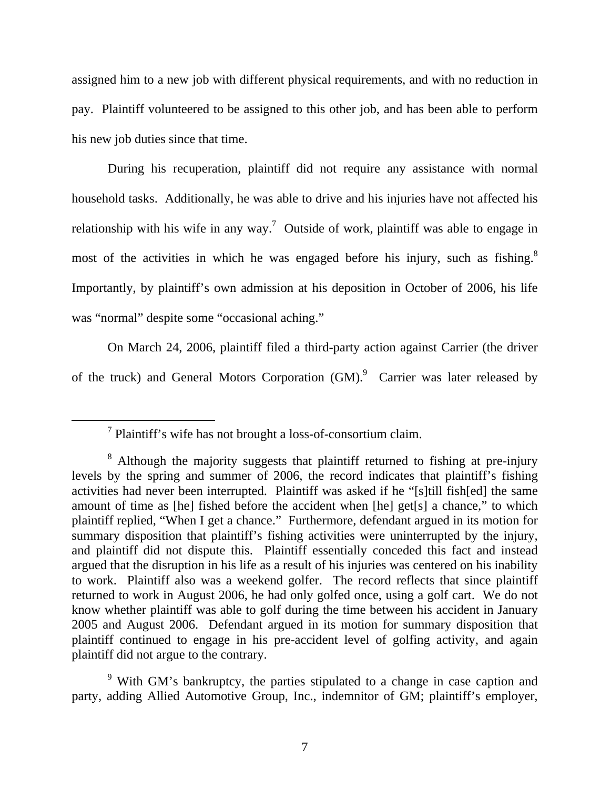assigned him to a new job with different physical requirements, and with no reduction in pay. Plaintiff volunteered to be assigned to this other job, and has been able to perform his new job duties since that time.

During his recuperation, plaintiff did not require any assistance with normal household tasks. Additionally, he was able to drive and his injuries have not affected his relationship with his wife in any way.<sup>7</sup> Outside of work, plaintiff was able to engage in most of the activities in which he was engaged before his injury, such as fishing.<sup>8</sup> Importantly, by plaintiff's own admission at his deposition in October of 2006, his life was "normal" despite some "occasional aching."

On March 24, 2006, plaintiff filed a third-party action against Carrier (the driver of the truck) and General Motors Corporation  $(GM)$ . Carrier was later released by

<sup>9</sup> With GM's bankruptcy, the parties stipulated to a change in case caption and party, adding Allied Automotive Group, Inc., indemnitor of GM; plaintiff's employer,

 <sup>7</sup> Plaintiff's wife has not brought a loss-of-consortium claim.

<sup>&</sup>lt;sup>8</sup> Although the majority suggests that plaintiff returned to fishing at pre-injury levels by the spring and summer of 2006, the record indicates that plaintiff's fishing activities had never been interrupted. Plaintiff was asked if he "[s]till fish[ed] the same amount of time as [he] fished before the accident when [he] get[s] a chance," to which plaintiff replied, "When I get a chance." Furthermore, defendant argued in its motion for summary disposition that plaintiff's fishing activities were uninterrupted by the injury, and plaintiff did not dispute this. Plaintiff essentially conceded this fact and instead argued that the disruption in his life as a result of his injuries was centered on his inability to work. Plaintiff also was a weekend golfer. The record reflects that since plaintiff returned to work in August 2006, he had only golfed once, using a golf cart. We do not know whether plaintiff was able to golf during the time between his accident in January 2005 and August 2006. Defendant argued in its motion for summary disposition that plaintiff continued to engage in his pre-accident level of golfing activity, and again plaintiff did not argue to the contrary.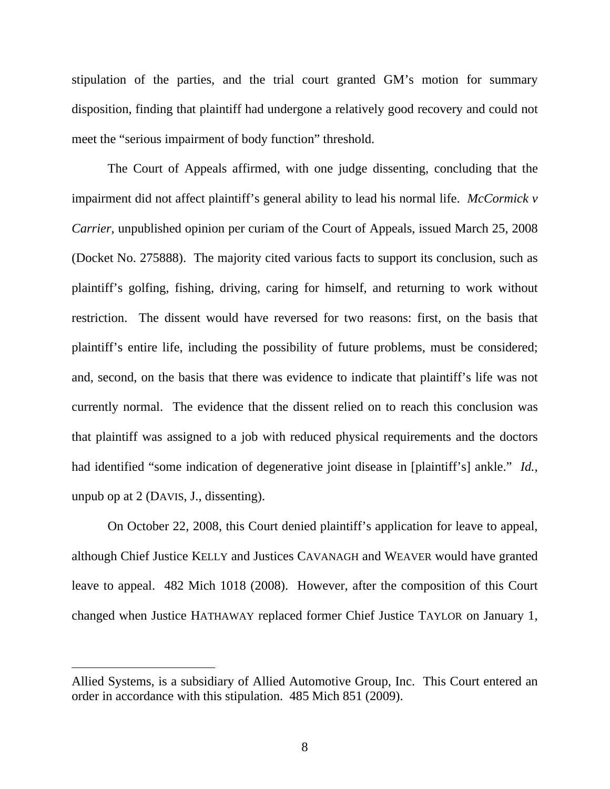stipulation of the parties, and the trial court granted GM's motion for summary disposition, finding that plaintiff had undergone a relatively good recovery and could not meet the "serious impairment of body function" threshold.

The Court of Appeals affirmed, with one judge dissenting, concluding that the impairment did not affect plaintiff's general ability to lead his normal life. *McCormick v Carrier*, unpublished opinion per curiam of the Court of Appeals, issued March 25, 2008 (Docket No. 275888). The majority cited various facts to support its conclusion, such as plaintiff's golfing, fishing, driving, caring for himself, and returning to work without restriction. The dissent would have reversed for two reasons: first, on the basis that plaintiff's entire life, including the possibility of future problems, must be considered; and, second, on the basis that there was evidence to indicate that plaintiff's life was not currently normal. The evidence that the dissent relied on to reach this conclusion was that plaintiff was assigned to a job with reduced physical requirements and the doctors had identified "some indication of degenerative joint disease in [plaintiff's] ankle." *Id.,*  unpub op at 2 (DAVIS, J., dissenting).

On October 22, 2008, this Court denied plaintiff's application for leave to appeal, although Chief Justice KELLY and Justices CAVANAGH and WEAVER would have granted leave to appeal. 482 Mich 1018 (2008). However, after the composition of this Court changed when Justice HATHAWAY replaced former Chief Justice TAYLOR on January 1,

 $\overline{a}$ 

Allied Systems, is a subsidiary of Allied Automotive Group, Inc. This Court entered an order in accordance with this stipulation. 485 Mich 851 (2009).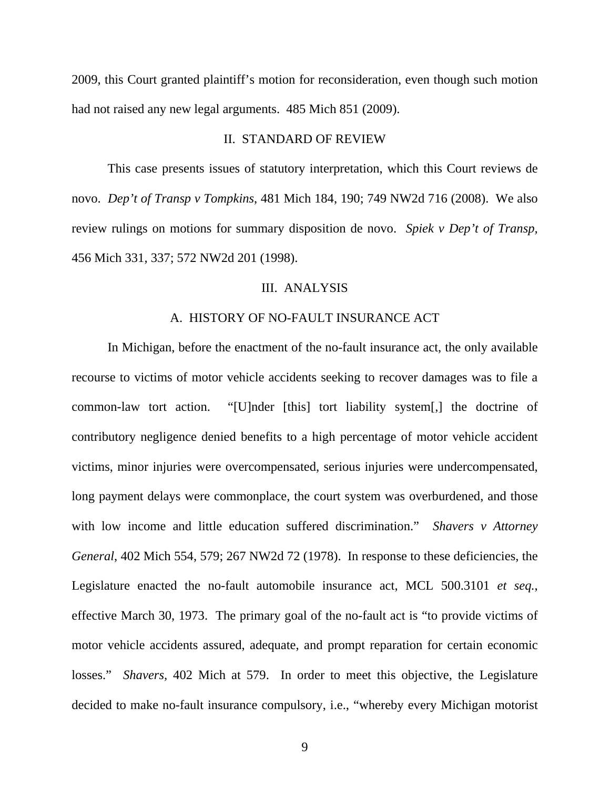2009, this Court granted plaintiff's motion for reconsideration, even though such motion had not raised any new legal arguments. 485 Mich 851 (2009).

### II. STANDARD OF REVIEW

This case presents issues of statutory interpretation, which this Court reviews de novo. *Dep't of Transp v Tompkins*, 481 Mich 184, 190; 749 NW2d 716 (2008). We also review rulings on motions for summary disposition de novo. *Spiek v Dep't of Transp,* 456 Mich 331, 337; 572 NW2d 201 (1998).

### III. ANALYSIS

### A. HISTORY OF NO-FAULT INSURANCE ACT

In Michigan, before the enactment of the no-fault insurance act, the only available recourse to victims of motor vehicle accidents seeking to recover damages was to file a common-law tort action. "[U]nder [this] tort liability system[,] the doctrine of contributory negligence denied benefits to a high percentage of motor vehicle accident victims, minor injuries were overcompensated, serious injuries were undercompensated, long payment delays were commonplace, the court system was overburdened, and those with low income and little education suffered discrimination." *Shavers v Attorney General*, 402 Mich 554, 579; 267 NW2d 72 (1978). In response to these deficiencies, the Legislature enacted the no-fault automobile insurance act, MCL 500.3101 *et seq.*, effective March 30, 1973. The primary goal of the no-fault act is "to provide victims of motor vehicle accidents assured, adequate, and prompt reparation for certain economic losses." *Shavers*, 402 Mich at 579. In order to meet this objective, the Legislature decided to make no-fault insurance compulsory, i.e., "whereby every Michigan motorist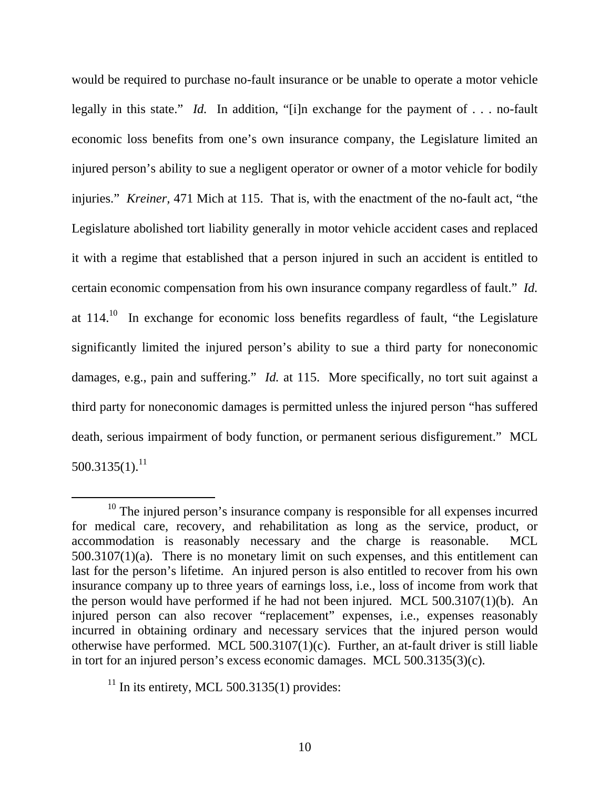would be required to purchase no-fault insurance or be unable to operate a motor vehicle legally in this state." *Id.* In addition, "[i]n exchange for the payment of . . . no-fault economic loss benefits from one's own insurance company, the Legislature limited an injured person's ability to sue a negligent operator or owner of a motor vehicle for bodily injuries." *Kreiner,* 471 Mich at 115. That is, with the enactment of the no-fault act, "the Legislature abolished tort liability generally in motor vehicle accident cases and replaced it with a regime that established that a person injured in such an accident is entitled to certain economic compensation from his own insurance company regardless of fault." *Id.*  at 114.10In exchange for economic loss benefits regardless of fault, "the Legislature significantly limited the injured person's ability to sue a third party for noneconomic damages, e.g., pain and suffering." *Id.* at 115. More specifically, no tort suit against a third party for noneconomic damages is permitted unless the injured person "has suffered death, serious impairment of body function, or permanent serious disfigurement." MCL  $500.3135(1).$ <sup>11</sup>

 $10$  The injured person's insurance company is responsible for all expenses incurred for medical care, recovery, and rehabilitation as long as the service, product, or accommodation is reasonably necessary and the charge is reasonable. MCL 500.3107(1)(a). There is no monetary limit on such expenses, and this entitlement can last for the person's lifetime. An injured person is also entitled to recover from his own insurance company up to three years of earnings loss, i.e., loss of income from work that the person would have performed if he had not been injured. MCL 500.3107(1)(b). An injured person can also recover "replacement" expenses, i.e., expenses reasonably incurred in obtaining ordinary and necessary services that the injured person would otherwise have performed. MCL 500.3107(1)(c). Further, an at-fault driver is still liable in tort for an injured person's excess economic damages. MCL 500.3135(3)(c).

 $11$  In its entirety, MCL 500.3135(1) provides: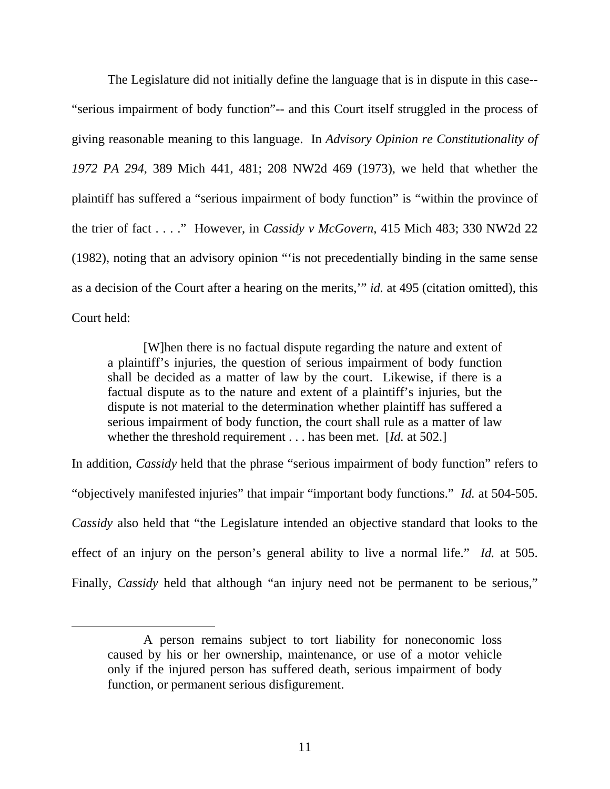The Legislature did not initially define the language that is in dispute in this case-- "serious impairment of body function"-- and this Court itself struggled in the process of giving reasonable meaning to this language. In *Advisory Opinion re Constitutionality of 1972 PA 294*, 389 Mich 441, 481; 208 NW2d 469 (1973), we held that whether the plaintiff has suffered a "serious impairment of body function" is "within the province of the trier of fact . . . ." However, in *Cassidy v McGovern*, 415 Mich 483; 330 NW2d 22 (1982), noting that an advisory opinion "'is not precedentially binding in the same sense as a decision of the Court after a hearing on the merits,'" *id.* at 495 (citation omitted), this Court held:

 [W]hen there is no factual dispute regarding the nature and extent of a plaintiff's injuries, the question of serious impairment of body function shall be decided as a matter of law by the court. Likewise, if there is a factual dispute as to the nature and extent of a plaintiff's injuries, but the dispute is not material to the determination whether plaintiff has suffered a serious impairment of body function, the court shall rule as a matter of law whether the threshold requirement . . . has been met. [*Id.* at 502.]

In addition, *Cassidy* held that the phrase "serious impairment of body function" refers to "objectively manifested injuries" that impair "important body functions." *Id.* at 504-505. *Cassidy* also held that "the Legislature intended an objective standard that looks to the effect of an injury on the person's general ability to live a normal life." *Id.* at 505. Finally, *Cassidy* held that although "an injury need not be permanent to be serious,"

 $\overline{a}$ 

A person remains subject to tort liability for noneconomic loss caused by his or her ownership, maintenance, or use of a motor vehicle only if the injured person has suffered death, serious impairment of body function, or permanent serious disfigurement.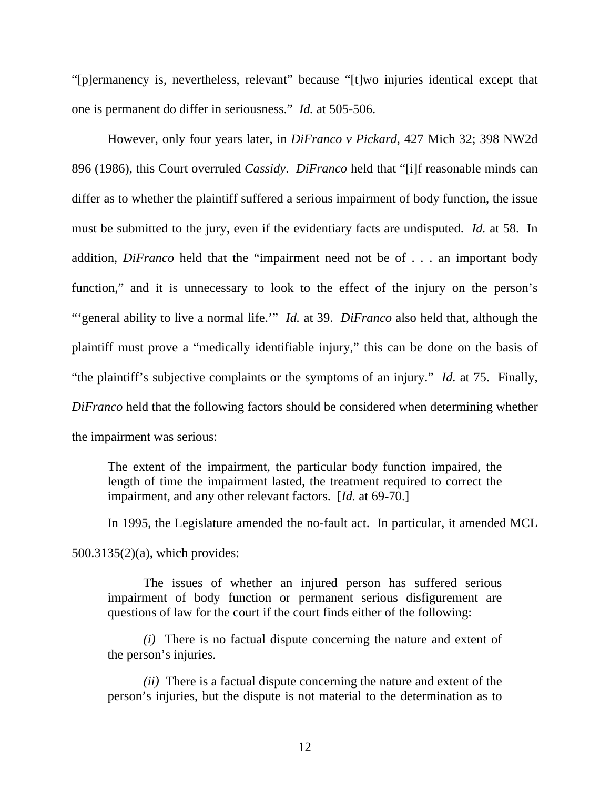"[p]ermanency is, nevertheless, relevant" because "[t]wo injuries identical except that one is permanent do differ in seriousness." *Id.* at 505-506.

 However, only four years later, in *DiFranco v Pickard*, 427 Mich 32; 398 NW2d 896 (1986), this Court overruled *Cassidy*. *DiFranco* held that "[i]f reasonable minds can differ as to whether the plaintiff suffered a serious impairment of body function, the issue must be submitted to the jury, even if the evidentiary facts are undisputed. *Id.* at 58. In addition, *DiFranco* held that the "impairment need not be of . . . an important body function," and it is unnecessary to look to the effect of the injury on the person's "'general ability to live a normal life.'" *Id.* at 39. *DiFranco* also held that, although the plaintiff must prove a "medically identifiable injury," this can be done on the basis of "the plaintiff's subjective complaints or the symptoms of an injury." *Id.* at 75. Finally, *DiFranco* held that the following factors should be considered when determining whether the impairment was serious:

The extent of the impairment, the particular body function impaired, the length of time the impairment lasted, the treatment required to correct the impairment, and any other relevant factors. [*Id.* at 69-70.]

In 1995, the Legislature amended the no-fault act. In particular, it amended MCL

500.3135(2)(a), which provides:

The issues of whether an injured person has suffered serious impairment of body function or permanent serious disfigurement are questions of law for the court if the court finds either of the following:

*(i)* There is no factual dispute concerning the nature and extent of the person's injuries.

*(ii)* There is a factual dispute concerning the nature and extent of the person's injuries, but the dispute is not material to the determination as to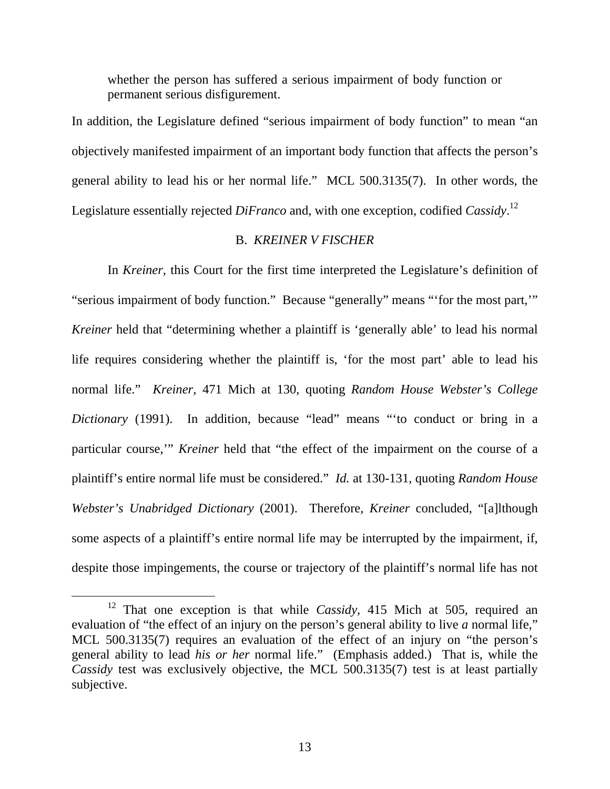whether the person has suffered a serious impairment of body function or permanent serious disfigurement.

In addition, the Legislature defined "serious impairment of body function" to mean "an objectively manifested impairment of an important body function that affects the person's general ability to lead his or her normal life." MCL 500.3135(7). In other words, the Legislature essentially rejected *DiFranco* and, with one exception, codified *Cassidy*. 12

#### B. *KREINER V FISCHER*

In *Kreiner,* this Court for the first time interpreted the Legislature's definition of "serious impairment of body function." Because "generally" means "'for the most part,'" *Kreiner* held that "determining whether a plaintiff is 'generally able' to lead his normal life requires considering whether the plaintiff is, 'for the most part' able to lead his normal life." *Kreiner,* 471 Mich at 130, quoting *Random House Webster's College Dictionary* (1991). In addition, because "lead" means "'to conduct or bring in a particular course,'" *Kreiner* held that "the effect of the impairment on the course of a plaintiff's entire normal life must be considered." *Id.* at 130-131*,* quoting *Random House Webster's Unabridged Dictionary* (2001). Therefore, *Kreiner* concluded, "[a]lthough some aspects of a plaintiff's entire normal life may be interrupted by the impairment, if, despite those impingements, the course or trajectory of the plaintiff's normal life has not

13

<sup>&</sup>lt;sup>12</sup> That one exception is that while *Cassidy*, 415 Mich at 505, required an evaluation of "the effect of an injury on the person's general ability to live *a* normal life," MCL 500.3135(7) requires an evaluation of the effect of an injury on "the person's general ability to lead *his or her* normal life." (Emphasis added.) That is, while the *Cassidy* test was exclusively objective, the MCL 500.3135(7) test is at least partially subjective.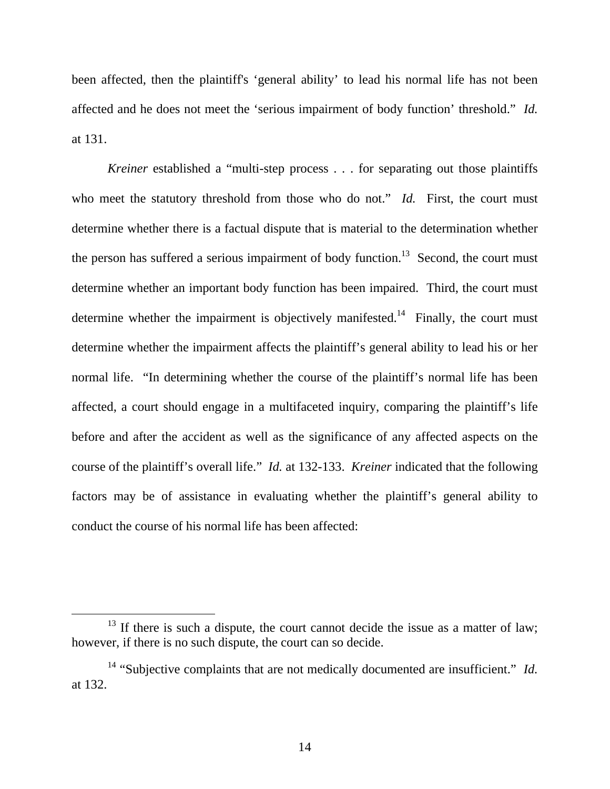been affected, then the plaintiff's 'general ability' to lead his normal life has not been affected and he does not meet the 'serious impairment of body function' threshold." *Id.*  at 131.

*Kreiner* established a "multi-step process . . . for separating out those plaintiffs who meet the statutory threshold from those who do not." *Id.* First, the court must determine whether there is a factual dispute that is material to the determination whether the person has suffered a serious impairment of body function.<sup>13</sup> Second, the court must determine whether an important body function has been impaired. Third, the court must determine whether the impairment is objectively manifested.<sup>14</sup> Finally, the court must determine whether the impairment affects the plaintiff's general ability to lead his or her normal life. "In determining whether the course of the plaintiff's normal life has been affected, a court should engage in a multifaceted inquiry, comparing the plaintiff's life before and after the accident as well as the significance of any affected aspects on the course of the plaintiff's overall life." *Id.* at 132-133. *Kreiner* indicated that the following factors may be of assistance in evaluating whether the plaintiff's general ability to conduct the course of his normal life has been affected:

 $13$  If there is such a dispute, the court cannot decide the issue as a matter of law; however, if there is no such dispute, the court can so decide.

<sup>14 &</sup>quot;Subjective complaints that are not medically documented are insufficient." *Id.*  at 132.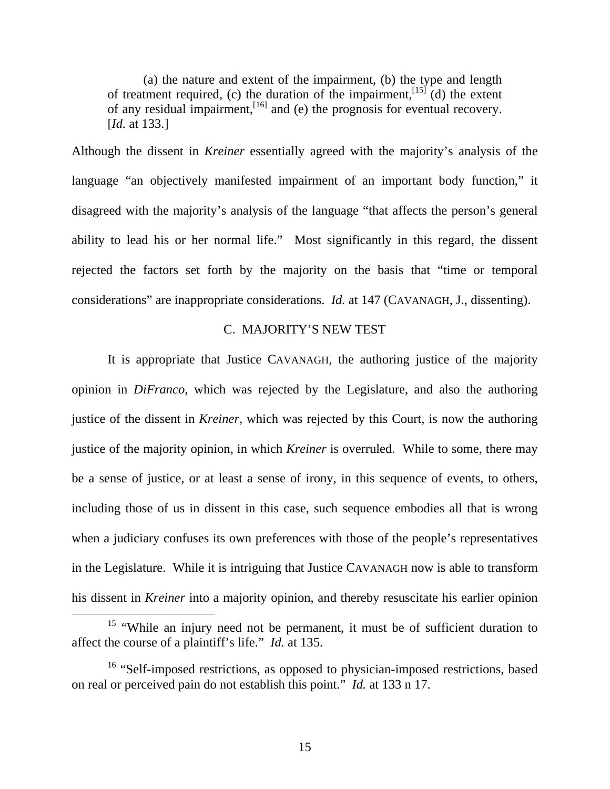(a) the nature and extent of the impairment, (b) the type and length of treatment required, (c) the duration of the impairment,  $^{[15]}$  (d) the extent of any residual impairment,  $[16]$  and (e) the prognosis for eventual recovery. [*Id.* at 133.]

Although the dissent in *Kreiner* essentially agreed with the majority's analysis of the language "an objectively manifested impairment of an important body function," it disagreed with the majority's analysis of the language "that affects the person's general ability to lead his or her normal life." Most significantly in this regard, the dissent rejected the factors set forth by the majority on the basis that "time or temporal considerations" are inappropriate considerations. *Id.* at 147 (CAVANAGH, J., dissenting).

### C. MAJORITY'S NEW TEST

 It is appropriate that Justice CAVANAGH, the authoring justice of the majority opinion in *DiFranco,* which was rejected by the Legislature, and also the authoring justice of the dissent in *Kreiner,* which was rejected by this Court*,* is now the authoring justice of the majority opinion, in which *Kreiner* is overruled. While to some, there may be a sense of justice, or at least a sense of irony, in this sequence of events, to others, including those of us in dissent in this case, such sequence embodies all that is wrong when a judiciary confuses its own preferences with those of the people's representatives in the Legislature. While it is intriguing that Justice CAVANAGH now is able to transform his dissent in *Kreiner* into a majority opinion, and thereby resuscitate his earlier opinion

<sup>&</sup>lt;sup>15</sup> "While an injury need not be permanent, it must be of sufficient duration to affect the course of a plaintiff's life." *Id.* at 135.

<sup>&</sup>lt;sup>16</sup> "Self-imposed restrictions, as opposed to physician-imposed restrictions, based on real or perceived pain do not establish this point." *Id.* at 133 n 17.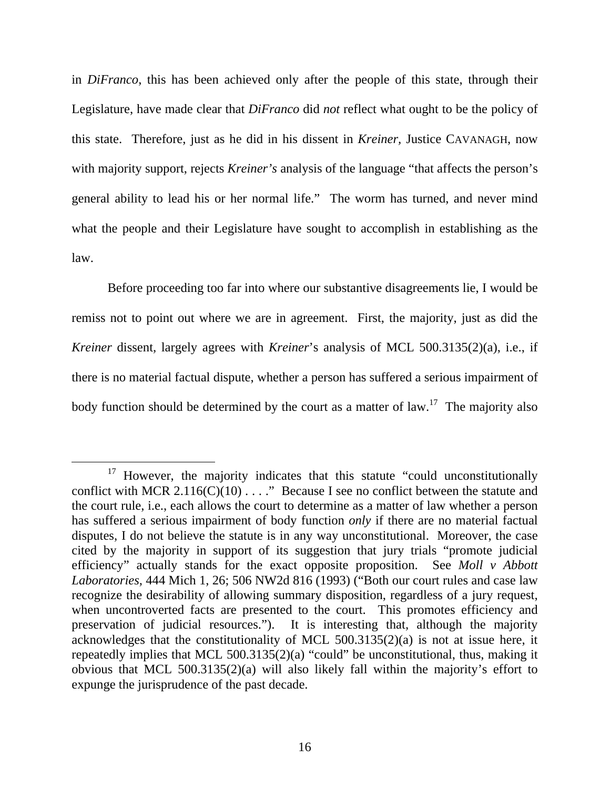in *DiFranco*, this has been achieved only after the people of this state, through their Legislature, have made clear that *DiFranco* did *not* reflect what ought to be the policy of this state. Therefore, just as he did in his dissent in *Kreiner,* Justice CAVANAGH, now with majority support, rejects *Kreiner's* analysis of the language "that affects the person's general ability to lead his or her normal life." The worm has turned, and never mind what the people and their Legislature have sought to accomplish in establishing as the law.

 Before proceeding too far into where our substantive disagreements lie, I would be remiss not to point out where we are in agreement. First, the majority, just as did the *Kreiner* dissent*,* largely agrees with *Kreiner*'s analysis of MCL 500.3135(2)(a), i.e., if there is no material factual dispute, whether a person has suffered a serious impairment of body function should be determined by the court as a matter of law.<sup>17</sup> The majority also

 $17$  However, the majority indicates that this statute "could unconstitutionally conflict with MCR 2.116(C)(10)  $\dots$ ." Because I see no conflict between the statute and the court rule, i.e., each allows the court to determine as a matter of law whether a person has suffered a serious impairment of body function *only* if there are no material factual disputes, I do not believe the statute is in any way unconstitutional. Moreover, the case cited by the majority in support of its suggestion that jury trials "promote judicial efficiency" actually stands for the exact opposite proposition. See *Moll v Abbott Laboratories,* 444 Mich 1, 26; 506 NW2d 816 (1993) ("Both our court rules and case law recognize the desirability of allowing summary disposition, regardless of a jury request, when uncontroverted facts are presented to the court. This promotes efficiency and preservation of judicial resources."). It is interesting that, although the majority acknowledges that the constitutionality of MCL 500.3135(2)(a) is not at issue here, it repeatedly implies that MCL 500.3135(2)(a) "could" be unconstitutional, thus, making it obvious that MCL 500.3135(2)(a) will also likely fall within the majority's effort to expunge the jurisprudence of the past decade.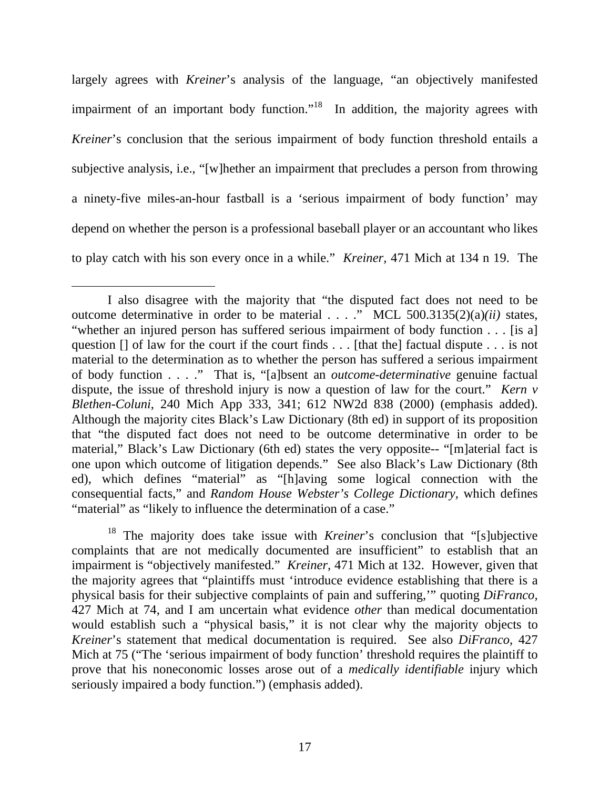largely agrees with *Kreiner*'s analysis of the language, "an objectively manifested impairment of an important body function."<sup>18</sup> In addition, the majority agrees with *Kreiner*'s conclusion that the serious impairment of body function threshold entails a subjective analysis, i.e., "[w]hether an impairment that precludes a person from throwing a ninety-five miles-an-hour fastball is a 'serious impairment of body function' may depend on whether the person is a professional baseball player or an accountant who likes to play catch with his son every once in a while." *Kreiner,* 471 Mich at 134 n 19. The

 $\overline{a}$ 

18 The majority does take issue with *Kreiner*'s conclusion that "[s]ubjective complaints that are not medically documented are insufficient" to establish that an impairment is "objectively manifested." *Kreiner,* 471 Mich at 132. However, given that the majority agrees that "plaintiffs must 'introduce evidence establishing that there is a physical basis for their subjective complaints of pain and suffering,'" quoting *DiFranco,*  427 Mich at 74, and I am uncertain what evidence *other* than medical documentation would establish such a "physical basis," it is not clear why the majority objects to *Kreiner*'s statement that medical documentation is required. See also *DiFranco,* 427 Mich at 75 ("The 'serious impairment of body function' threshold requires the plaintiff to prove that his noneconomic losses arose out of a *medically identifiable* injury which seriously impaired a body function.") (emphasis added).

I also disagree with the majority that "the disputed fact does not need to be outcome determinative in order to be material . . . ." MCL 500.3135(2)(a)*(ii)* states, "whether an injured person has suffered serious impairment of body function . . . [is a] question [] of law for the court if the court finds . . . [that the] factual dispute . . . is not material to the determination as to whether the person has suffered a serious impairment of body function . . . ." That is, "[a]bsent an *outcome-determinative* genuine factual dispute, the issue of threshold injury is now a question of law for the court." *Kern v Blethen-Coluni*, 240 Mich App 333, 341; 612 NW2d 838 (2000) (emphasis added). Although the majority cites Black's Law Dictionary (8th ed) in support of its proposition that "the disputed fact does not need to be outcome determinative in order to be material," Black's Law Dictionary (6th ed) states the very opposite-- "[m]aterial fact is one upon which outcome of litigation depends." See also Black's Law Dictionary (8th ed), which defines "material" as "[h]aving some logical connection with the consequential facts," and *Random House Webster's College Dictionary,* which defines "material" as "likely to influence the determination of a case."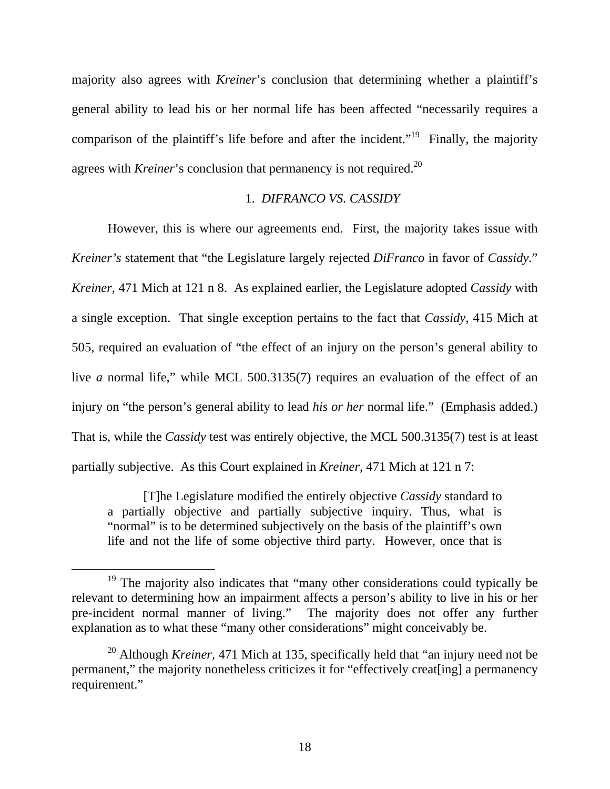majority also agrees with *Kreiner*'s conclusion that determining whether a plaintiff's general ability to lead his or her normal life has been affected "necessarily requires a comparison of the plaintiff's life before and after the incident."<sup>19</sup> Finally, the majority agrees with *Kreiner*'s conclusion that permanency is not required.<sup>20</sup>

## 1. *DIFRANCO VS. CASSIDY*

However, this is where our agreements end. First, the majority takes issue with *Kreiner's* statement that "the Legislature largely rejected *DiFranco* in favor of *Cassidy.*" *Kreiner,* 471 Mich at 121 n 8. As explained earlier, the Legislature adopted *Cassidy* with a single exception. That single exception pertains to the fact that *Cassidy,* 415 Mich at 505, required an evaluation of "the effect of an injury on the person's general ability to live *a* normal life," while MCL 500.3135(7) requires an evaluation of the effect of an injury on "the person's general ability to lead *his or her* normal life." (Emphasis added.) That is, while the *Cassidy* test was entirely objective, the MCL 500.3135(7) test is at least partially subjective. As this Court explained in *Kreiner,* 471 Mich at 121 n 7:

[T]he Legislature modified the entirely objective *Cassidy* standard to a partially objective and partially subjective inquiry. Thus, what is "normal" is to be determined subjectively on the basis of the plaintiff's own life and not the life of some objective third party. However, once that is

<sup>&</sup>lt;sup>19</sup> The majority also indicates that "many other considerations could typically be relevant to determining how an impairment affects a person's ability to live in his or her pre-incident normal manner of living." The majority does not offer any further explanation as to what these "many other considerations" might conceivably be.

<sup>&</sup>lt;sup>20</sup> Although *Kreiner*, 471 Mich at 135, specifically held that "an injury need not be permanent," the majority nonetheless criticizes it for "effectively creat[ing] a permanency requirement."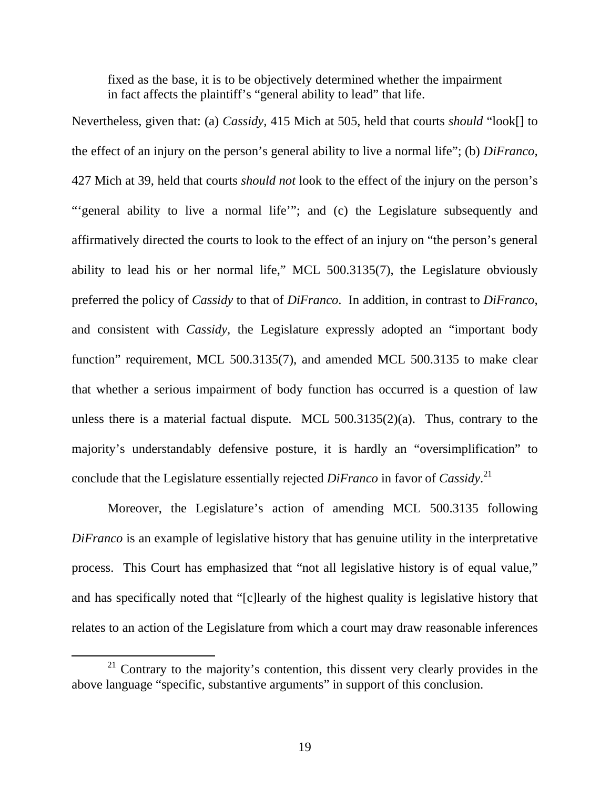fixed as the base, it is to be objectively determined whether the impairment in fact affects the plaintiff's "general ability to lead" that life.

Nevertheless, given that: (a) *Cassidy,* 415 Mich at 505, held that courts *should* "look[] to the effect of an injury on the person's general ability to live a normal life"; (b) *DiFranco,*  427 Mich at 39, held that courts *should not* look to the effect of the injury on the person's "'general ability to live a normal life'"; and (c) the Legislature subsequently and affirmatively directed the courts to look to the effect of an injury on "the person's general ability to lead his or her normal life," MCL 500.3135(7), the Legislature obviously preferred the policy of *Cassidy* to that of *DiFranco*. In addition, in contrast to *DiFranco*, and consistent with *Cassidy,* the Legislature expressly adopted an "important body function" requirement, MCL 500.3135(7), and amended MCL 500.3135 to make clear that whether a serious impairment of body function has occurred is a question of law unless there is a material factual dispute. MCL  $500.3135(2)(a)$ . Thus, contrary to the majority's understandably defensive posture, it is hardly an "oversimplification" to conclude that the Legislature essentially rejected *DiFranco* in favor of *Cassidy*. 21

Moreover, the Legislature's action of amending MCL 500.3135 following *DiFranco* is an example of legislative history that has genuine utility in the interpretative process. This Court has emphasized that "not all legislative history is of equal value," and has specifically noted that "[c]learly of the highest quality is legislative history that relates to an action of the Legislature from which a court may draw reasonable inferences

<sup>&</sup>lt;sup>21</sup> Contrary to the majority's contention, this dissent very clearly provides in the above language "specific, substantive arguments" in support of this conclusion.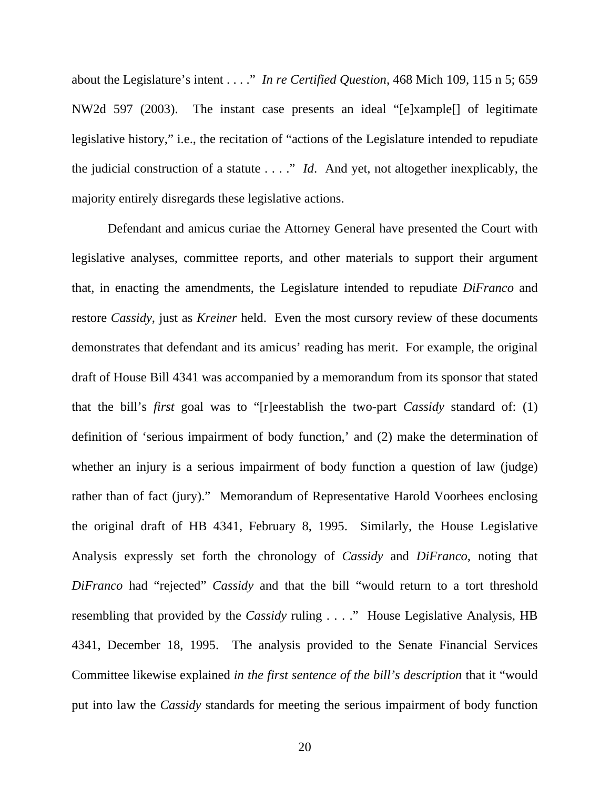about the Legislature's intent . . . ." *In re Certified Question*, 468 Mich 109, 115 n 5; 659 NW2d 597 (2003). The instant case presents an ideal "[e]xample[] of legitimate legislative history," i.e., the recitation of "actions of the Legislature intended to repudiate the judicial construction of a statute . . . ." *Id*. And yet, not altogether inexplicably, the majority entirely disregards these legislative actions.

Defendant and amicus curiae the Attorney General have presented the Court with legislative analyses, committee reports, and other materials to support their argument that, in enacting the amendments, the Legislature intended to repudiate *DiFranco* and restore *Cassidy*, just as *Kreiner* held. Even the most cursory review of these documents demonstrates that defendant and its amicus' reading has merit. For example, the original draft of House Bill 4341 was accompanied by a memorandum from its sponsor that stated that the bill's *first* goal was to "[r]eestablish the two-part *Cassidy* standard of: (1) definition of 'serious impairment of body function,' and (2) make the determination of whether an injury is a serious impairment of body function a question of law (judge) rather than of fact (jury)." Memorandum of Representative Harold Voorhees enclosing the original draft of HB 4341, February 8, 1995. Similarly, the House Legislative Analysis expressly set forth the chronology of *Cassidy* and *DiFranco*, noting that *DiFranco* had "rejected" *Cassidy* and that the bill "would return to a tort threshold resembling that provided by the *Cassidy* ruling . . . ." House Legislative Analysis, HB 4341, December 18, 1995. The analysis provided to the Senate Financial Services Committee likewise explained *in the first sentence of the bill's description* that it "would put into law the *Cassidy* standards for meeting the serious impairment of body function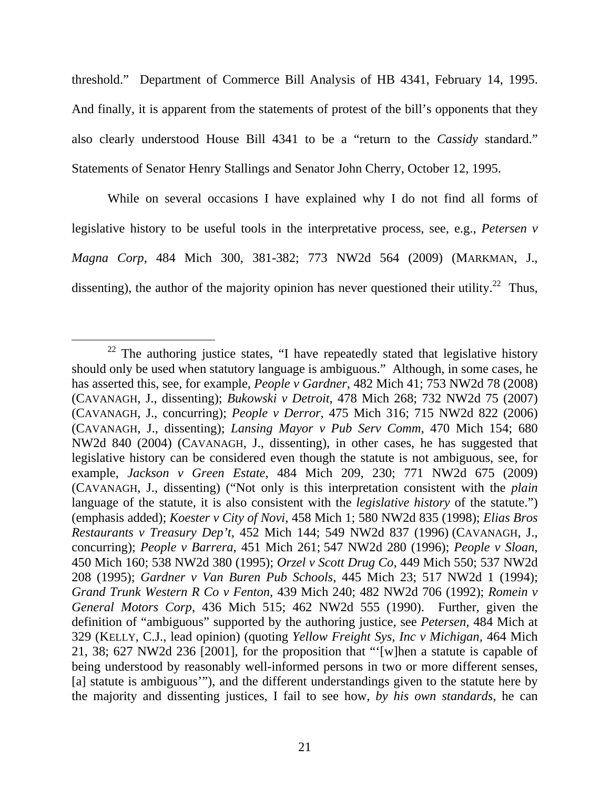threshold." Department of Commerce Bill Analysis of HB 4341, February 14, 1995. And finally, it is apparent from the statements of protest of the bill's opponents that they also clearly understood House Bill 4341 to be a "return to the *Cassidy* standard." Statements of Senator Henry Stallings and Senator John Cherry, October 12, 1995.

While on several occasions I have explained why I do not find all forms of legislative history to be useful tools in the interpretative process, see, e.g., *Petersen v Magna Corp*, 484 Mich 300, 381-382; 773 NW2d 564 (2009) (MARKMAN, J., dissenting), the author of the majority opinion has never questioned their utility.<sup>22</sup> Thus,

 $22$  The authoring justice states, "I have repeatedly stated that legislative history should only be used when statutory language is ambiguous." Although, in some cases, he has asserted this, see, for example, *People v Gardner*, 482 Mich 41; 753 NW2d 78 (2008) (CAVANAGH, J., dissenting); *Bukowski v Detroit*, 478 Mich 268; 732 NW2d 75 (2007) (CAVANAGH, J., concurring); *People v Derror,* 475 Mich 316; 715 NW2d 822 (2006) (CAVANAGH, J., dissenting); *Lansing Mayor v Pub Serv Comm*, 470 Mich 154; 680 NW2d 840 (2004) (CAVANAGH, J., dissenting), in other cases, he has suggested that legislative history can be considered even though the statute is not ambiguous, see, for example, *Jackson v Green Estate*, 484 Mich 209, 230; 771 NW2d 675 (2009) (CAVANAGH, J., dissenting) ("Not only is this interpretation consistent with the *plain* language of the statute, it is also consistent with the *legislative history* of the statute.") (emphasis added); *Koester v City of Novi*, 458 Mich 1; 580 NW2d 835 (1998); *Elias Bros Restaurants v Treasury Dep't*, 452 Mich 144; 549 NW2d 837 (1996) (CAVANAGH, J., concurring); *People v Barrera*, 451 Mich 261; 547 NW2d 280 (1996); *People v Sloan*, 450 Mich 160; 538 NW2d 380 (1995); *Orzel v Scott Drug Co*, 449 Mich 550; 537 NW2d 208 (1995); *Gardner v Van Buren Pub Schools*, 445 Mich 23; 517 NW2d 1 (1994); *Grand Trunk Western R Co v Fenton*, 439 Mich 240; 482 NW2d 706 (1992); *Romein v General Motors Corp*, 436 Mich 515; 462 NW2d 555 (1990). Further, given the definition of "ambiguous" supported by the authoring justice, see *Petersen,* 484 Mich at 329 (KELLY, C.J., lead opinion) (quoting *Yellow Freight Sys, Inc v Michigan,* 464 Mich 21, 38; 627 NW2d 236 [2001], for the proposition that "'[w]hen a statute is capable of being understood by reasonably well-informed persons in two or more different senses, [a] statute is ambiguous'"), and the different understandings given to the statute here by the majority and dissenting justices, I fail to see how, *by his own standards*, he can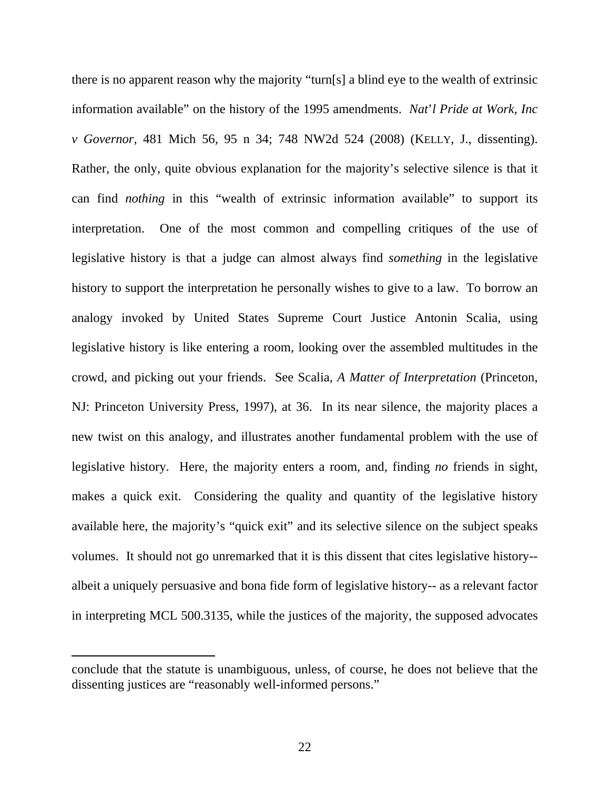there is no apparent reason why the majority "turn[s] a blind eye to the wealth of extrinsic information available" on the history of the 1995 amendments. *Nat*'*l Pride at Work, Inc v Governor*, 481 Mich 56, 95 n 34; 748 NW2d 524 (2008) (KELLY, J., dissenting). Rather, the only, quite obvious explanation for the majority's selective silence is that it can find *nothing* in this "wealth of extrinsic information available" to support its interpretation. One of the most common and compelling critiques of the use of legislative history is that a judge can almost always find *something* in the legislative history to support the interpretation he personally wishes to give to a law. To borrow an analogy invoked by United States Supreme Court Justice Antonin Scalia, using legislative history is like entering a room, looking over the assembled multitudes in the crowd, and picking out your friends. See Scalia, *A Matter of Interpretation* (Princeton, NJ: Princeton University Press, 1997), at 36. In its near silence, the majority places a new twist on this analogy, and illustrates another fundamental problem with the use of legislative history. Here, the majority enters a room, and, finding *no* friends in sight, makes a quick exit. Considering the quality and quantity of the legislative history available here, the majority's "quick exit" and its selective silence on the subject speaks volumes. It should not go unremarked that it is this dissent that cites legislative history- albeit a uniquely persuasive and bona fide form of legislative history-- as a relevant factor in interpreting MCL 500.3135, while the justices of the majority, the supposed advocates

 $\overline{a}$ 

conclude that the statute is unambiguous, unless, of course, he does not believe that the dissenting justices are "reasonably well-informed persons."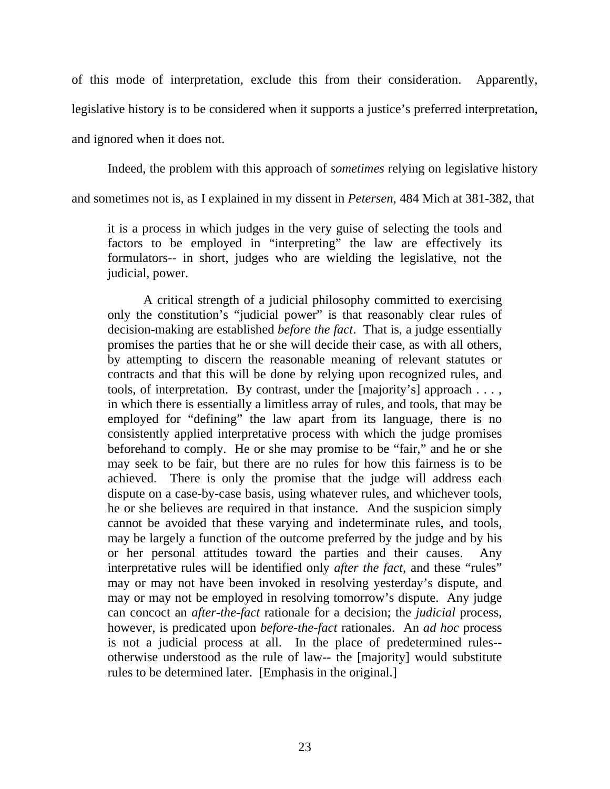of this mode of interpretation, exclude this from their consideration. Apparently, legislative history is to be considered when it supports a justice's preferred interpretation,

and ignored when it does not.

Indeed, the problem with this approach of *sometimes* relying on legislative history

and sometimes not is, as I explained in my dissent in *Petersen,* 484 Mich at 381-382, that

it is a process in which judges in the very guise of selecting the tools and factors to be employed in "interpreting" the law are effectively its formulators-- in short, judges who are wielding the legislative, not the judicial, power.

A critical strength of a judicial philosophy committed to exercising only the constitution's "judicial power" is that reasonably clear rules of decision-making are established *before the fact*. That is, a judge essentially promises the parties that he or she will decide their case, as with all others, by attempting to discern the reasonable meaning of relevant statutes or contracts and that this will be done by relying upon recognized rules, and tools, of interpretation. By contrast, under the [majority's] approach . . . , in which there is essentially a limitless array of rules, and tools, that may be employed for "defining" the law apart from its language, there is no consistently applied interpretative process with which the judge promises beforehand to comply. He or she may promise to be "fair," and he or she may seek to be fair, but there are no rules for how this fairness is to be achieved. There is only the promise that the judge will address each dispute on a case-by-case basis, using whatever rules, and whichever tools, he or she believes are required in that instance. And the suspicion simply cannot be avoided that these varying and indeterminate rules, and tools, may be largely a function of the outcome preferred by the judge and by his or her personal attitudes toward the parties and their causes. Any interpretative rules will be identified only *after the fact*, and these "rules" may or may not have been invoked in resolving yesterday's dispute, and may or may not be employed in resolving tomorrow's dispute. Any judge can concoct an *after-the-fact* rationale for a decision; the *judicial* process, however, is predicated upon *before-the-fact* rationales. An *ad hoc* process is not a judicial process at all. In the place of predetermined rules- otherwise understood as the rule of law-- the [majority] would substitute rules to be determined later. [Emphasis in the original.]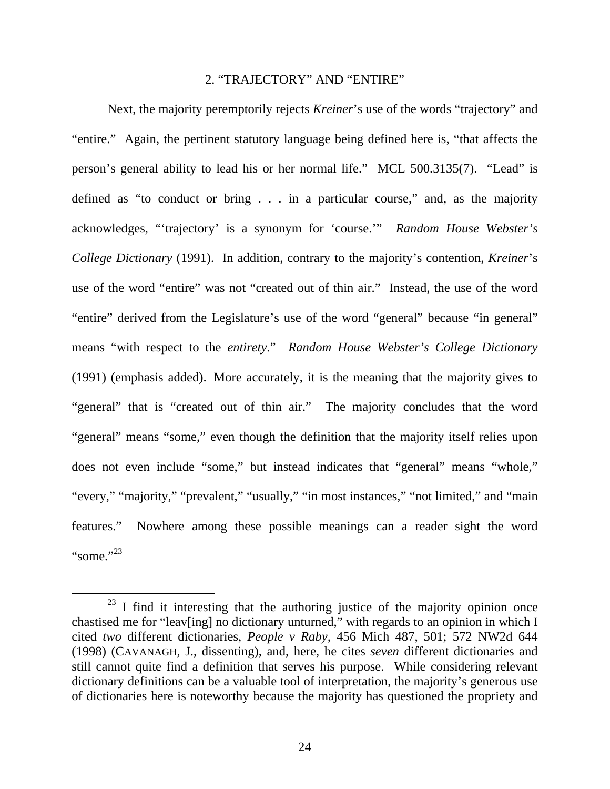### 2. "TRAJECTORY" AND "ENTIRE"

Next, the majority peremptorily rejects *Kreiner*'s use of the words "trajectory" and "entire." Again, the pertinent statutory language being defined here is, "that affects the person's general ability to lead his or her normal life." MCL 500.3135(7). "Lead" is defined as "to conduct or bring . . . in a particular course," and, as the majority acknowledges, "'trajectory' is a synonym for 'course.'" *Random House Webster's College Dictionary* (1991). In addition, contrary to the majority's contention, *Kreiner*'s use of the word "entire" was not "created out of thin air." Instead, the use of the word "entire" derived from the Legislature's use of the word "general" because "in general" means "with respect to the *entirety*." *Random House Webster's College Dictionary*  (1991) (emphasis added). More accurately, it is the meaning that the majority gives to "general" that is "created out of thin air." The majority concludes that the word "general" means "some," even though the definition that the majority itself relies upon does not even include "some," but instead indicates that "general" means "whole," "every," "majority," "prevalent," "usually," "in most instances," "not limited," and "main features." Nowhere among these possible meanings can a reader sight the word "some." $^{23}$ 

 $23$  I find it interesting that the authoring justice of the majority opinion once chastised me for "leav[ing] no dictionary unturned," with regards to an opinion in which I cited *two* different dictionaries, *People v Raby,* 456 Mich 487, 501; 572 NW2d 644 (1998) (CAVANAGH, J., dissenting), and, here, he cites *seven* different dictionaries and still cannot quite find a definition that serves his purpose. While considering relevant dictionary definitions can be a valuable tool of interpretation, the majority's generous use of dictionaries here is noteworthy because the majority has questioned the propriety and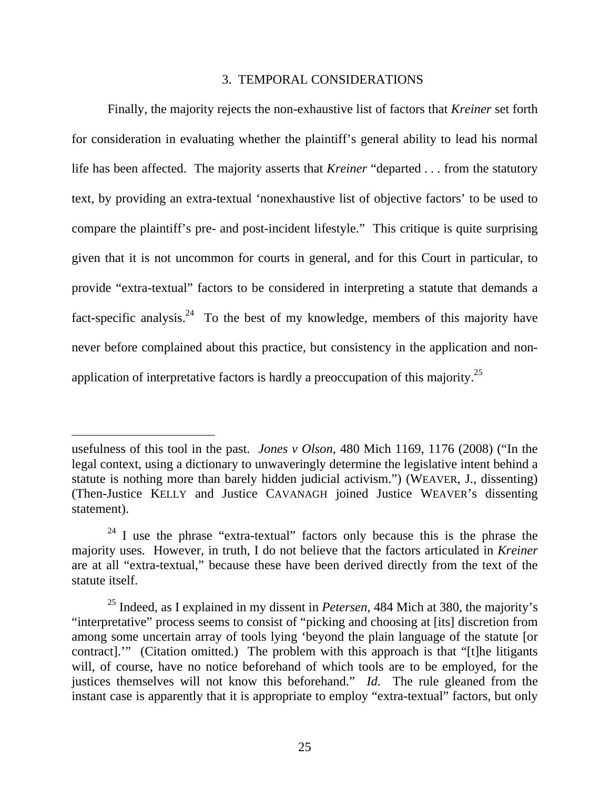## 3. TEMPORAL CONSIDERATIONS

Finally, the majority rejects the non-exhaustive list of factors that *Kreiner* set forth for consideration in evaluating whether the plaintiff's general ability to lead his normal life has been affected. The majority asserts that *Kreiner* "departed . . . from the statutory text, by providing an extra-textual 'nonexhaustive list of objective factors' to be used to compare the plaintiff's pre- and post-incident lifestyle." This critique is quite surprising given that it is not uncommon for courts in general, and for this Court in particular, to provide "extra-textual" factors to be considered in interpreting a statute that demands a fact-specific analysis.<sup>24</sup> To the best of my knowledge, members of this majority have never before complained about this practice, but consistency in the application and nonapplication of interpretative factors is hardly a preoccupation of this majority.<sup>25</sup>

 $\overline{a}$ 

usefulness of this tool in the past. *Jones v Olson*, 480 Mich 1169, 1176 (2008) ("In the legal context, using a dictionary to unwaveringly determine the legislative intent behind a statute is nothing more than barely hidden judicial activism.") (WEAVER, J., dissenting) (Then-Justice KELLY and Justice CAVANAGH joined Justice WEAVER's dissenting statement).

 $24$  I use the phrase "extra-textual" factors only because this is the phrase the majority uses. However, in truth, I do not believe that the factors articulated in *Kreiner*  are at all "extra-textual," because these have been derived directly from the text of the statute itself.

<sup>25</sup> Indeed, as I explained in my dissent in *Petersen,* 484 Mich at 380, the majority's "interpretative" process seems to consist of "picking and choosing at [its] discretion from among some uncertain array of tools lying 'beyond the plain language of the statute [or contract].'" (Citation omitted.) The problem with this approach is that "[t]he litigants will, of course, have no notice beforehand of which tools are to be employed, for the justices themselves will not know this beforehand." *Id.* The rule gleaned from the instant case is apparently that it is appropriate to employ "extra-textual" factors, but only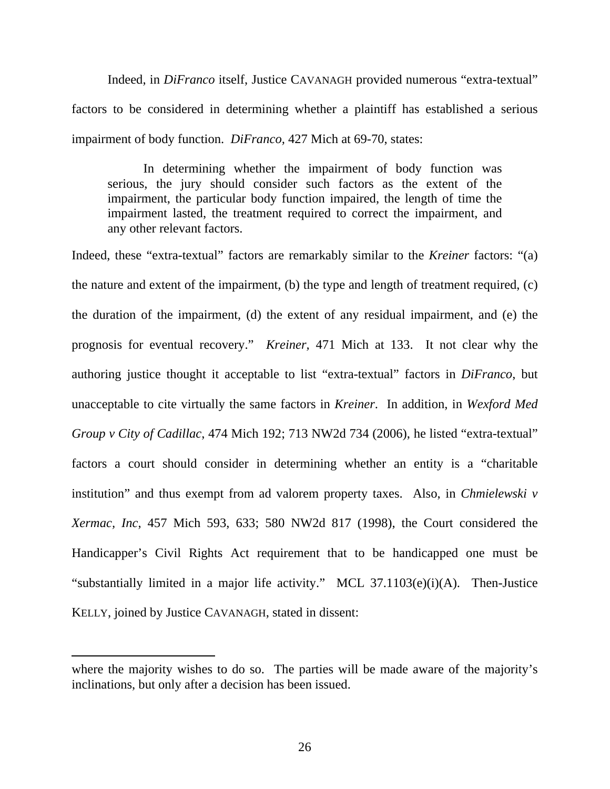Indeed, in *DiFranco* itself, Justice CAVANAGH provided numerous "extra-textual" factors to be considered in determining whether a plaintiff has established a serious impairment of body function. *DiFranco,* 427 Mich at 69-70, states:

In determining whether the impairment of body function was serious, the jury should consider such factors as the extent of the impairment, the particular body function impaired, the length of time the impairment lasted, the treatment required to correct the impairment, and any other relevant factors.

Indeed, these "extra-textual" factors are remarkably similar to the *Kreiner* factors: "(a) the nature and extent of the impairment, (b) the type and length of treatment required, (c) the duration of the impairment, (d) the extent of any residual impairment, and (e) the prognosis for eventual recovery." *Kreiner,* 471 Mich at 133. It not clear why the authoring justice thought it acceptable to list "extra-textual" factors in *DiFranco*, but unacceptable to cite virtually the same factors in *Kreiner*. In addition, in *Wexford Med Group v City of Cadillac*, 474 Mich 192; 713 NW2d 734 (2006), he listed "extra-textual" factors a court should consider in determining whether an entity is a "charitable institution" and thus exempt from ad valorem property taxes. Also, in *Chmielewski v Xermac, Inc*, 457 Mich 593, 633; 580 NW2d 817 (1998), the Court considered the Handicapper's Civil Rights Act requirement that to be handicapped one must be "substantially limited in a major life activity." MCL 37.1103(e)(i)(A). Then-Justice KELLY, joined by Justice CAVANAGH, stated in dissent:

 $\overline{a}$ 

where the majority wishes to do so. The parties will be made aware of the majority's inclinations, but only after a decision has been issued.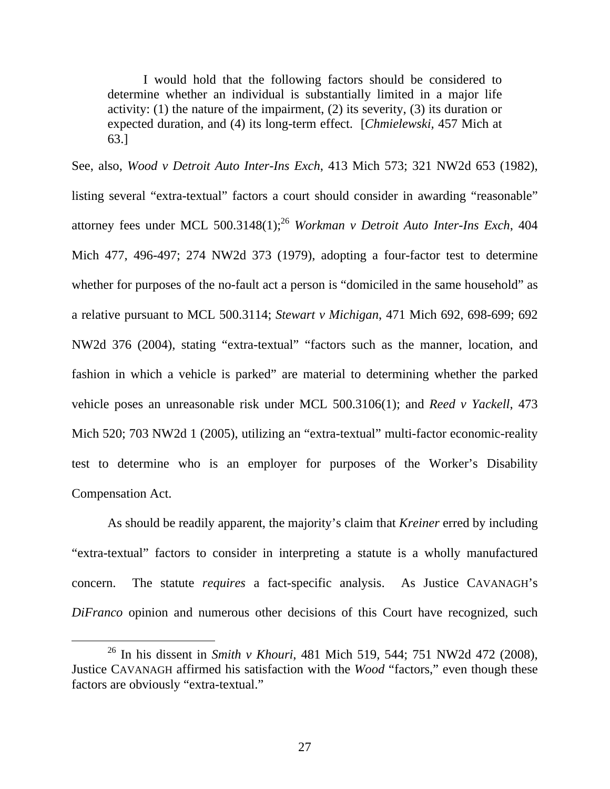I would hold that the following factors should be considered to determine whether an individual is substantially limited in a major life activity: (1) the nature of the impairment, (2) its severity, (3) its duration or expected duration, and (4) its long-term effect. [*Chmielewski,* 457 Mich at 63.]

See, also, *Wood v Detroit Auto Inter-Ins Exch*, 413 Mich 573; 321 NW2d 653 (1982), listing several "extra-textual" factors a court should consider in awarding "reasonable" attorney fees under MCL 500.3148(1);26 *Workman v Detroit Auto Inter-Ins Exch*, 404 Mich 477, 496-497; 274 NW2d 373 (1979), adopting a four-factor test to determine whether for purposes of the no-fault act a person is "domiciled in the same household" as a relative pursuant to MCL 500.3114; *Stewart v Michigan*, 471 Mich 692, 698-699; 692 NW2d 376 (2004), stating "extra-textual" "factors such as the manner, location, and fashion in which a vehicle is parked" are material to determining whether the parked vehicle poses an unreasonable risk under MCL 500.3106(1); and *Reed v Yackell*, 473 Mich 520; 703 NW2d 1 (2005), utilizing an "extra-textual" multi-factor economic-reality test to determine who is an employer for purposes of the Worker's Disability Compensation Act.

As should be readily apparent, the majority's claim that *Kreiner* erred by including "extra-textual" factors to consider in interpreting a statute is a wholly manufactured concern. The statute *requires* a fact-specific analysis. As Justice CAVANAGH's *DiFranco* opinion and numerous other decisions of this Court have recognized, such

 <sup>26</sup> In his dissent in *Smith v Khouri*, 481 Mich 519, 544; 751 NW2d 472 (2008), Justice CAVANAGH affirmed his satisfaction with the *Wood* "factors," even though these factors are obviously "extra-textual."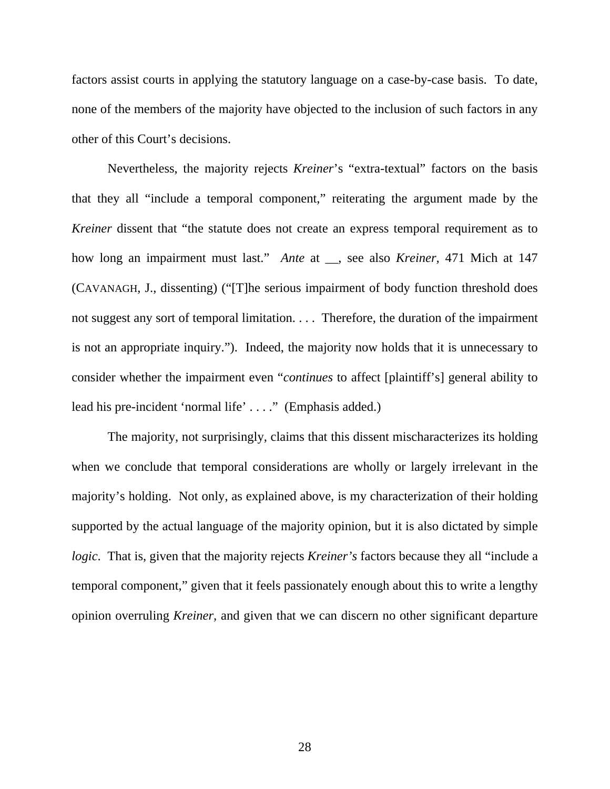factors assist courts in applying the statutory language on a case-by-case basis. To date, none of the members of the majority have objected to the inclusion of such factors in any other of this Court's decisions.

 Nevertheless, the majority rejects *Kreiner*'s "extra-textual" factors on the basis that they all "include a temporal component," reiterating the argument made by the *Kreiner* dissent that "the statute does not create an express temporal requirement as to how long an impairment must last." *Ante* at \_\_, see also *Kreiner,* 471 Mich at 147 (CAVANAGH, J., dissenting) ("[T]he serious impairment of body function threshold does not suggest any sort of temporal limitation. . . . Therefore, the duration of the impairment is not an appropriate inquiry."). Indeed, the majority now holds that it is unnecessary to consider whether the impairment even "*continues* to affect [plaintiff's] general ability to lead his pre-incident 'normal life' . . . ." (Emphasis added.)

The majority, not surprisingly, claims that this dissent mischaracterizes its holding when we conclude that temporal considerations are wholly or largely irrelevant in the majority's holding. Not only, as explained above, is my characterization of their holding supported by the actual language of the majority opinion, but it is also dictated by simple *logic*. That is, given that the majority rejects *Kreiner's* factors because they all "include a temporal component," given that it feels passionately enough about this to write a lengthy opinion overruling *Kreiner,* and given that we can discern no other significant departure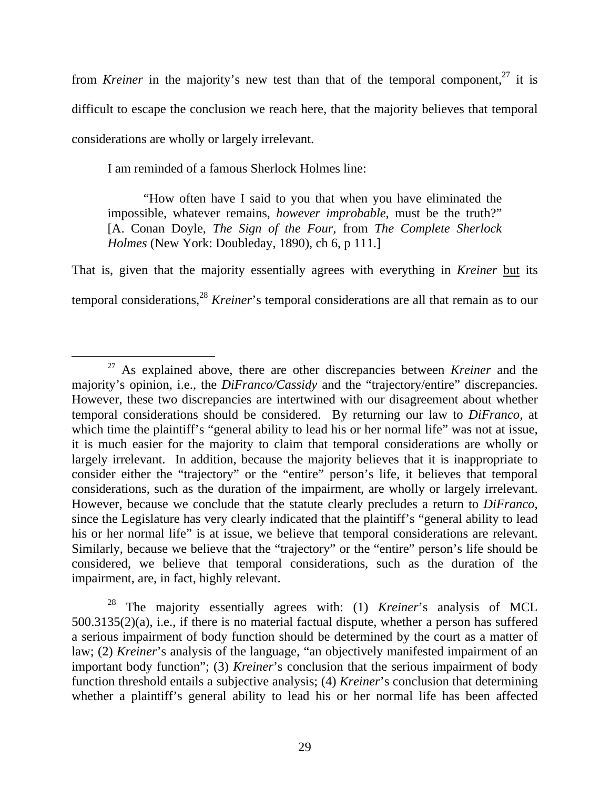from *Kreiner* in the majority's new test than that of the temporal component,  $27$  it is difficult to escape the conclusion we reach here, that the majority believes that temporal considerations are wholly or largely irrelevant.

I am reminded of a famous Sherlock Holmes line:

"How often have I said to you that when you have eliminated the impossible, whatever remains, *however improbable*, must be the truth?" [A. Conan Doyle, *The Sign of the Four,* from *The Complete Sherlock Holmes* (New York: Doubleday, 1890), ch 6, p 111.]

That is, given that the majority essentially agrees with everything in *Kreiner* but its temporal considerations,<sup>28</sup> *Kreiner*'s temporal considerations are all that remain as to our

 <sup>27</sup> As explained above, there are other discrepancies between *Kreiner* and the majority's opinion, i.e., the *DiFranco/Cassidy* and the "trajectory/entire" discrepancies. However, these two discrepancies are intertwined with our disagreement about whether temporal considerations should be considered. By returning our law to *DiFranco,* at which time the plaintiff's "general ability to lead his or her normal life" was not at issue, it is much easier for the majority to claim that temporal considerations are wholly or largely irrelevant. In addition, because the majority believes that it is inappropriate to consider either the "trajectory" or the "entire" person's life, it believes that temporal considerations, such as the duration of the impairment, are wholly or largely irrelevant. However, because we conclude that the statute clearly precludes a return to *DiFranco*, since the Legislature has very clearly indicated that the plaintiff's "general ability to lead his or her normal life" is at issue, we believe that temporal considerations are relevant. Similarly, because we believe that the "trajectory" or the "entire" person's life should be considered, we believe that temporal considerations, such as the duration of the impairment, are, in fact, highly relevant.

<sup>28</sup> The majority essentially agrees with: (1) *Kreiner*'s analysis of MCL 500.3135(2)(a), i.e., if there is no material factual dispute, whether a person has suffered a serious impairment of body function should be determined by the court as a matter of law; (2) *Kreiner*'s analysis of the language, "an objectively manifested impairment of an important body function"; (3) *Kreiner*'s conclusion that the serious impairment of body function threshold entails a subjective analysis; (4) *Kreiner*'s conclusion that determining whether a plaintiff's general ability to lead his or her normal life has been affected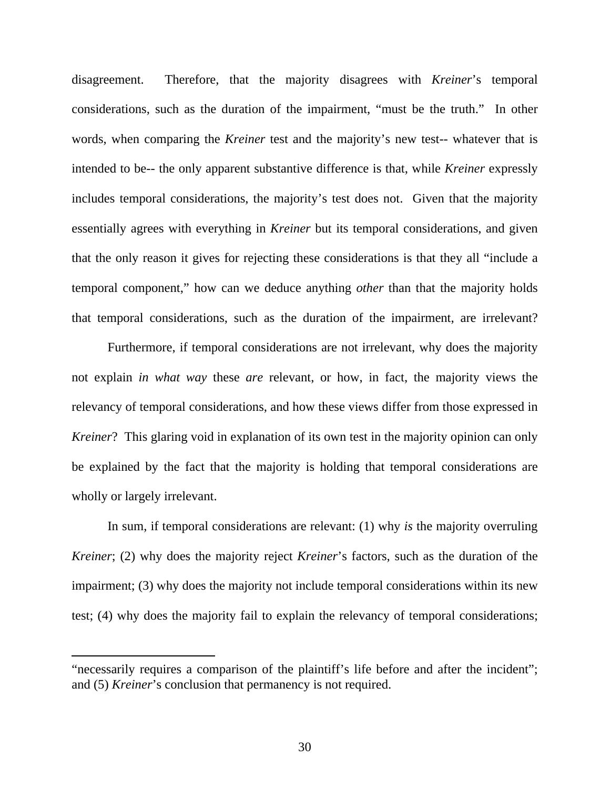disagreement. Therefore, that the majority disagrees with *Kreiner*'s temporal considerations, such as the duration of the impairment, "must be the truth." In other words, when comparing the *Kreiner* test and the majority's new test-- whatever that is intended to be-- the only apparent substantive difference is that, while *Kreiner* expressly includes temporal considerations, the majority's test does not. Given that the majority essentially agrees with everything in *Kreiner* but its temporal considerations, and given that the only reason it gives for rejecting these considerations is that they all "include a temporal component," how can we deduce anything *other* than that the majority holds that temporal considerations, such as the duration of the impairment, are irrelevant?

 Furthermore, if temporal considerations are not irrelevant, why does the majority not explain *in what way* these *are* relevant, or how, in fact, the majority views the relevancy of temporal considerations, and how these views differ from those expressed in *Kreiner*? This glaring void in explanation of its own test in the majority opinion can only be explained by the fact that the majority is holding that temporal considerations are wholly or largely irrelevant.

 In sum, if temporal considerations are relevant: (1) why *is* the majority overruling *Kreiner*; (2) why does the majority reject *Kreiner*'s factors, such as the duration of the impairment; (3) why does the majority not include temporal considerations within its new test; (4) why does the majority fail to explain the relevancy of temporal considerations;

 $\overline{a}$ 

<sup>&</sup>quot;necessarily requires a comparison of the plaintiff's life before and after the incident"; and (5) *Kreiner*'s conclusion that permanency is not required.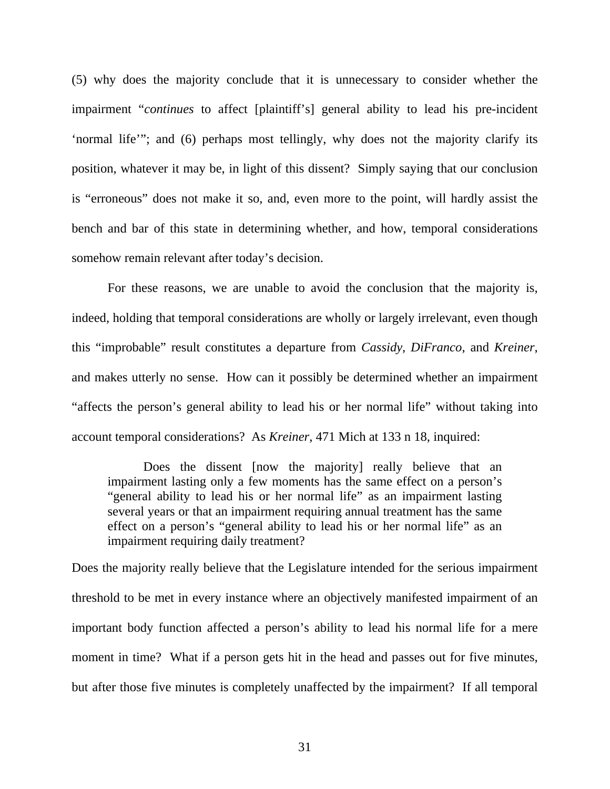(5) why does the majority conclude that it is unnecessary to consider whether the impairment "*continues* to affect [plaintiff's] general ability to lead his pre-incident 'normal life'"; and (6) perhaps most tellingly, why does not the majority clarify its position, whatever it may be, in light of this dissent? Simply saying that our conclusion is "erroneous" does not make it so, and, even more to the point, will hardly assist the bench and bar of this state in determining whether, and how, temporal considerations somehow remain relevant after today's decision.

 For these reasons, we are unable to avoid the conclusion that the majority is, indeed, holding that temporal considerations are wholly or largely irrelevant, even though this "improbable" result constitutes a departure from *Cassidy*, *DiFranco*, and *Kreiner*, and makes utterly no sense. How can it possibly be determined whether an impairment "affects the person's general ability to lead his or her normal life" without taking into account temporal considerations? As *Kreiner*, 471 Mich at 133 n 18, inquired:

 Does the dissent [now the majority] really believe that an impairment lasting only a few moments has the same effect on a person's "general ability to lead his or her normal life" as an impairment lasting several years or that an impairment requiring annual treatment has the same effect on a person's "general ability to lead his or her normal life" as an impairment requiring daily treatment?

Does the majority really believe that the Legislature intended for the serious impairment threshold to be met in every instance where an objectively manifested impairment of an important body function affected a person's ability to lead his normal life for a mere moment in time? What if a person gets hit in the head and passes out for five minutes, but after those five minutes is completely unaffected by the impairment? If all temporal

31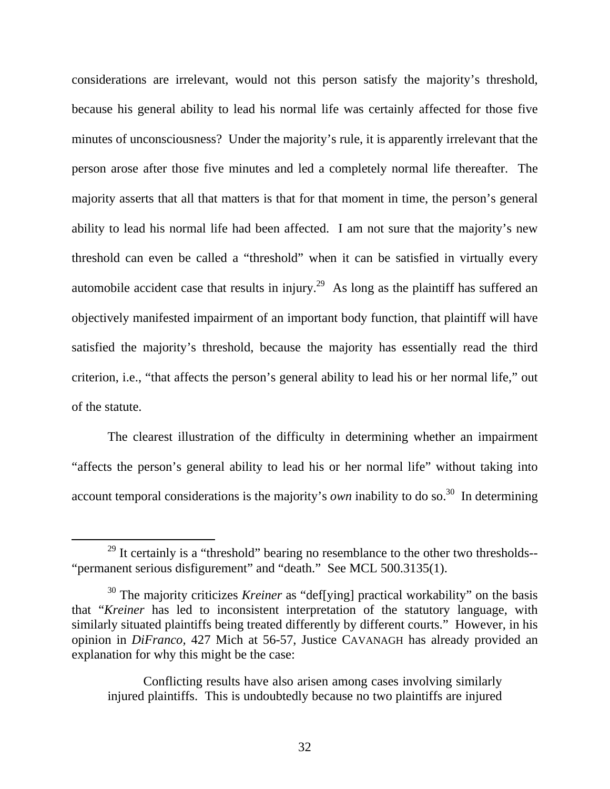considerations are irrelevant, would not this person satisfy the majority's threshold, because his general ability to lead his normal life was certainly affected for those five minutes of unconsciousness? Under the majority's rule, it is apparently irrelevant that the person arose after those five minutes and led a completely normal life thereafter. The majority asserts that all that matters is that for that moment in time, the person's general ability to lead his normal life had been affected. I am not sure that the majority's new threshold can even be called a "threshold" when it can be satisfied in virtually every automobile accident case that results in injury.<sup>29</sup> As long as the plaintiff has suffered an objectively manifested impairment of an important body function, that plaintiff will have satisfied the majority's threshold, because the majority has essentially read the third criterion, i.e., "that affects the person's general ability to lead his or her normal life," out of the statute.

The clearest illustration of the difficulty in determining whether an impairment "affects the person's general ability to lead his or her normal life" without taking into account temporal considerations is the majority's *own* inability to do so.<sup>30</sup> In determining

 $29$  It certainly is a "threshold" bearing no resemblance to the other two thresholds--"permanent serious disfigurement" and "death." See MCL 500.3135(1).

<sup>&</sup>lt;sup>30</sup> The majority criticizes *Kreiner* as "def[ying] practical workability" on the basis that "*Kreiner* has led to inconsistent interpretation of the statutory language, with similarly situated plaintiffs being treated differently by different courts." However, in his opinion in *DiFranco,* 427 Mich at 56-57, Justice CAVANAGH has already provided an explanation for why this might be the case:

Conflicting results have also arisen among cases involving similarly injured plaintiffs. This is undoubtedly because no two plaintiffs are injured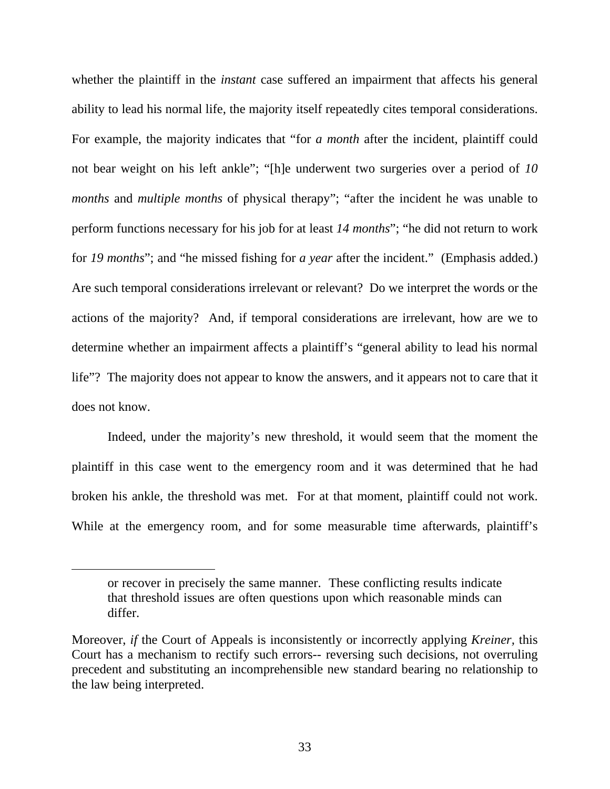whether the plaintiff in the *instant* case suffered an impairment that affects his general ability to lead his normal life, the majority itself repeatedly cites temporal considerations. For example, the majority indicates that "for *a month* after the incident, plaintiff could not bear weight on his left ankle"; "[h]e underwent two surgeries over a period of *10 months* and *multiple months* of physical therapy"; "after the incident he was unable to perform functions necessary for his job for at least *14 months*"; "he did not return to work for *19 months*"; and "he missed fishing for *a year* after the incident." (Emphasis added.) Are such temporal considerations irrelevant or relevant? Do we interpret the words or the actions of the majority? And, if temporal considerations are irrelevant, how are we to determine whether an impairment affects a plaintiff's "general ability to lead his normal life"? The majority does not appear to know the answers, and it appears not to care that it does not know.

 Indeed, under the majority's new threshold, it would seem that the moment the plaintiff in this case went to the emergency room and it was determined that he had broken his ankle, the threshold was met. For at that moment, plaintiff could not work. While at the emergency room, and for some measurable time afterwards, plaintiff's

or recover in precisely the same manner. These conflicting results indicate that threshold issues are often questions upon which reasonable minds can differ.

Moreover, *if* the Court of Appeals is inconsistently or incorrectly applying *Kreiner,* this Court has a mechanism to rectify such errors-- reversing such decisions, not overruling precedent and substituting an incomprehensible new standard bearing no relationship to the law being interpreted.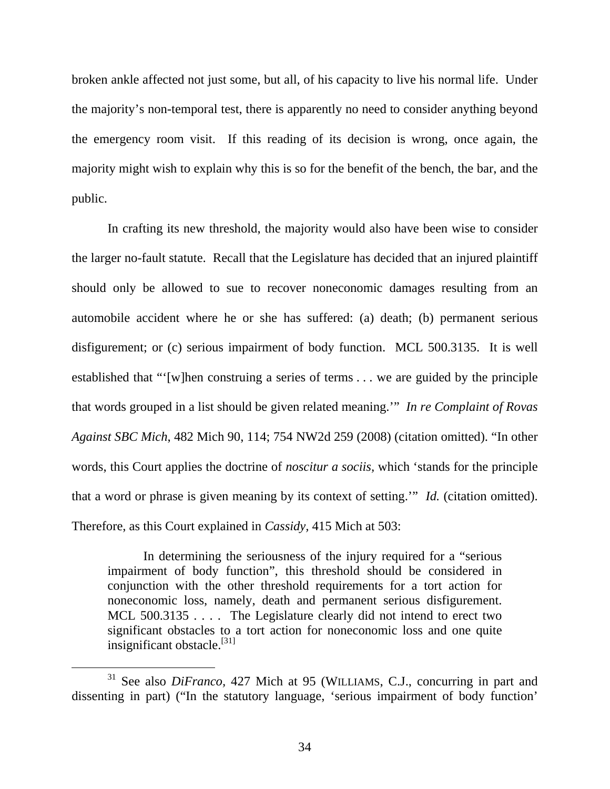broken ankle affected not just some, but all, of his capacity to live his normal life. Under the majority's non-temporal test, there is apparently no need to consider anything beyond the emergency room visit. If this reading of its decision is wrong, once again, the majority might wish to explain why this is so for the benefit of the bench, the bar, and the public.

In crafting its new threshold, the majority would also have been wise to consider the larger no-fault statute. Recall that the Legislature has decided that an injured plaintiff should only be allowed to sue to recover noneconomic damages resulting from an automobile accident where he or she has suffered: (a) death; (b) permanent serious disfigurement; or (c) serious impairment of body function. MCL 500.3135. It is well established that "'[w]hen construing a series of terms . . . we are guided by the principle that words grouped in a list should be given related meaning.'" *In re Complaint of Rovas Against SBC Mich*, 482 Mich 90, 114; 754 NW2d 259 (2008) (citation omitted). "In other words, this Court applies the doctrine of *noscitur a sociis,* which 'stands for the principle that a word or phrase is given meaning by its context of setting.'" *Id.* (citation omitted). Therefore, as this Court explained in *Cassidy,* 415 Mich at 503:

In determining the seriousness of the injury required for a "serious impairment of body function", this threshold should be considered in conjunction with the other threshold requirements for a tort action for noneconomic loss, namely, death and permanent serious disfigurement. MCL 500.3135 . . . . The Legislature clearly did not intend to erect two significant obstacles to a tort action for noneconomic loss and one quite insignificant obstacle.[31]

 <sup>31</sup> See also *DiFranco,* 427 Mich at 95 (WILLIAMS, C.J., concurring in part and dissenting in part) ("In the statutory language, 'serious impairment of body function'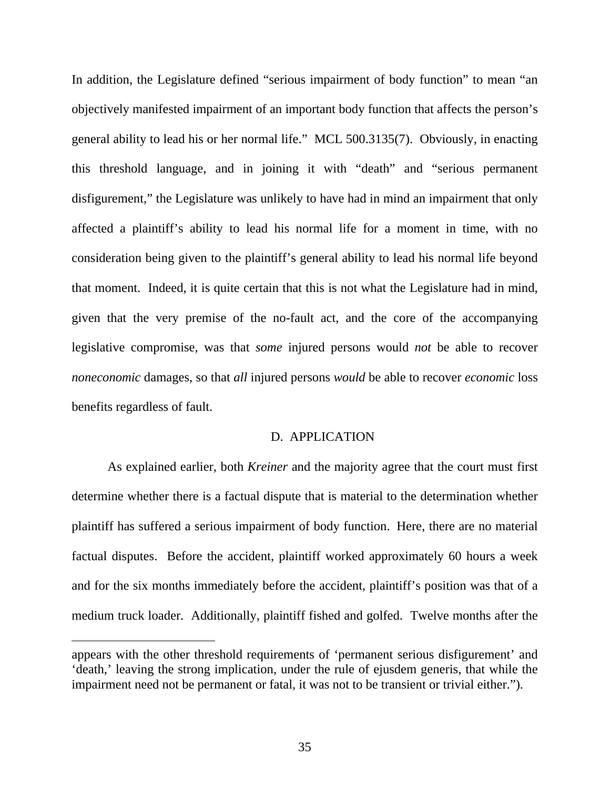In addition, the Legislature defined "serious impairment of body function" to mean "an objectively manifested impairment of an important body function that affects the person's general ability to lead his or her normal life." MCL 500.3135(7). Obviously, in enacting this threshold language, and in joining it with "death" and "serious permanent disfigurement," the Legislature was unlikely to have had in mind an impairment that only affected a plaintiff's ability to lead his normal life for a moment in time, with no consideration being given to the plaintiff's general ability to lead his normal life beyond that moment. Indeed, it is quite certain that this is not what the Legislature had in mind, given that the very premise of the no-fault act, and the core of the accompanying legislative compromise, was that *some* injured persons would *not* be able to recover *noneconomic* damages, so that *all* injured persons *would* be able to recover *economic* loss benefits regardless of fault.

## D. APPLICATION

As explained earlier, both *Kreiner* and the majority agree that the court must first determine whether there is a factual dispute that is material to the determination whether plaintiff has suffered a serious impairment of body function. Here, there are no material factual disputes. Before the accident, plaintiff worked approximately 60 hours a week and for the six months immediately before the accident, plaintiff's position was that of a medium truck loader. Additionally, plaintiff fished and golfed. Twelve months after the

 $\overline{a}$ 

appears with the other threshold requirements of 'permanent serious disfigurement' and 'death,' leaving the strong implication, under the rule of ejusdem generis, that while the impairment need not be permanent or fatal, it was not to be transient or trivial either.").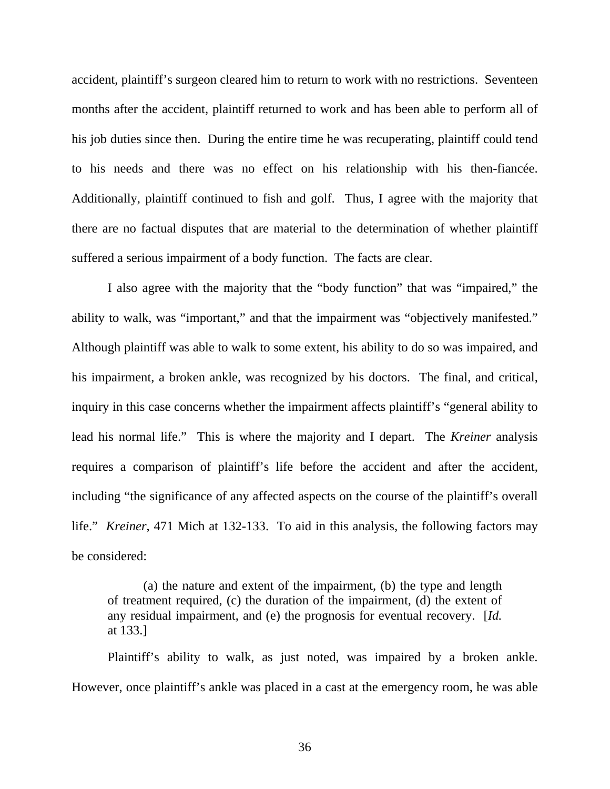accident, plaintiff's surgeon cleared him to return to work with no restrictions. Seventeen months after the accident, plaintiff returned to work and has been able to perform all of his job duties since then. During the entire time he was recuperating, plaintiff could tend to his needs and there was no effect on his relationship with his then-fiancée. Additionally, plaintiff continued to fish and golf. Thus, I agree with the majority that there are no factual disputes that are material to the determination of whether plaintiff suffered a serious impairment of a body function. The facts are clear.

I also agree with the majority that the "body function" that was "impaired," the ability to walk, was "important," and that the impairment was "objectively manifested." Although plaintiff was able to walk to some extent, his ability to do so was impaired, and his impairment, a broken ankle, was recognized by his doctors. The final, and critical, inquiry in this case concerns whether the impairment affects plaintiff's "general ability to lead his normal life." This is where the majority and I depart. The *Kreiner* analysis requires a comparison of plaintiff's life before the accident and after the accident, including "the significance of any affected aspects on the course of the plaintiff's overall life." *Kreiner*, 471 Mich at 132-133. To aid in this analysis, the following factors may be considered:

(a) the nature and extent of the impairment, (b) the type and length of treatment required, (c) the duration of the impairment, (d) the extent of any residual impairment, and (e) the prognosis for eventual recovery. [*Id.*  at 133.]

Plaintiff's ability to walk, as just noted, was impaired by a broken ankle. However, once plaintiff's ankle was placed in a cast at the emergency room, he was able

36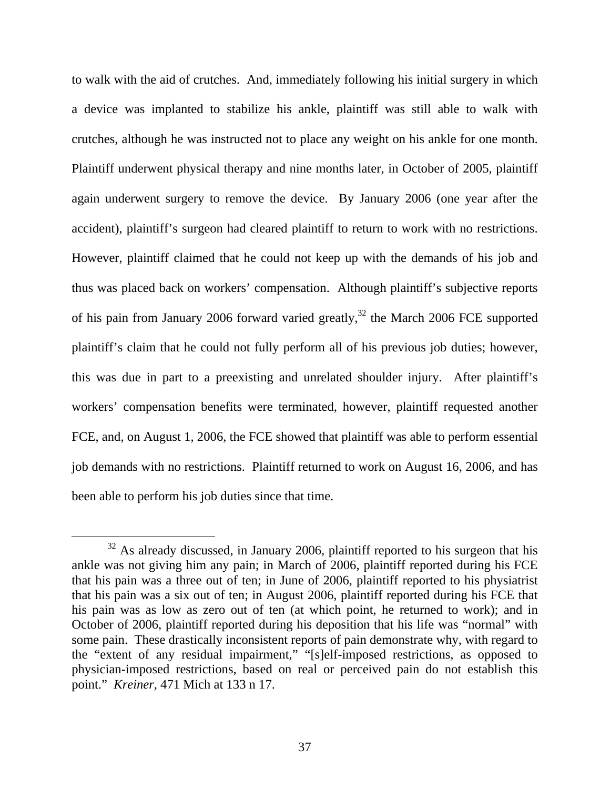to walk with the aid of crutches. And, immediately following his initial surgery in which a device was implanted to stabilize his ankle, plaintiff was still able to walk with crutches, although he was instructed not to place any weight on his ankle for one month. Plaintiff underwent physical therapy and nine months later, in October of 2005, plaintiff again underwent surgery to remove the device. By January 2006 (one year after the accident), plaintiff's surgeon had cleared plaintiff to return to work with no restrictions. However, plaintiff claimed that he could not keep up with the demands of his job and thus was placed back on workers' compensation. Although plaintiff's subjective reports of his pain from January 2006 forward varied greatly, $32$  the March 2006 FCE supported plaintiff's claim that he could not fully perform all of his previous job duties; however, this was due in part to a preexisting and unrelated shoulder injury. After plaintiff's workers' compensation benefits were terminated, however, plaintiff requested another FCE, and, on August 1, 2006, the FCE showed that plaintiff was able to perform essential job demands with no restrictions. Plaintiff returned to work on August 16, 2006, and has been able to perform his job duties since that time.

 $32$  As already discussed, in January 2006, plaintiff reported to his surgeon that his ankle was not giving him any pain; in March of 2006, plaintiff reported during his FCE that his pain was a three out of ten; in June of 2006, plaintiff reported to his physiatrist that his pain was a six out of ten; in August 2006, plaintiff reported during his FCE that his pain was as low as zero out of ten (at which point, he returned to work); and in October of 2006, plaintiff reported during his deposition that his life was "normal" with some pain. These drastically inconsistent reports of pain demonstrate why, with regard to the "extent of any residual impairment," "[s]elf-imposed restrictions, as opposed to physician-imposed restrictions, based on real or perceived pain do not establish this point." *Kreiner,* 471 Mich at 133 n 17.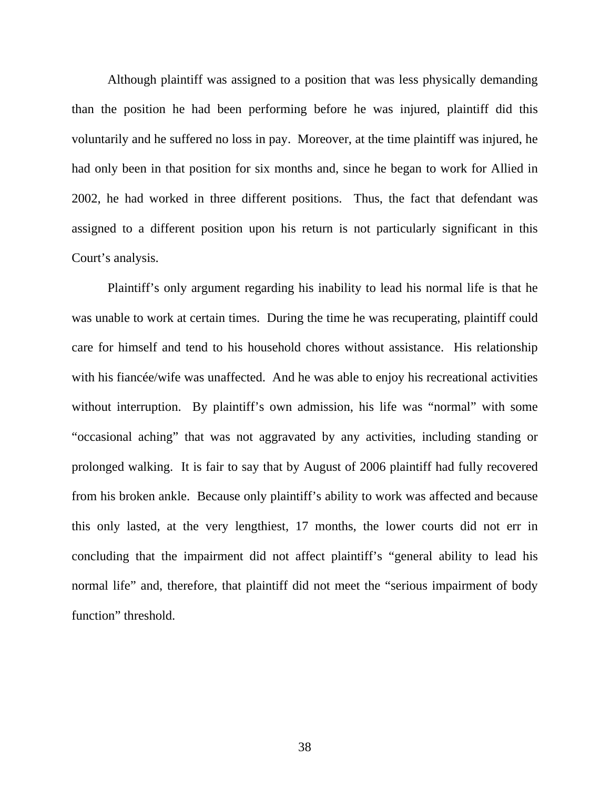Although plaintiff was assigned to a position that was less physically demanding than the position he had been performing before he was injured, plaintiff did this voluntarily and he suffered no loss in pay. Moreover, at the time plaintiff was injured, he had only been in that position for six months and, since he began to work for Allied in 2002, he had worked in three different positions. Thus, the fact that defendant was assigned to a different position upon his return is not particularly significant in this Court's analysis.

Plaintiff's only argument regarding his inability to lead his normal life is that he was unable to work at certain times. During the time he was recuperating, plaintiff could care for himself and tend to his household chores without assistance. His relationship with his fiancée/wife was unaffected. And he was able to enjoy his recreational activities without interruption. By plaintiff's own admission, his life was "normal" with some "occasional aching" that was not aggravated by any activities, including standing or prolonged walking. It is fair to say that by August of 2006 plaintiff had fully recovered from his broken ankle. Because only plaintiff's ability to work was affected and because this only lasted, at the very lengthiest, 17 months, the lower courts did not err in concluding that the impairment did not affect plaintiff's "general ability to lead his normal life" and, therefore, that plaintiff did not meet the "serious impairment of body function" threshold.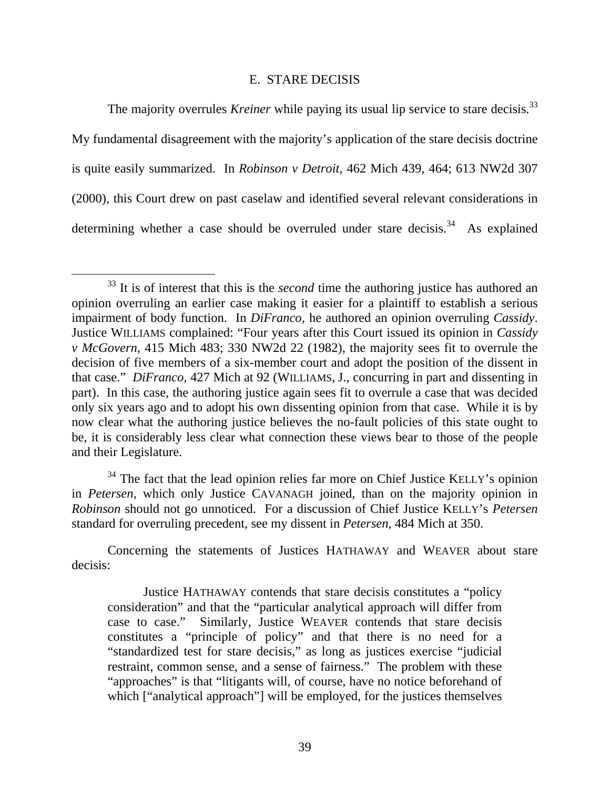### E. STARE DECISIS

The majority overrules *Kreiner* while paying its usual lip service to stare decisis.<sup>33</sup> My fundamental disagreement with the majority's application of the stare decisis doctrine is quite easily summarized. In *Robinson v Detroit,* 462 Mich 439, 464; 613 NW2d 307 (2000), this Court drew on past caselaw and identified several relevant considerations in determining whether a case should be overruled under stare decisis.<sup>34</sup> As explained

<sup>34</sup> The fact that the lead opinion relies far more on Chief Justice KELLY's opinion in *Petersen*, which only Justice CAVANAGH joined, than on the majority opinion in *Robinson* should not go unnoticed. For a discussion of Chief Justice KELLY's *Petersen*  standard for overruling precedent, see my dissent in *Petersen,* 484 Mich at 350.

Concerning the statements of Justices HATHAWAY and WEAVER about stare decisis:

Justice HATHAWAY contends that stare decisis constitutes a "policy consideration" and that the "particular analytical approach will differ from case to case." Similarly, Justice WEAVER contends that stare decisis constitutes a "principle of policy" and that there is no need for a "standardized test for stare decisis," as long as justices exercise "judicial restraint, common sense, and a sense of fairness." The problem with these "approaches" is that "litigants will, of course, have no notice beforehand of which ["analytical approach"] will be employed, for the justices themselves

<sup>&</sup>lt;sup>33</sup> It is of interest that this is the *second* time the authoring justice has authored an opinion overruling an earlier case making it easier for a plaintiff to establish a serious impairment of body function. In *DiFranco*, he authored an opinion overruling *Cassidy*. Justice WILLIAMS complained: "Four years after this Court issued its opinion in *Cassidy v McGovern,* 415 Mich 483; 330 NW2d 22 (1982), the majority sees fit to overrule the decision of five members of a six-member court and adopt the position of the dissent in that case." *DiFranco,* 427 Mich at 92 (WILLIAMS, J., concurring in part and dissenting in part). In this case, the authoring justice again sees fit to overrule a case that was decided only six years ago and to adopt his own dissenting opinion from that case. While it is by now clear what the authoring justice believes the no-fault policies of this state ought to be, it is considerably less clear what connection these views bear to those of the people and their Legislature.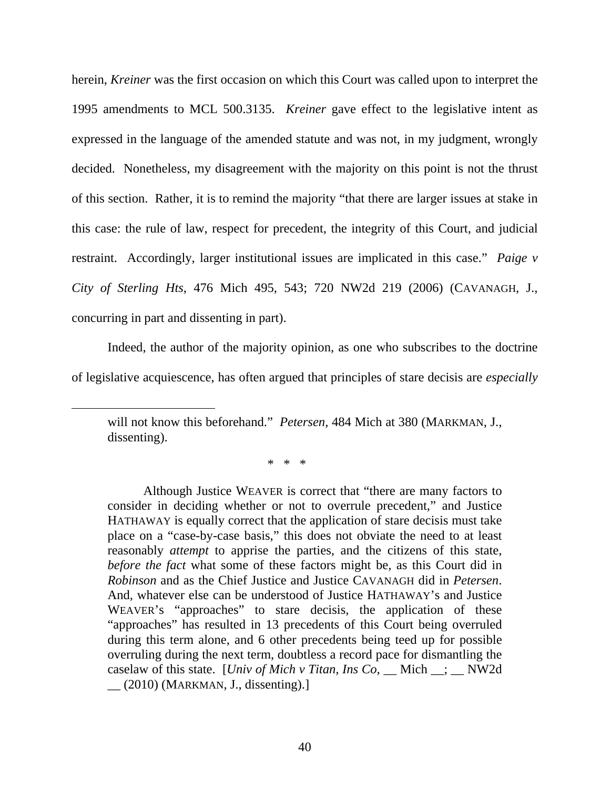herein, *Kreiner* was the first occasion on which this Court was called upon to interpret the 1995 amendments to MCL 500.3135. *Kreiner* gave effect to the legislative intent as expressed in the language of the amended statute and was not, in my judgment, wrongly decided. Nonetheless, my disagreement with the majority on this point is not the thrust of this section. Rather, it is to remind the majority "that there are larger issues at stake in this case: the rule of law, respect for precedent, the integrity of this Court, and judicial restraint. Accordingly, larger institutional issues are implicated in this case." *Paige v City of Sterling Hts*, 476 Mich 495, 543; 720 NW2d 219 (2006) (CAVANAGH, J., concurring in part and dissenting in part).

Indeed, the author of the majority opinion, as one who subscribes to the doctrine of legislative acquiescence, has often argued that principles of stare decisis are *especially* 

will not know this beforehand." *Petersen,* 484 Mich at 380 (MARKMAN, J., dissenting).

\* \* \*

 $\overline{a}$ 

Although Justice WEAVER is correct that "there are many factors to consider in deciding whether or not to overrule precedent," and Justice HATHAWAY is equally correct that the application of stare decisis must take place on a "case-by-case basis," this does not obviate the need to at least reasonably *attempt* to apprise the parties, and the citizens of this state, *before the fact* what some of these factors might be, as this Court did in *Robinson* and as the Chief Justice and Justice CAVANAGH did in *Petersen*. And, whatever else can be understood of Justice HATHAWAY's and Justice WEAVER's "approaches" to stare decisis, the application of these "approaches" has resulted in 13 precedents of this Court being overruled during this term alone, and 6 other precedents being teed up for possible overruling during the next term, doubtless a record pace for dismantling the caselaw of this state. [*Univ of Mich v Titan, Ins Co,* \_\_ Mich \_\_; \_\_ NW2d  $\_\_$  (2010) (MARKMAN, J., dissenting).]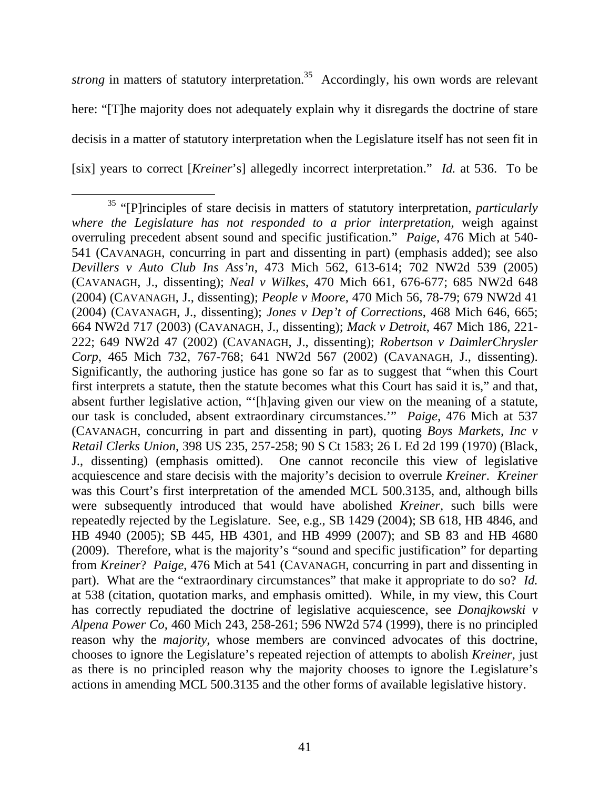*strong* in matters of statutory interpretation.<sup>35</sup> Accordingly, his own words are relevant here: "[T]he majority does not adequately explain why it disregards the doctrine of stare decisis in a matter of statutory interpretation when the Legislature itself has not seen fit in [six] years to correct [*Kreiner*'s] allegedly incorrect interpretation." *Id.* at 536. To be

 <sup>35 &</sup>quot;[P]rinciples of stare decisis in matters of statutory interpretation, *particularly where the Legislature has not responded to a prior interpretation,* weigh against overruling precedent absent sound and specific justification." *Paige*, 476 Mich at 540- 541 (CAVANAGH, concurring in part and dissenting in part) (emphasis added); see also *Devillers v Auto Club Ins Ass'n*, 473 Mich 562, 613-614; 702 NW2d 539 (2005) (CAVANAGH, J., dissenting); *Neal v Wilkes*, 470 Mich 661, 676-677; 685 NW2d 648 (2004) (CAVANAGH, J., dissenting); *People v Moore*, 470 Mich 56, 78-79; 679 NW2d 41 (2004) (CAVANAGH, J., dissenting); *Jones v Dep't of Corrections*, 468 Mich 646, 665; 664 NW2d 717 (2003) (CAVANAGH, J., dissenting); *Mack v Detroit*, 467 Mich 186, 221- 222; 649 NW2d 47 (2002) (CAVANAGH, J., dissenting); *Robertson v DaimlerChrysler Corp*, 465 Mich 732, 767-768; 641 NW2d 567 (2002) (CAVANAGH, J., dissenting). Significantly, the authoring justice has gone so far as to suggest that "when this Court first interprets a statute, then the statute becomes what this Court has said it is," and that, absent further legislative action, "'[h]aving given our view on the meaning of a statute, our task is concluded, absent extraordinary circumstances.'" *Paige,* 476 Mich at 537 (CAVANAGH, concurring in part and dissenting in part), quoting *Boys Markets, Inc v Retail Clerks Union*, 398 US 235, 257-258; 90 S Ct 1583; 26 L Ed 2d 199 (1970) (Black, J., dissenting) (emphasis omitted). One cannot reconcile this view of legislative acquiescence and stare decisis with the majority's decision to overrule *Kreiner*. *Kreiner*  was this Court's first interpretation of the amended MCL 500.3135, and, although bills were subsequently introduced that would have abolished *Kreiner,* such bills were repeatedly rejected by the Legislature. See, e.g., SB 1429 (2004); SB 618, HB 4846, and HB 4940 (2005); SB 445, HB 4301, and HB 4999 (2007); and SB 83 and HB 4680 (2009). Therefore, what is the majority's "sound and specific justification" for departing from *Kreiner*? *Paige*, 476 Mich at 541 (CAVANAGH, concurring in part and dissenting in part). What are the "extraordinary circumstances" that make it appropriate to do so? *Id.* at 538 (citation, quotation marks, and emphasis omitted). While, in my view, this Court has correctly repudiated the doctrine of legislative acquiescence, see *Donajkowski v Alpena Power Co*, 460 Mich 243, 258-261; 596 NW2d 574 (1999), there is no principled reason why the *majority*, whose members are convinced advocates of this doctrine, chooses to ignore the Legislature's repeated rejection of attempts to abolish *Kreiner*, just as there is no principled reason why the majority chooses to ignore the Legislature's actions in amending MCL 500.3135 and the other forms of available legislative history.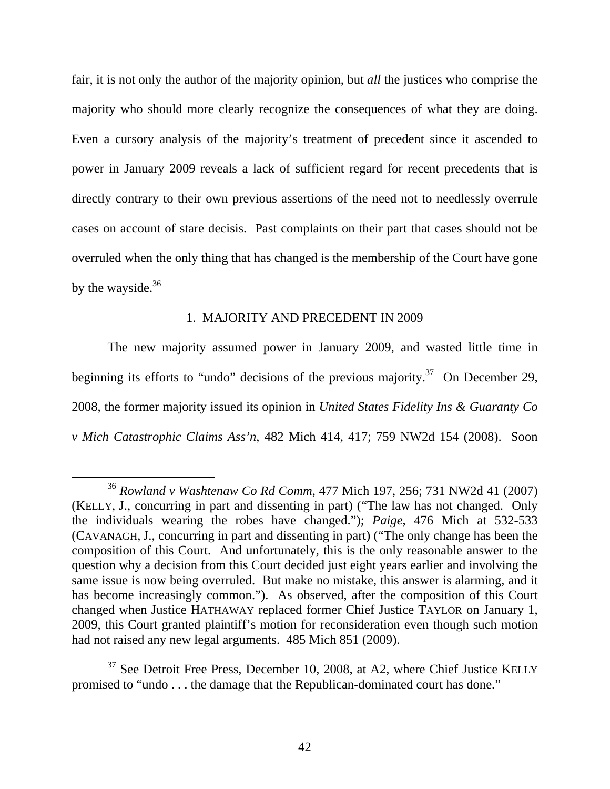fair, it is not only the author of the majority opinion, but *all* the justices who comprise the majority who should more clearly recognize the consequences of what they are doing. Even a cursory analysis of the majority's treatment of precedent since it ascended to power in January 2009 reveals a lack of sufficient regard for recent precedents that is directly contrary to their own previous assertions of the need not to needlessly overrule cases on account of stare decisis. Past complaints on their part that cases should not be overruled when the only thing that has changed is the membership of the Court have gone by the wayside.<sup>36</sup>

### 1. MAJORITY AND PRECEDENT IN 2009

The new majority assumed power in January 2009, and wasted little time in beginning its efforts to "undo" decisions of the previous majority.<sup>37</sup> On December 29, 2008, the former majority issued its opinion in *United States Fidelity Ins & Guaranty Co v Mich Catastrophic Claims Ass'n*, 482 Mich 414, 417; 759 NW2d 154 (2008). Soon

 <sup>36</sup> *Rowland v Washtenaw Co Rd Comm*, 477 Mich 197, 256; 731 NW2d 41 (2007) (KELLY, J., concurring in part and dissenting in part) ("The law has not changed. Only the individuals wearing the robes have changed."); *Paige*, 476 Mich at 532-533 (CAVANAGH, J., concurring in part and dissenting in part) ("The only change has been the composition of this Court. And unfortunately, this is the only reasonable answer to the question why a decision from this Court decided just eight years earlier and involving the same issue is now being overruled. But make no mistake, this answer is alarming, and it has become increasingly common."). As observed, after the composition of this Court changed when Justice HATHAWAY replaced former Chief Justice TAYLOR on January 1, 2009, this Court granted plaintiff's motion for reconsideration even though such motion had not raised any new legal arguments. 485 Mich 851 (2009).

 $37$  See Detroit Free Press, December 10, 2008, at A2, where Chief Justice KELLY promised to "undo . . . the damage that the Republican-dominated court has done."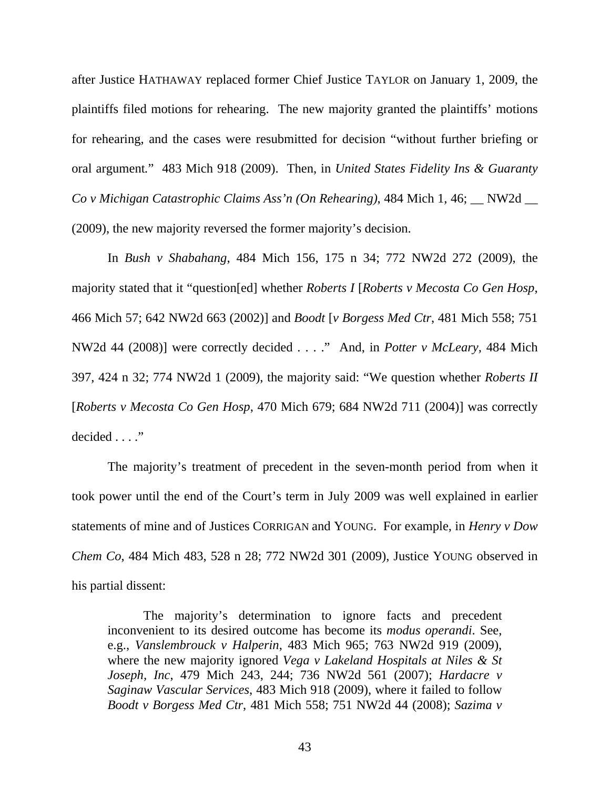after Justice HATHAWAY replaced former Chief Justice TAYLOR on January 1, 2009, the plaintiffs filed motions for rehearing. The new majority granted the plaintiffs' motions for rehearing, and the cases were resubmitted for decision "without further briefing or oral argument*.*" 483 Mich 918 (2009). Then, in *United States Fidelity Ins & Guaranty Co v Michigan Catastrophic Claims Ass'n (On Rehearing)*, 484 Mich 1, 46; \_\_ NW2d \_\_ (2009), the new majority reversed the former majority's decision.

In *Bush v Shabahang*, 484 Mich 156, 175 n 34; 772 NW2d 272 (2009), the majority stated that it "question[ed] whether *Roberts I* [*Roberts v Mecosta Co Gen Hosp*, 466 Mich 57; 642 NW2d 663 (2002)] and *Boodt* [*v Borgess Med Ctr*, 481 Mich 558; 751 NW2d 44 (2008)] were correctly decided . . . ." And, in *Potter v McLeary,* 484 Mich 397, 424 n 32; 774 NW2d 1 (2009), the majority said: "We question whether *Roberts II* [*Roberts v Mecosta Co Gen Hosp*, 470 Mich 679; 684 NW2d 711 (2004)] was correctly decided . . . ."

The majority's treatment of precedent in the seven-month period from when it took power until the end of the Court's term in July 2009 was well explained in earlier statements of mine and of Justices CORRIGAN and YOUNG. For example, in *Henry v Dow Chem Co*, 484 Mich 483, 528 n 28; 772 NW2d 301 (2009), Justice YOUNG observed in his partial dissent:

The majority's determination to ignore facts and precedent inconvenient to its desired outcome has become its *modus operandi*. See, e.g., *Vanslembrouck v Halperin*, 483 Mich 965; 763 NW2d 919 (2009), where the new majority ignored *Vega v Lakeland Hospitals at Niles & St Joseph, Inc*, 479 Mich 243, 244; 736 NW2d 561 (2007); *Hardacre v Saginaw Vascular Services*, 483 Mich 918 (2009), where it failed to follow *Boodt v Borgess Med Ctr*, 481 Mich 558; 751 NW2d 44 (2008); *Sazima v* 

43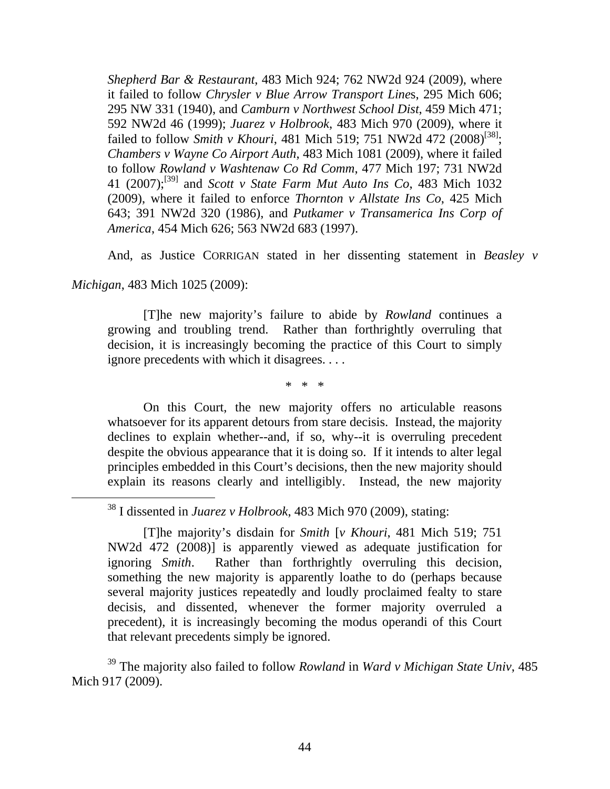*Shepherd Bar & Restaurant*, 483 Mich 924; 762 NW2d 924 (2009), where it failed to follow *Chrysler v Blue Arrow Transport Line*s, 295 Mich 606; 295 NW 331 (1940), and *Camburn v Northwest School Dist*, 459 Mich 471; 592 NW2d 46 (1999); *Juarez v Holbrook*, 483 Mich 970 (2009), where it failed to follow *Smith v Khouri*, 481 Mich 519; 751 NW2d 472 (2008)<sup>[38]</sup>; *Chambers v Wayne Co Airport Auth*, 483 Mich 1081 (2009), where it failed to follow *Rowland v Washtenaw Co Rd Comm*, 477 Mich 197; 731 NW2d 41 (2007);[39] and *Scott v State Farm Mut Auto Ins Co*, 483 Mich 1032 (2009), where it failed to enforce *Thornton v Allstate Ins Co*, 425 Mich 643; 391 NW2d 320 (1986), and *Putkamer v Transamerica Ins Corp of America*, 454 Mich 626; 563 NW2d 683 (1997).

And, as Justice CORRIGAN stated in her dissenting statement in *Beasley v* 

*Michigan*, 483 Mich 1025 (2009):

[T]he new majority's failure to abide by *Rowland* continues a growing and troubling trend. Rather than forthrightly overruling that decision, it is increasingly becoming the practice of this Court to simply ignore precedents with which it disagrees. . . .

\* \* \*

On this Court, the new majority offers no articulable reasons whatsoever for its apparent detours from stare decisis. Instead, the majority declines to explain whether--and, if so, why--it is overruling precedent despite the obvious appearance that it is doing so. If it intends to alter legal principles embedded in this Court's decisions, then the new majority should explain its reasons clearly and intelligibly. Instead, the new majority

39 The majority also failed to follow *Rowland* in *Ward v Michigan State Univ*, 485 Mich 917 (2009).

 <sup>38</sup> I dissented in *Juarez v Holbrook*, 483 Mich 970 (2009), stating:

<sup>[</sup>T]he majority's disdain for *Smith* [*v Khouri*, 481 Mich 519; 751 NW2d 472 (2008)] is apparently viewed as adequate justification for ignoring *Smith*. Rather than forthrightly overruling this decision, something the new majority is apparently loathe to do (perhaps because several majority justices repeatedly and loudly proclaimed fealty to stare decisis, and dissented, whenever the former majority overruled a precedent), it is increasingly becoming the modus operandi of this Court that relevant precedents simply be ignored.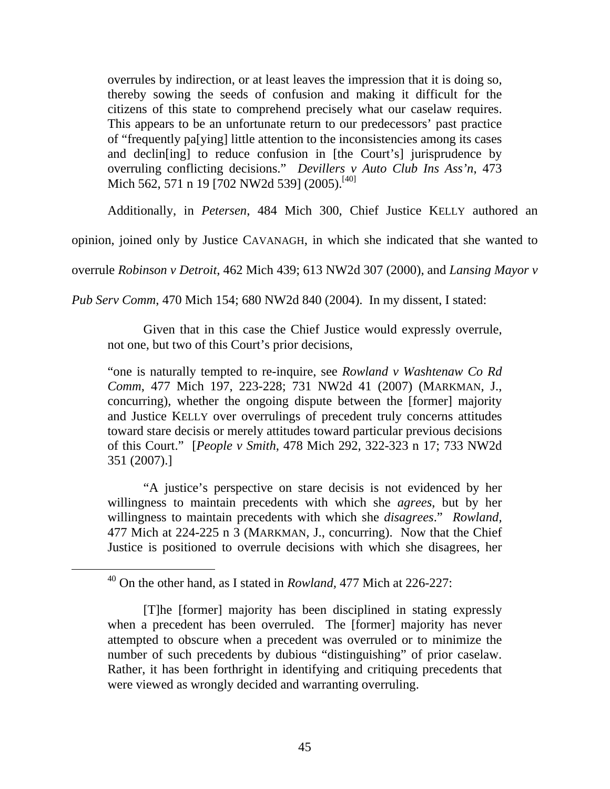overrules by indirection, or at least leaves the impression that it is doing so, thereby sowing the seeds of confusion and making it difficult for the citizens of this state to comprehend precisely what our caselaw requires. This appears to be an unfortunate return to our predecessors' past practice of "frequently pa[ying] little attention to the inconsistencies among its cases and declin[ing] to reduce confusion in [the Court's] jurisprudence by overruling conflicting decisions." *Devillers v Auto Club Ins Ass'n*, 473 Mich 562, 571 n 19 [702 NW2d 539] (2005).<sup>[40]</sup>

Additionally, in *Petersen*, 484 Mich 300, Chief Justice KELLY authored an

opinion, joined only by Justice CAVANAGH, in which she indicated that she wanted to

overrule *Robinson v Detroit*, 462 Mich 439; 613 NW2d 307 (2000), and *Lansing Mayor v* 

*Pub Serv Comm*, 470 Mich 154; 680 NW2d 840 (2004). In my dissent, I stated:

Given that in this case the Chief Justice would expressly overrule, not one, but two of this Court's prior decisions,

"one is naturally tempted to re-inquire, see *Rowland v Washtenaw Co Rd Comm*, 477 Mich 197, 223-228; 731 NW2d 41 (2007) (MARKMAN, J., concurring), whether the ongoing dispute between the [former] majority and Justice KELLY over overrulings of precedent truly concerns attitudes toward stare decisis or merely attitudes toward particular previous decisions of this Court." [*People v Smith*, 478 Mich 292, 322-323 n 17; 733 NW2d 351 (2007).]

"A justice's perspective on stare decisis is not evidenced by her willingness to maintain precedents with which she *agrees*, but by her willingness to maintain precedents with which she *disagrees*." *Rowland,* 477 Mich at 224-225 n 3 (MARKMAN, J., concurring). Now that the Chief Justice is positioned to overrule decisions with which she disagrees, her

 <sup>40</sup> On the other hand, as I stated in *Rowland,* 477 Mich at 226-227:

<sup>[</sup>T]he [former] majority has been disciplined in stating expressly when a precedent has been overruled. The [former] majority has never attempted to obscure when a precedent was overruled or to minimize the number of such precedents by dubious "distinguishing" of prior caselaw. Rather, it has been forthright in identifying and critiquing precedents that were viewed as wrongly decided and warranting overruling.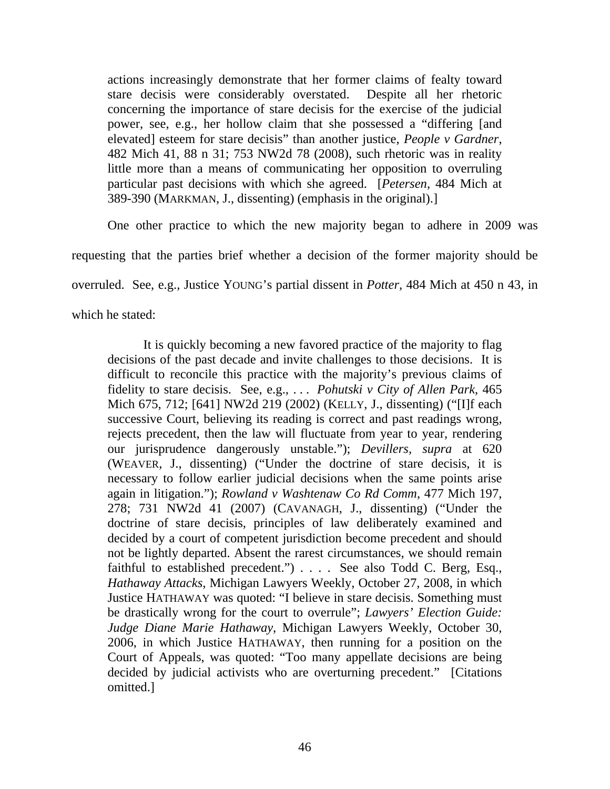actions increasingly demonstrate that her former claims of fealty toward stare decisis were considerably overstated. Despite all her rhetoric concerning the importance of stare decisis for the exercise of the judicial power, see, e.g., her hollow claim that she possessed a "differing [and elevated] esteem for stare decisis" than another justice, *People v Gardner*, 482 Mich 41, 88 n 31; 753 NW2d 78 (2008), such rhetoric was in reality little more than a means of communicating her opposition to overruling particular past decisions with which she agreed. [*Petersen*, 484 Mich at 389-390 (MARKMAN, J., dissenting) (emphasis in the original).]

One other practice to which the new majority began to adhere in 2009 was

requesting that the parties brief whether a decision of the former majority should be

overruled. See, e.g., Justice YOUNG's partial dissent in *Potter,* 484 Mich at 450 n 43, in

which he stated:

It is quickly becoming a new favored practice of the majority to flag decisions of the past decade and invite challenges to those decisions. It is difficult to reconcile this practice with the majority's previous claims of fidelity to stare decisis. See, e.g., . . . *Pohutski v City of Allen Park*, 465 Mich 675, 712; [641] NW2d 219 (2002) (KELLY, J., dissenting) ("[I]f each successive Court, believing its reading is correct and past readings wrong, rejects precedent, then the law will fluctuate from year to year, rendering our jurisprudence dangerously unstable."); *Devillers, supra* at 620 (WEAVER, J., dissenting) ("Under the doctrine of stare decisis, it is necessary to follow earlier judicial decisions when the same points arise again in litigation."); *Rowland v Washtenaw Co Rd Comm*, 477 Mich 197, 278; 731 NW2d 41 (2007) (CAVANAGH, J., dissenting) ("Under the doctrine of stare decisis, principles of law deliberately examined and decided by a court of competent jurisdiction become precedent and should not be lightly departed. Absent the rarest circumstances, we should remain faithful to established precedent.") . . . . See also Todd C. Berg, Esq., *Hathaway Attacks*, Michigan Lawyers Weekly, October 27, 2008, in which Justice HATHAWAY was quoted: "I believe in stare decisis. Something must be drastically wrong for the court to overrule"; *Lawyers' Election Guide: Judge Diane Marie Hathaway*, Michigan Lawyers Weekly, October 30, 2006, in which Justice HATHAWAY, then running for a position on the Court of Appeals, was quoted: "Too many appellate decisions are being decided by judicial activists who are overturning precedent." [Citations omitted.]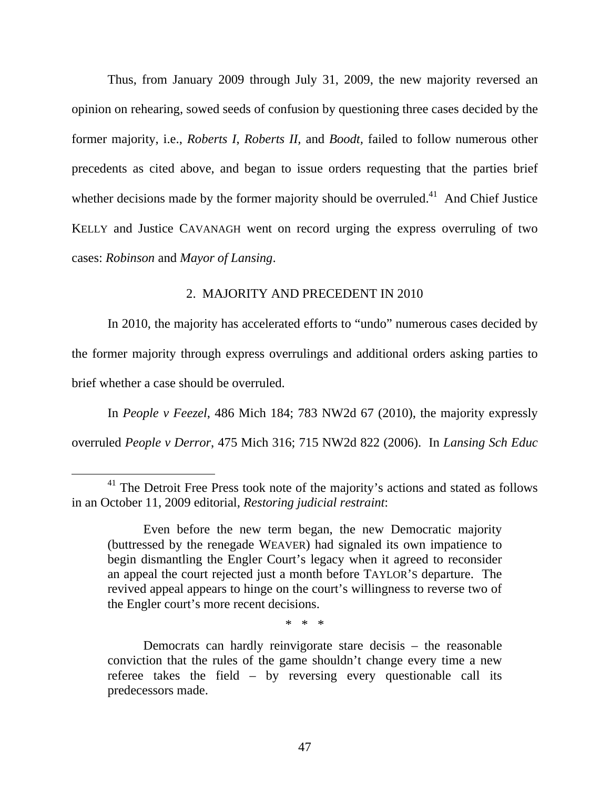Thus, from January 2009 through July 31, 2009, the new majority reversed an opinion on rehearing, sowed seeds of confusion by questioning three cases decided by the former majority, i.e., *Roberts I*, *Roberts II,* and *Boodt,* failed to follow numerous other precedents as cited above, and began to issue orders requesting that the parties brief whether decisions made by the former majority should be overruled.<sup>41</sup> And Chief Justice KELLY and Justice CAVANAGH went on record urging the express overruling of two cases: *Robinson* and *Mayor of Lansing*.

# 2. MAJORITY AND PRECEDENT IN 2010

In 2010, the majority has accelerated efforts to "undo" numerous cases decided by the former majority through express overrulings and additional orders asking parties to brief whether a case should be overruled.

In *People v Feezel*, 486 Mich 184; 783 NW2d 67 (2010), the majority expressly overruled *People v Derror*, 475 Mich 316; 715 NW2d 822 (2006). In *Lansing Sch Educ* 

\* \* \*

<sup>&</sup>lt;sup>41</sup> The Detroit Free Press took note of the majority's actions and stated as follows in an October 11, 2009 editorial, *Restoring judicial restraint*:

Even before the new term began, the new Democratic majority (buttressed by the renegade WEAVER) had signaled its own impatience to begin dismantling the Engler Court's legacy when it agreed to reconsider an appeal the court rejected just a month before TAYLOR'S departure. The revived appeal appears to hinge on the court's willingness to reverse two of the Engler court's more recent decisions.

Democrats can hardly reinvigorate stare decisis – the reasonable conviction that the rules of the game shouldn't change every time a new referee takes the field – by reversing every questionable call its predecessors made.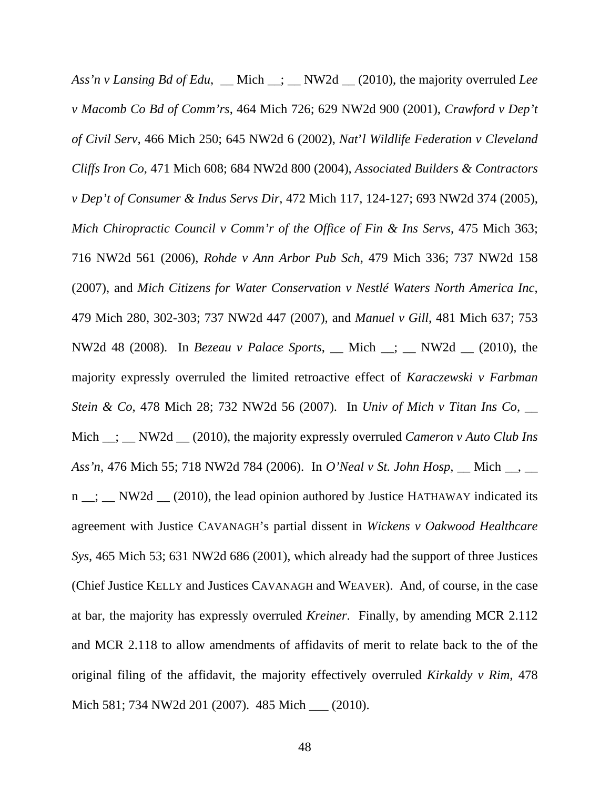*Ass'n v Lansing Bd of Edu*, \_\_ Mich \_\_; \_\_ NW2d \_\_ (2010), the majority overruled *Lee v Macomb Co Bd of Comm'rs*, 464 Mich 726; 629 NW2d 900 (2001), *Crawford v Dep't of Civil Serv,* 466 Mich 250; 645 NW2d 6 (2002), *Nat*'*l Wildlife Federation v Cleveland Cliffs Iron Co*, 471 Mich 608; 684 NW2d 800 (2004), *Associated Builders & Contractors v Dep't of Consumer & Indus Servs Dir*, 472 Mich 117, 124-127; 693 NW2d 374 (2005), *Mich Chiropractic Council v Comm'r of the Office of Fin & Ins Servs*, 475 Mich 363; 716 NW2d 561 (2006), *Rohde v Ann Arbor Pub Sch*, 479 Mich 336; 737 NW2d 158 (2007), and *Mich Citizens for Water Conservation v Nestlé Waters North America Inc*, 479 Mich 280, 302-303; 737 NW2d 447 (2007), and *Manuel v Gill*, 481 Mich 637; 753 NW2d 48 (2008). In *Bezeau v Palace Sports*, \_\_ Mich \_\_; \_\_ NW2d \_\_ (2010), the majority expressly overruled the limited retroactive effect of *Karaczewski v Farbman Stein & Co*, 478 Mich 28; 732 NW2d 56 (2007). In *Univ of Mich v Titan Ins Co*, \_\_ Mich  $\frac{1}{\sqrt{2}}$  NW2d  $\frac{1}{\sqrt{2}}$  (2010), the majority expressly overruled *Cameron v Auto Club Ins Ass'n*, 476 Mich 55; 718 NW2d 784 (2006). In *O'Neal v St. John Hosp,* \_\_ Mich \_\_, \_\_ n <sub>\_</sub>; \_ NW2d \_ (2010), the lead opinion authored by Justice HATHAWAY indicated its agreement with Justice CAVANAGH's partial dissent in *Wickens v Oakwood Healthcare Sys,* 465 Mich 53; 631 NW2d 686 (2001), which already had the support of three Justices (Chief Justice KELLY and Justices CAVANAGH and WEAVER). And, of course, in the case at bar, the majority has expressly overruled *Kreiner*. Finally, by amending MCR 2.112 and MCR 2.118 to allow amendments of affidavits of merit to relate back to the of the original filing of the affidavit, the majority effectively overruled *Kirkaldy v Rim,* 478 Mich 581; 734 NW2d 201 (2007). 485 Mich \_\_\_ (2010).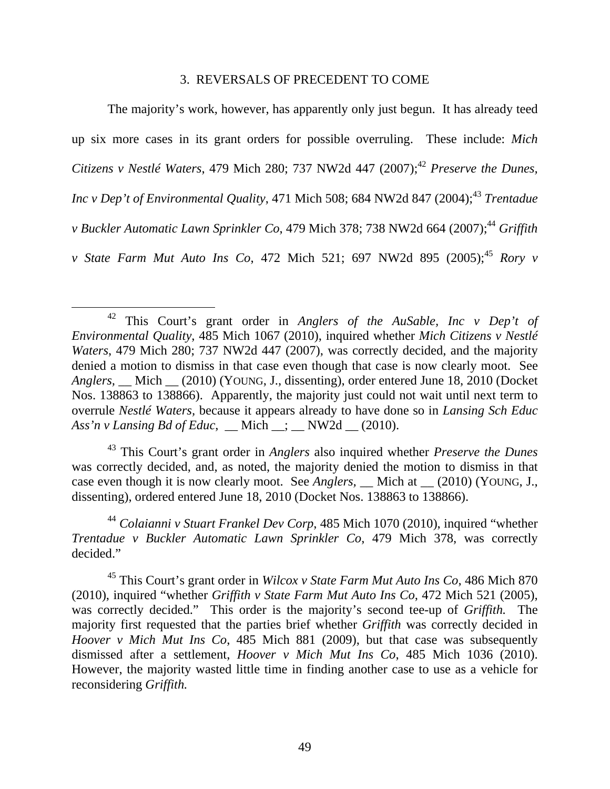#### 3. REVERSALS OF PRECEDENT TO COME

The majority's work, however, has apparently only just begun. It has already teed up six more cases in its grant orders for possible overruling. These include: *Mich Citizens v Nestlé Waters, 479 Mich 280; 737 NW2d 447 (2007);*<sup>42</sup> *Preserve the Dunes, Inc v Dep't of Environmental Quality*, 471 Mich 508; 684 NW2d 847 (2004);<sup>43</sup> *Trentadue v Buckler Automatic Lawn Sprinkler Co.* 479 Mich 378; 738 NW2d 664 (2007);<sup>44</sup> *Griffith v State Farm Mut Auto Ins Co*, 472 Mich 521; 697 NW2d 895 (2005):<sup>45</sup> *Rory v* 

43 This Court's grant order in *Anglers* also inquired whether *Preserve the Dunes* was correctly decided, and, as noted, the majority denied the motion to dismiss in that case even though it is now clearly moot. See *Anglers,* \_\_ Mich at \_\_ (2010) (YOUNG, J., dissenting), ordered entered June 18, 2010 (Docket Nos. 138863 to 138866).

<sup>44</sup> *Colaianni v Stuart Frankel Dev Corp*, 485 Mich 1070 (2010), inquired "whether *Trentadue v Buckler Automatic Lawn Sprinkler Co*, 479 Mich 378, was correctly decided."

45 This Court's grant order in *Wilcox v State Farm Mut Auto Ins Co*, 486 Mich 870 (2010), inquired "whether *Griffith v State Farm Mut Auto Ins Co*, 472 Mich 521 (2005), was correctly decided." This order is the majority's second tee-up of *Griffith.* The majority first requested that the parties brief whether *Griffith* was correctly decided in *Hoover v Mich Mut Ins Co*, 485 Mich 881 (2009), but that case was subsequently dismissed after a settlement, *Hoover v Mich Mut Ins Co*, 485 Mich 1036 (2010). However, the majority wasted little time in finding another case to use as a vehicle for reconsidering *Griffith.*

 <sup>42</sup> This Court's grant order in *Anglers of the AuSable, Inc v Dep't of Environmental Quality*, 485 Mich 1067 (2010), inquired whether *Mich Citizens v Nestlé Waters*, 479 Mich 280; 737 NW2d 447 (2007), was correctly decided, and the majority denied a motion to dismiss in that case even though that case is now clearly moot. See *Anglers,* \_\_ Mich \_\_ (2010) (YOUNG, J., dissenting), order entered June 18, 2010 (Docket Nos. 138863 to 138866). Apparently, the majority just could not wait until next term to overrule *Nestlé Waters,* because it appears already to have done so in *Lansing Sch Educ Ass'n v Lansing Bd of Educ*, \_\_ Mich \_\_; \_\_ NW2d \_\_ (2010).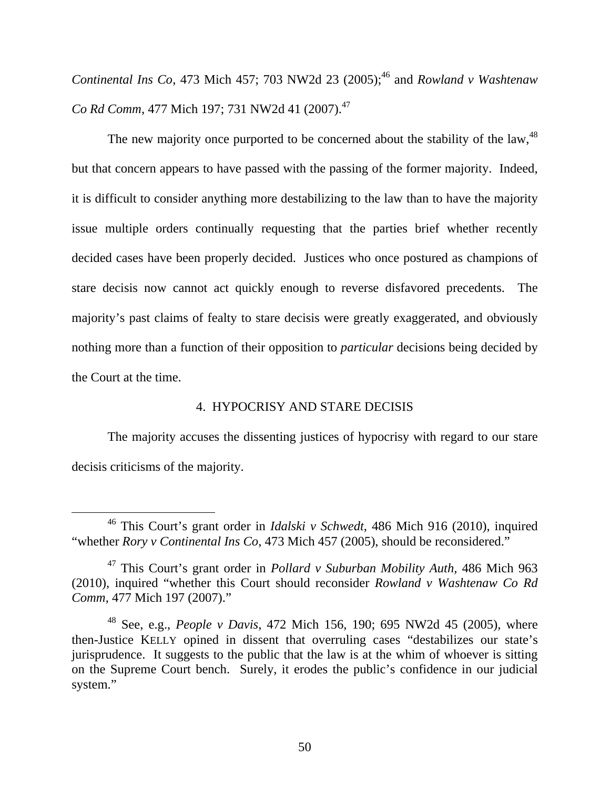*Continental Ins Co*, 473 Mich 457; 703 NW2d 23 (2005);<sup>46</sup> and *Rowland v Washtenaw Co Rd Comm, 477 Mich 197; 731 NW2d 41 (2007).*<sup>47</sup>

The new majority once purported to be concerned about the stability of the law,  $48$ but that concern appears to have passed with the passing of the former majority. Indeed, it is difficult to consider anything more destabilizing to the law than to have the majority issue multiple orders continually requesting that the parties brief whether recently decided cases have been properly decided. Justices who once postured as champions of stare decisis now cannot act quickly enough to reverse disfavored precedents. The majority's past claims of fealty to stare decisis were greatly exaggerated, and obviously nothing more than a function of their opposition to *particular* decisions being decided by the Court at the time.

# 4. HYPOCRISY AND STARE DECISIS

The majority accuses the dissenting justices of hypocrisy with regard to our stare decisis criticisms of the majority.

 <sup>46</sup> This Court's grant order in *Idalski v Schwedt*, 486 Mich 916 (2010), inquired "whether *Rory v Continental Ins Co*, 473 Mich 457 (2005), should be reconsidered."

<sup>47</sup> This Court's grant order in *Pollard v Suburban Mobility Auth,* 486 Mich 963 (2010), inquired "whether this Court should reconsider *Rowland v Washtenaw Co Rd Comm*, 477 Mich 197 (2007)."

<sup>48</sup> See, e.g., *People v Davis*, 472 Mich 156, 190; 695 NW2d 45 (2005), where then-Justice KELLY opined in dissent that overruling cases "destabilizes our state's jurisprudence. It suggests to the public that the law is at the whim of whoever is sitting on the Supreme Court bench. Surely, it erodes the public's confidence in our judicial system."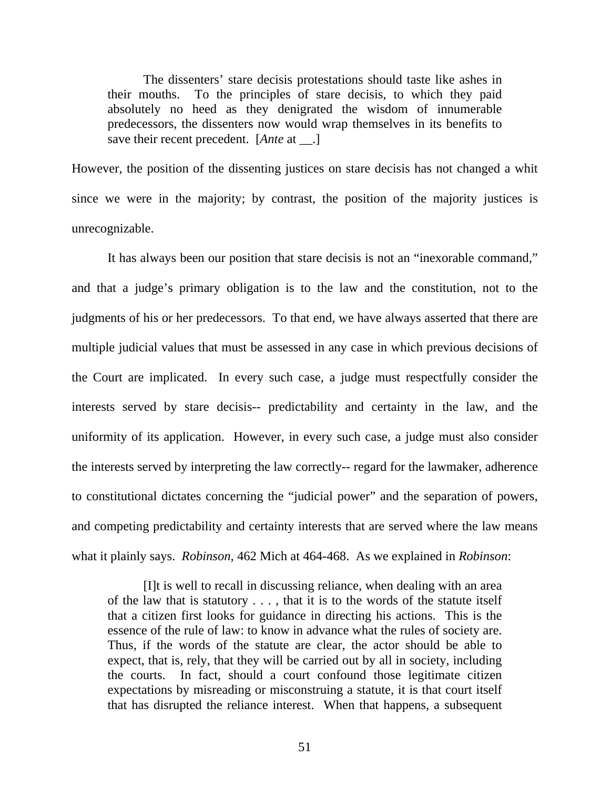The dissenters' stare decisis protestations should taste like ashes in their mouths. To the principles of stare decisis, to which they paid absolutely no heed as they denigrated the wisdom of innumerable predecessors, the dissenters now would wrap themselves in its benefits to save their recent precedent. [*Ante* at \_\_.]

However, the position of the dissenting justices on stare decisis has not changed a whit since we were in the majority; by contrast, the position of the majority justices is unrecognizable.

It has always been our position that stare decisis is not an "inexorable command," and that a judge's primary obligation is to the law and the constitution, not to the judgments of his or her predecessors. To that end, we have always asserted that there are multiple judicial values that must be assessed in any case in which previous decisions of the Court are implicated. In every such case, a judge must respectfully consider the interests served by stare decisis-- predictability and certainty in the law, and the uniformity of its application. However, in every such case, a judge must also consider the interests served by interpreting the law correctly-- regard for the lawmaker, adherence to constitutional dictates concerning the "judicial power" and the separation of powers, and competing predictability and certainty interests that are served where the law means what it plainly says. *Robinson,* 462 Mich at 464-468. As we explained in *Robinson*:

[I]t is well to recall in discussing reliance, when dealing with an area of the law that is statutory . . . , that it is to the words of the statute itself that a citizen first looks for guidance in directing his actions. This is the essence of the rule of law: to know in advance what the rules of society are. Thus, if the words of the statute are clear, the actor should be able to expect, that is, rely, that they will be carried out by all in society, including the courts. In fact, should a court confound those legitimate citizen expectations by misreading or misconstruing a statute, it is that court itself that has disrupted the reliance interest. When that happens, a subsequent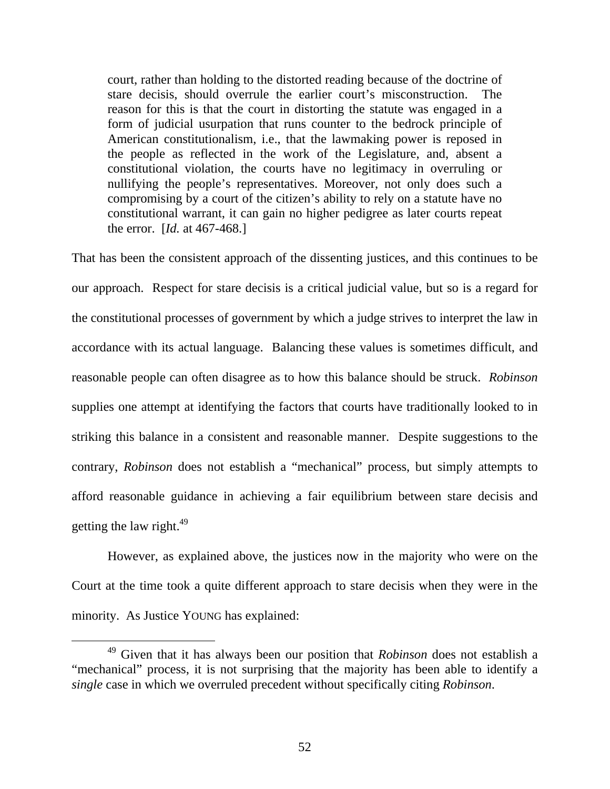court, rather than holding to the distorted reading because of the doctrine of stare decisis, should overrule the earlier court's misconstruction. The reason for this is that the court in distorting the statute was engaged in a form of judicial usurpation that runs counter to the bedrock principle of American constitutionalism, i.e., that the lawmaking power is reposed in the people as reflected in the work of the Legislature, and, absent a constitutional violation, the courts have no legitimacy in overruling or nullifying the people's representatives. Moreover, not only does such a compromising by a court of the citizen's ability to rely on a statute have no constitutional warrant, it can gain no higher pedigree as later courts repeat the error. [*Id.* at 467-468.]

That has been the consistent approach of the dissenting justices, and this continues to be our approach. Respect for stare decisis is a critical judicial value, but so is a regard for the constitutional processes of government by which a judge strives to interpret the law in accordance with its actual language. Balancing these values is sometimes difficult, and reasonable people can often disagree as to how this balance should be struck. *Robinson* supplies one attempt at identifying the factors that courts have traditionally looked to in striking this balance in a consistent and reasonable manner. Despite suggestions to the contrary, *Robinson* does not establish a "mechanical" process, but simply attempts to afford reasonable guidance in achieving a fair equilibrium between stare decisis and getting the law right. $49$ 

 However, as explained above, the justices now in the majority who were on the Court at the time took a quite different approach to stare decisis when they were in the minority. As Justice YOUNG has explained:

 <sup>49</sup> Given that it has always been our position that *Robinson* does not establish a "mechanical" process, it is not surprising that the majority has been able to identify a *single* case in which we overruled precedent without specifically citing *Robinson*.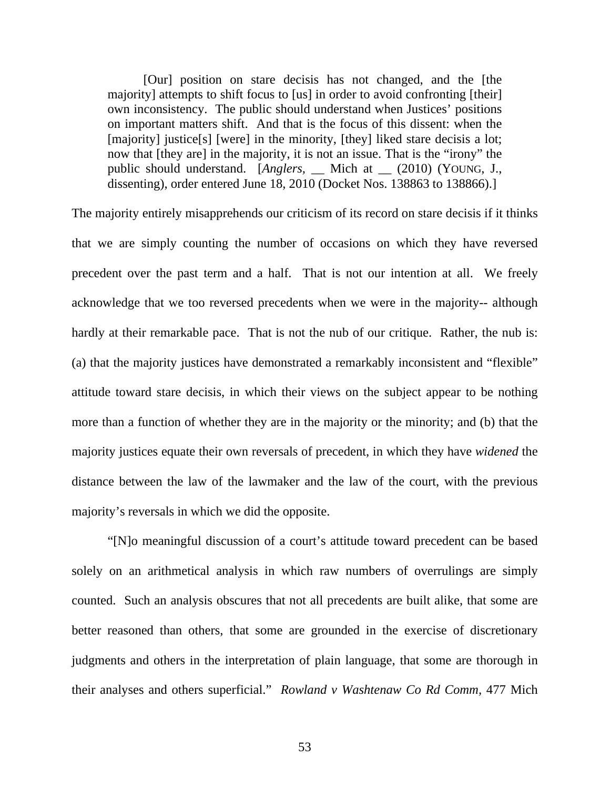[Our] position on stare decisis has not changed, and the [the majority] attempts to shift focus to [us] in order to avoid confronting [their] own inconsistency. The public should understand when Justices' positions on important matters shift. And that is the focus of this dissent: when the [majority] justice[s] [were] in the minority, [they] liked stare decisis a lot; now that [they are] in the majority, it is not an issue. That is the "irony" the public should understand. [*Anglers,* \_\_ Mich at \_\_ (2010) (YOUNG, J., dissenting), order entered June 18, 2010 (Docket Nos. 138863 to 138866).]

The majority entirely misapprehends our criticism of its record on stare decisis if it thinks that we are simply counting the number of occasions on which they have reversed precedent over the past term and a half. That is not our intention at all. We freely acknowledge that we too reversed precedents when we were in the majority-- although hardly at their remarkable pace. That is not the nub of our critique. Rather, the nub is: (a) that the majority justices have demonstrated a remarkably inconsistent and "flexible" attitude toward stare decisis, in which their views on the subject appear to be nothing more than a function of whether they are in the majority or the minority; and (b) that the majority justices equate their own reversals of precedent, in which they have *widened* the distance between the law of the lawmaker and the law of the court, with the previous majority's reversals in which we did the opposite.

 "[N]o meaningful discussion of a court's attitude toward precedent can be based solely on an arithmetical analysis in which raw numbers of overrulings are simply counted. Such an analysis obscures that not all precedents are built alike, that some are better reasoned than others, that some are grounded in the exercise of discretionary judgments and others in the interpretation of plain language, that some are thorough in their analyses and others superficial." *Rowland v Washtenaw Co Rd Comm,* 477 Mich

53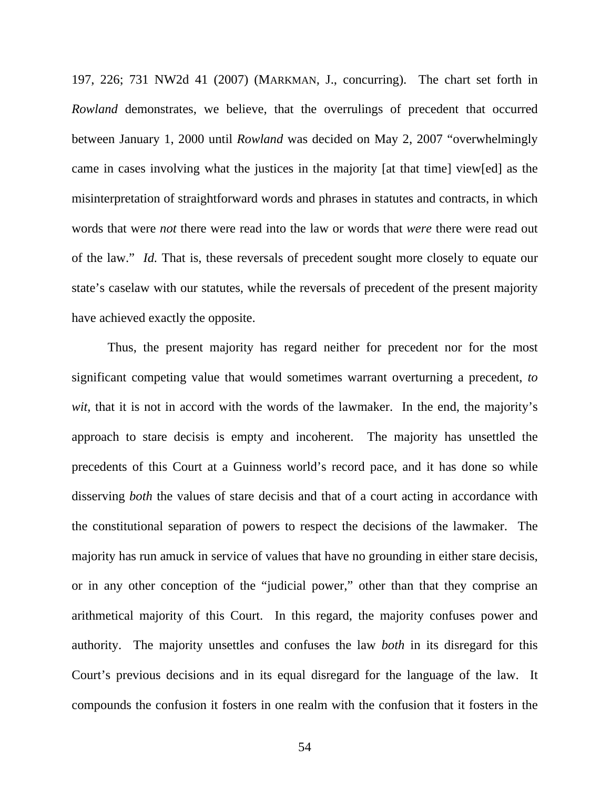197, 226; 731 NW2d 41 (2007) (MARKMAN, J., concurring). The chart set forth in *Rowland* demonstrates, we believe, that the overrulings of precedent that occurred between January 1, 2000 until *Rowland* was decided on May 2, 2007 "overwhelmingly came in cases involving what the justices in the majority [at that time] view[ed] as the misinterpretation of straightforward words and phrases in statutes and contracts, in which words that were *not* there were read into the law or words that *were* there were read out of the law." *Id.* That is, these reversals of precedent sought more closely to equate our state's caselaw with our statutes, while the reversals of precedent of the present majority have achieved exactly the opposite.

 Thus, the present majority has regard neither for precedent nor for the most significant competing value that would sometimes warrant overturning a precedent, *to*  wit, that it is not in accord with the words of the lawmaker. In the end, the majority's approach to stare decisis is empty and incoherent. The majority has unsettled the precedents of this Court at a Guinness world's record pace, and it has done so while disserving *both* the values of stare decisis and that of a court acting in accordance with the constitutional separation of powers to respect the decisions of the lawmaker. The majority has run amuck in service of values that have no grounding in either stare decisis, or in any other conception of the "judicial power," other than that they comprise an arithmetical majority of this Court. In this regard, the majority confuses power and authority. The majority unsettles and confuses the law *both* in its disregard for this Court's previous decisions and in its equal disregard for the language of the law. It compounds the confusion it fosters in one realm with the confusion that it fosters in the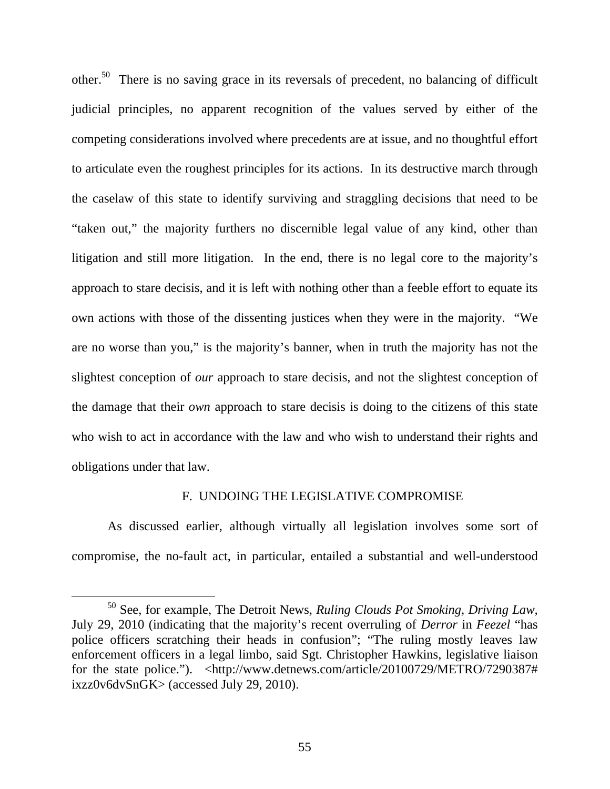other.50 There is no saving grace in its reversals of precedent, no balancing of difficult judicial principles, no apparent recognition of the values served by either of the competing considerations involved where precedents are at issue, and no thoughtful effort to articulate even the roughest principles for its actions. In its destructive march through the caselaw of this state to identify surviving and straggling decisions that need to be "taken out," the majority furthers no discernible legal value of any kind, other than litigation and still more litigation. In the end, there is no legal core to the majority's approach to stare decisis, and it is left with nothing other than a feeble effort to equate its own actions with those of the dissenting justices when they were in the majority. "We are no worse than you," is the majority's banner, when in truth the majority has not the slightest conception of *our* approach to stare decisis, and not the slightest conception of the damage that their *own* approach to stare decisis is doing to the citizens of this state who wish to act in accordance with the law and who wish to understand their rights and obligations under that law.

## F. UNDOING THE LEGISLATIVE COMPROMISE

As discussed earlier, although virtually all legislation involves some sort of compromise, the no-fault act, in particular, entailed a substantial and well-understood

 <sup>50</sup> See, for example, The Detroit News, *Ruling Clouds Pot Smoking, Driving Law,*  July 29, 2010 (indicating that the majority's recent overruling of *Derror* in *Feezel* "has police officers scratching their heads in confusion"; "The ruling mostly leaves law enforcement officers in a legal limbo, said Sgt. Christopher Hawkins, legislative liaison for the state police."). <http://www.detnews.com/article/20100729/METRO/7290387# ixzz0v6dvSnGK> (accessed July 29, 2010).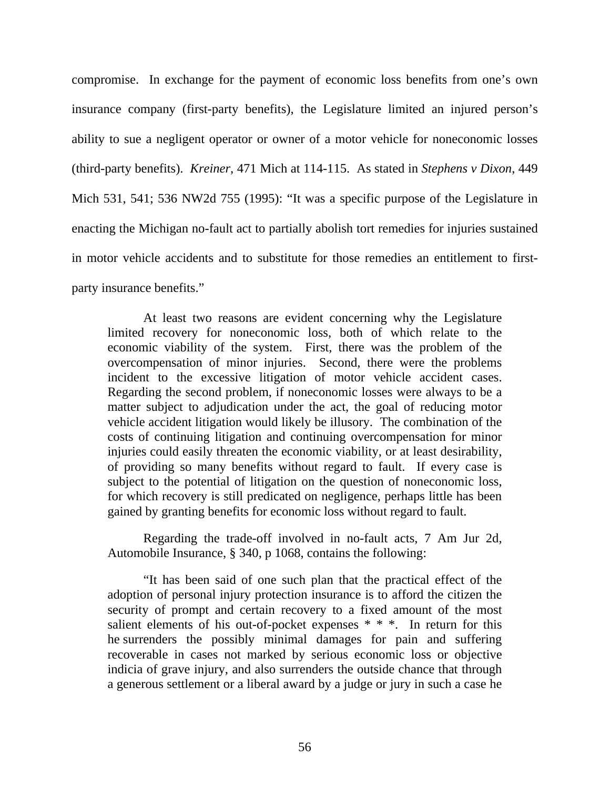compromise. In exchange for the payment of economic loss benefits from one's own insurance company (first-party benefits), the Legislature limited an injured person's ability to sue a negligent operator or owner of a motor vehicle for noneconomic losses (third-party benefits). *Kreiner*, 471 Mich at 114-115. As stated in *Stephens v Dixon*, 449 Mich 531, 541; 536 NW2d 755 (1995): "It was a specific purpose of the Legislature in enacting the Michigan no-fault act to partially abolish tort remedies for injuries sustained in motor vehicle accidents and to substitute for those remedies an entitlement to firstparty insurance benefits."

At least two reasons are evident concerning why the Legislature limited recovery for noneconomic loss, both of which relate to the economic viability of the system. First, there was the problem of the overcompensation of minor injuries. Second, there were the problems incident to the excessive litigation of motor vehicle accident cases. Regarding the second problem, if noneconomic losses were always to be a matter subject to adjudication under the act, the goal of reducing motor vehicle accident litigation would likely be illusory. The combination of the costs of continuing litigation and continuing overcompensation for minor injuries could easily threaten the economic viability, or at least desirability, of providing so many benefits without regard to fault. If every case is subject to the potential of litigation on the question of noneconomic loss, for which recovery is still predicated on negligence, perhaps little has been gained by granting benefits for economic loss without regard to fault.

Regarding the trade-off involved in no-fault acts, 7 Am Jur 2d, Automobile Insurance, § 340, p 1068, contains the following:

"It has been said of one such plan that the practical effect of the adoption of personal injury protection insurance is to afford the citizen the security of prompt and certain recovery to a fixed amount of the most salient elements of his out-of-pocket expenses  $* * *$ . In return for this he surrenders the possibly minimal damages for pain and suffering recoverable in cases not marked by serious economic loss or objective indicia of grave injury, and also surrenders the outside chance that through a generous settlement or a liberal award by a judge or jury in such a case he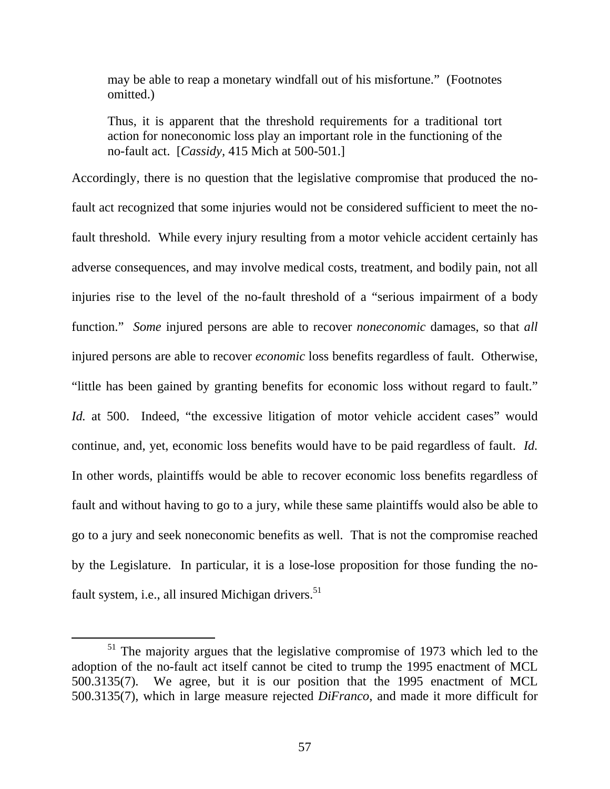may be able to reap a monetary windfall out of his misfortune." (Footnotes omitted.)

Thus, it is apparent that the threshold requirements for a traditional tort action for noneconomic loss play an important role in the functioning of the no-fault act. [*Cassidy,* 415 Mich at 500-501.]

Accordingly, there is no question that the legislative compromise that produced the nofault act recognized that some injuries would not be considered sufficient to meet the nofault threshold. While every injury resulting from a motor vehicle accident certainly has adverse consequences, and may involve medical costs, treatment, and bodily pain, not all injuries rise to the level of the no-fault threshold of a "serious impairment of a body function." *Some* injured persons are able to recover *noneconomic* damages, so that *all* injured persons are able to recover *economic* loss benefits regardless of fault. Otherwise, "little has been gained by granting benefits for economic loss without regard to fault." *Id.* at 500. Indeed, "the excessive litigation of motor vehicle accident cases" would continue, and, yet, economic loss benefits would have to be paid regardless of fault. *Id.*  In other words, plaintiffs would be able to recover economic loss benefits regardless of fault and without having to go to a jury, while these same plaintiffs would also be able to go to a jury and seek noneconomic benefits as well. That is not the compromise reached by the Legislature. In particular, it is a lose-lose proposition for those funding the nofault system, i.e., all insured Michigan drivers. $51$ 

<sup>&</sup>lt;sup>51</sup> The majority argues that the legislative compromise of 1973 which led to the adoption of the no-fault act itself cannot be cited to trump the 1995 enactment of MCL 500.3135(7). We agree, but it is our position that the 1995 enactment of MCL 500.3135(7), which in large measure rejected *DiFranco*, and made it more difficult for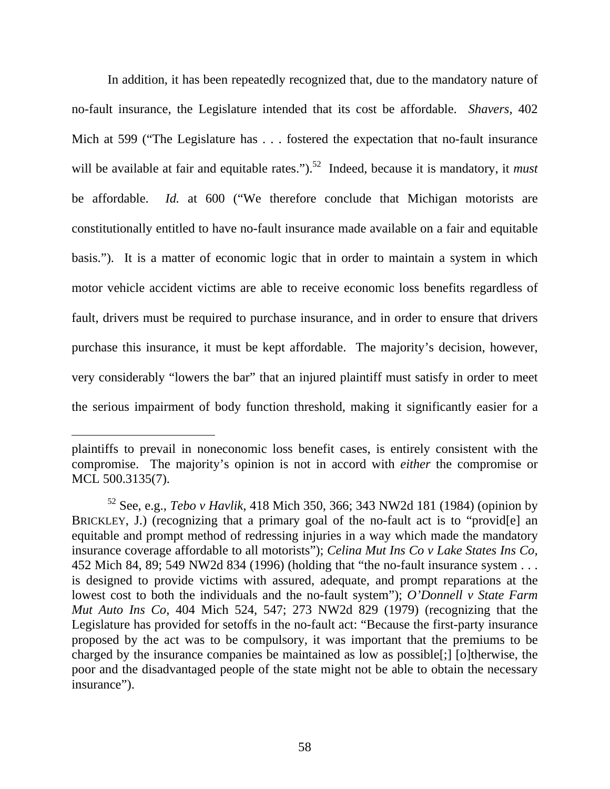In addition, it has been repeatedly recognized that, due to the mandatory nature of no-fault insurance, the Legislature intended that its cost be affordable. *Shavers,* 402 Mich at 599 ("The Legislature has . . . fostered the expectation that no-fault insurance will be available at fair and equitable rates.").<sup>52</sup> Indeed, because it is mandatory, it *must* be affordable. *Id.* at 600 ("We therefore conclude that Michigan motorists are constitutionally entitled to have no-fault insurance made available on a fair and equitable basis."). It is a matter of economic logic that in order to maintain a system in which motor vehicle accident victims are able to receive economic loss benefits regardless of fault, drivers must be required to purchase insurance, and in order to ensure that drivers purchase this insurance, it must be kept affordable. The majority's decision, however, very considerably "lowers the bar" that an injured plaintiff must satisfy in order to meet the serious impairment of body function threshold, making it significantly easier for a

 $\overline{a}$ 

plaintiffs to prevail in noneconomic loss benefit cases, is entirely consistent with the compromise. The majority's opinion is not in accord with *either* the compromise or MCL 500.3135(7).

<sup>52</sup> See, e.g., *Tebo v Havlik*, 418 Mich 350, 366; 343 NW2d 181 (1984) (opinion by BRICKLEY, J.) (recognizing that a primary goal of the no-fault act is to "providel" an equitable and prompt method of redressing injuries in a way which made the mandatory insurance coverage affordable to all motorists"); *Celina Mut Ins Co v Lake States Ins Co,* 452 Mich 84, 89; 549 NW2d 834 (1996) (holding that "the no-fault insurance system . . . is designed to provide victims with assured, adequate, and prompt reparations at the lowest cost to both the individuals and the no-fault system"); *O'Donnell v State Farm Mut Auto Ins Co*, 404 Mich 524, 547; 273 NW2d 829 (1979) (recognizing that the Legislature has provided for setoffs in the no-fault act: "Because the first-party insurance proposed by the act was to be compulsory, it was important that the premiums to be charged by the insurance companies be maintained as low as possible[;] [o]therwise, the poor and the disadvantaged people of the state might not be able to obtain the necessary insurance").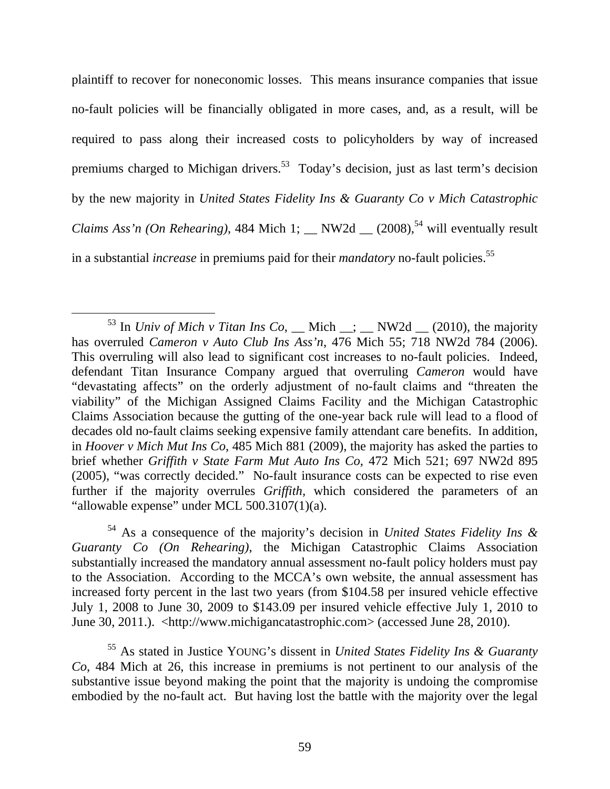plaintiff to recover for noneconomic losses. This means insurance companies that issue no-fault policies will be financially obligated in more cases, and, as a result, will be required to pass along their increased costs to policyholders by way of increased premiums charged to Michigan drivers.<sup>53</sup> Today's decision, just as last term's decision by the new majority in *United States Fidelity Ins & Guaranty Co v Mich Catastrophic Claims Ass'n (On Rehearing)*, 484 Mich 1; \_\_ NW2d  $(2008)$ <sup>54</sup> will eventually result in a substantial *increase* in premiums paid for their *mandatory* no-fault policies.55

54 As a consequence of the majority's decision in *United States Fidelity Ins & Guaranty Co (On Rehearing)*, the Michigan Catastrophic Claims Association substantially increased the mandatory annual assessment no-fault policy holders must pay to the Association. According to the MCCA's own website, the annual assessment has increased forty percent in the last two years (from \$104.58 per insured vehicle effective July 1, 2008 to June 30, 2009 to \$143.09 per insured vehicle effective July 1, 2010 to June 30, 2011.). <http://www.michigancatastrophic.com> (accessed June 28, 2010).

55 As stated in Justice YOUNG's dissent in *United States Fidelity Ins & Guaranty Co*, 484 Mich at 26, this increase in premiums is not pertinent to our analysis of the substantive issue beyond making the point that the majority is undoing the compromise embodied by the no-fault act. But having lost the battle with the majority over the legal

<sup>&</sup>lt;sup>53</sup> In *Univ of Mich v Titan Ins Co*, \_\_ Mich \_\_; \_\_ NW2d \_\_ (2010), the majority has overruled *Cameron v Auto Club Ins Ass'n*, 476 Mich 55; 718 NW2d 784 (2006). This overruling will also lead to significant cost increases to no-fault policies. Indeed, defendant Titan Insurance Company argued that overruling *Cameron* would have "devastating affects" on the orderly adjustment of no-fault claims and "threaten the viability" of the Michigan Assigned Claims Facility and the Michigan Catastrophic Claims Association because the gutting of the one-year back rule will lead to a flood of decades old no-fault claims seeking expensive family attendant care benefits. In addition, in *Hoover v Mich Mut Ins Co*, 485 Mich 881 (2009), the majority has asked the parties to brief whether *Griffith v State Farm Mut Auto Ins Co,* 472 Mich 521; 697 NW2d 895 (2005), "was correctly decided." No-fault insurance costs can be expected to rise even further if the majority overrules *Griffith,* which considered the parameters of an "allowable expense" under MCL 500.3107(1)(a).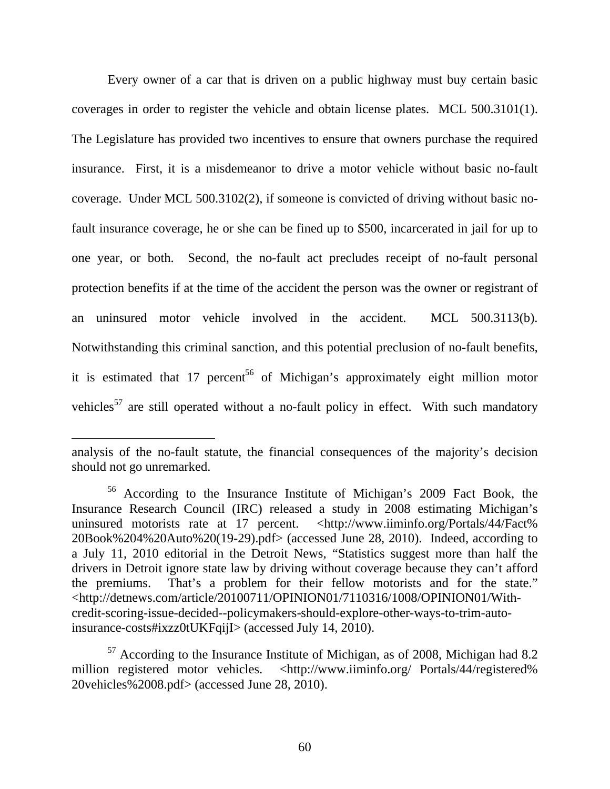Every owner of a car that is driven on a public highway must buy certain basic coverages in order to register the vehicle and obtain license plates. MCL 500.3101(1). The Legislature has provided two incentives to ensure that owners purchase the required insurance. First, it is a misdemeanor to drive a motor vehicle without basic no-fault coverage. Under MCL 500.3102(2), if someone is convicted of driving without basic nofault insurance coverage, he or she can be fined up to \$500, incarcerated in jail for up to one year, or both. Second, the no-fault act precludes receipt of no-fault personal protection benefits if at the time of the accident the person was the owner or registrant of an uninsured motor vehicle involved in the accident. MCL 500.3113(b). Notwithstanding this criminal sanction, and this potential preclusion of no-fault benefits, it is estimated that  $17$  percent<sup>56</sup> of Michigan's approximately eight million motor vehicles<sup>57</sup> are still operated without a no-fault policy in effect. With such mandatory

 $\overline{a}$ 

analysis of the no-fault statute, the financial consequences of the majority's decision should not go unremarked.

<sup>56</sup> According to the Insurance Institute of Michigan's 2009 Fact Book, the Insurance Research Council (IRC) released a study in 2008 estimating Michigan's uninsured motorists rate at 17 percent. <http://www.iiminfo.org/Portals/44/Fact% 20Book%204%20Auto%20(19-29).pdf> (accessed June 28, 2010). Indeed, according to a July 11, 2010 editorial in the Detroit News, "Statistics suggest more than half the drivers in Detroit ignore state law by driving without coverage because they can't afford the premiums. That's a problem for their fellow motorists and for the state." <http://detnews.com/article/20100711/OPINION01/7110316/1008/OPINION01/Withcredit-scoring-issue-decided--policymakers-should-explore-other-ways-to-trim-autoinsurance-costs#ixzz0tUKFqijI> (accessed July 14, 2010).

 $57$  According to the Insurance Institute of Michigan, as of 2008, Michigan had 8.2 million registered motor vehicles. <http://www.iiminfo.org/ Portals/44/registered% 20vehicles%2008.pdf> (accessed June 28, 2010).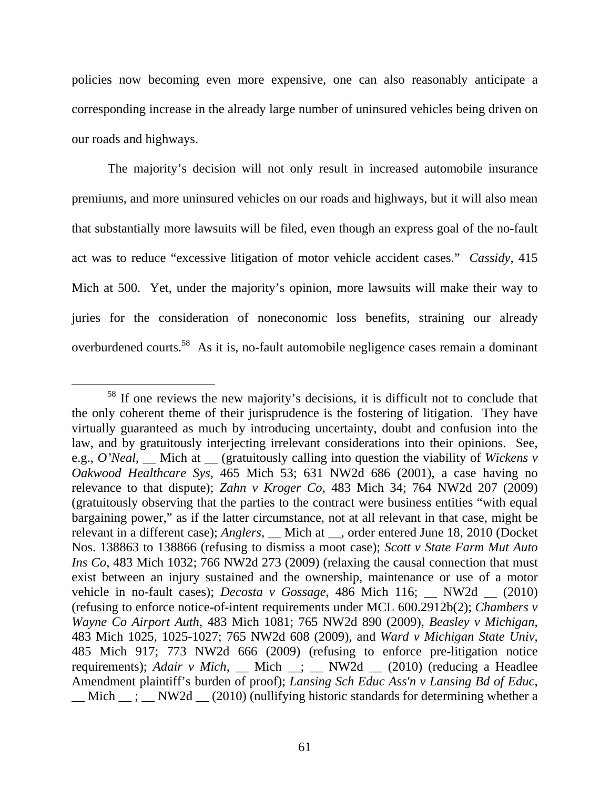policies now becoming even more expensive, one can also reasonably anticipate a corresponding increase in the already large number of uninsured vehicles being driven on our roads and highways.

The majority's decision will not only result in increased automobile insurance premiums, and more uninsured vehicles on our roads and highways, but it will also mean that substantially more lawsuits will be filed, even though an express goal of the no-fault act was to reduce "excessive litigation of motor vehicle accident cases." *Cassidy,* 415 Mich at 500. Yet, under the majority's opinion, more lawsuits will make their way to juries for the consideration of noneconomic loss benefits, straining our already overburdened courts.58 As it is, no-fault automobile negligence cases remain a dominant

<sup>&</sup>lt;sup>58</sup> If one reviews the new majority's decisions, it is difficult not to conclude that the only coherent theme of their jurisprudence is the fostering of litigation. They have virtually guaranteed as much by introducing uncertainty, doubt and confusion into the law, and by gratuitously interjecting irrelevant considerations into their opinions. See, e.g., *O'Neal*, \_\_ Mich at \_\_ (gratuitously calling into question the viability of *Wickens v Oakwood Healthcare Sys,* 465 Mich 53; 631 NW2d 686 (2001), a case having no relevance to that dispute); *Zahn v Kroger Co*, 483 Mich 34; 764 NW2d 207 (2009) (gratuitously observing that the parties to the contract were business entities "with equal bargaining power," as if the latter circumstance, not at all relevant in that case, might be relevant in a different case); *Anglers,* \_\_ Mich at \_\_, order entered June 18, 2010 (Docket Nos. 138863 to 138866 (refusing to dismiss a moot case); *Scott v State Farm Mut Auto Ins Co*, 483 Mich 1032; 766 NW2d 273 (2009) (relaxing the causal connection that must exist between an injury sustained and the ownership, maintenance or use of a motor vehicle in no-fault cases); *Decosta v Gossage*, 486 Mich 116; \_\_ NW2d \_\_ (2010) (refusing to enforce notice-of-intent requirements under MCL 600.2912b(2); *Chambers v Wayne Co Airport Auth*, 483 Mich 1081; 765 NW2d 890 (2009), *Beasley v Michigan*, 483 Mich 1025, 1025-1027; 765 NW2d 608 (2009), and *Ward v Michigan State Univ*, 485 Mich 917; 773 NW2d 666 (2009) (refusing to enforce pre-litigation notice requirements); *Adair v Mich*, \_\_ Mich \_\_; \_\_ NW2d \_\_ (2010) (reducing a Headlee Amendment plaintiff's burden of proof); *Lansing Sch Educ Ass'n v Lansing Bd of Educ*,  $\text{Mich}$  ;  $\text{NW2d}$  (2010) (nullifying historic standards for determining whether a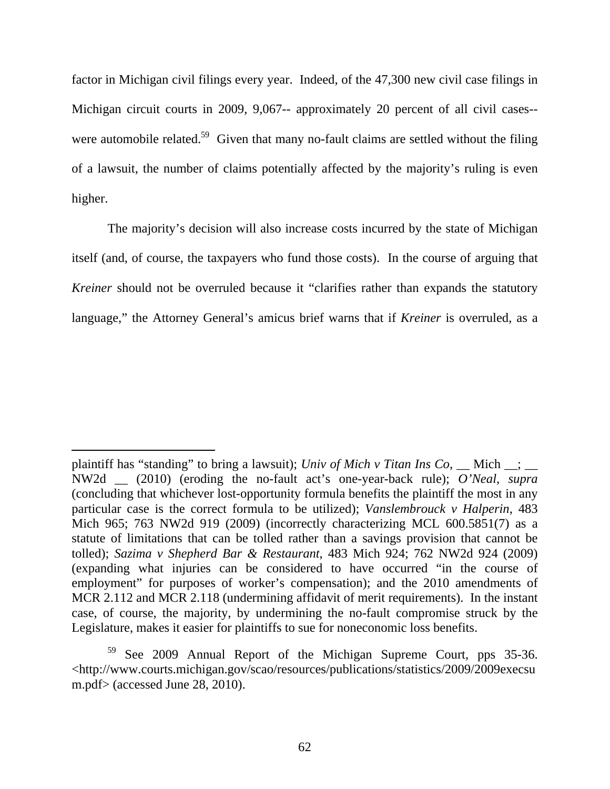factor in Michigan civil filings every year. Indeed, of the 47,300 new civil case filings in Michigan circuit courts in 2009, 9,067-- approximately 20 percent of all civil cases- were automobile related.<sup>59</sup> Given that many no-fault claims are settled without the filing of a lawsuit, the number of claims potentially affected by the majority's ruling is even higher.

The majority's decision will also increase costs incurred by the state of Michigan itself (and, of course, the taxpayers who fund those costs). In the course of arguing that *Kreiner* should not be overruled because it "clarifies rather than expands the statutory language," the Attorney General's amicus brief warns that if *Kreiner* is overruled, as a

 $\overline{a}$ 

plaintiff has "standing" to bring a lawsuit); *Univ of Mich v Titan Ins Co*, \_\_ Mich \_\_; \_\_ NW2d \_\_ (2010) (eroding the no-fault act's one-year-back rule); *O'Neal*, *supra*  (concluding that whichever lost-opportunity formula benefits the plaintiff the most in any particular case is the correct formula to be utilized); *Vanslembrouck v Halperin*, 483 Mich 965; 763 NW2d 919 (2009) (incorrectly characterizing MCL 600.5851(7) as a statute of limitations that can be tolled rather than a savings provision that cannot be tolled); *Sazima v Shepherd Bar & Restaurant*, 483 Mich 924; 762 NW2d 924 (2009) (expanding what injuries can be considered to have occurred "in the course of employment" for purposes of worker's compensation); and the 2010 amendments of MCR 2.112 and MCR 2.118 (undermining affidavit of merit requirements). In the instant case, of course, the majority, by undermining the no-fault compromise struck by the Legislature, makes it easier for plaintiffs to sue for noneconomic loss benefits.

<sup>59</sup> See 2009 Annual Report of the Michigan Supreme Court, pps 35-36. <http://www.courts.michigan.gov/scao/resources/publications/statistics/2009/2009execsu m.pdf> (accessed June 28, 2010).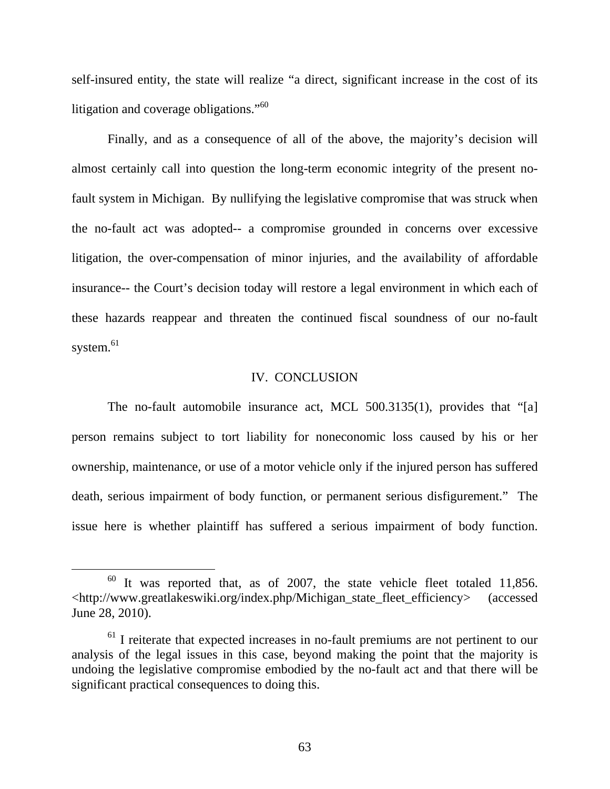self-insured entity, the state will realize "a direct, significant increase in the cost of its litigation and coverage obligations."<sup>60</sup>

Finally, and as a consequence of all of the above, the majority's decision will almost certainly call into question the long-term economic integrity of the present nofault system in Michigan. By nullifying the legislative compromise that was struck when the no-fault act was adopted-- a compromise grounded in concerns over excessive litigation, the over-compensation of minor injuries, and the availability of affordable insurance-- the Court's decision today will restore a legal environment in which each of these hazards reappear and threaten the continued fiscal soundness of our no-fault system.<sup>61</sup>

## IV. CONCLUSION

The no-fault automobile insurance act, MCL 500.3135(1), provides that "[a] person remains subject to tort liability for noneconomic loss caused by his or her ownership, maintenance, or use of a motor vehicle only if the injured person has suffered death, serious impairment of body function, or permanent serious disfigurement." The issue here is whether plaintiff has suffered a serious impairment of body function.

 $60$  It was reported that, as of 2007, the state vehicle fleet totaled 11,856. <http://www.greatlakeswiki.org/index.php/Michigan\_state\_fleet\_efficiency> (accessed June 28, 2010).

 $61$  I reiterate that expected increases in no-fault premiums are not pertinent to our analysis of the legal issues in this case, beyond making the point that the majority is undoing the legislative compromise embodied by the no-fault act and that there will be significant practical consequences to doing this.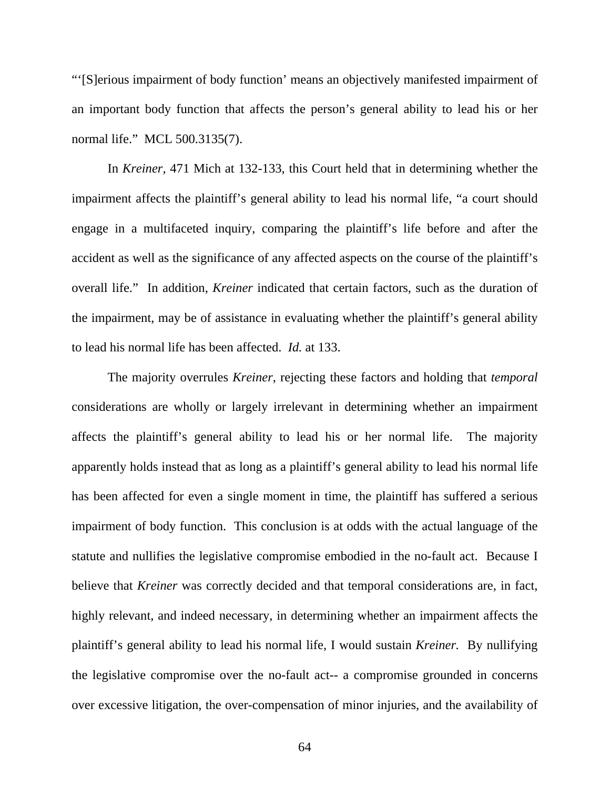"'[S]erious impairment of body function' means an objectively manifested impairment of an important body function that affects the person's general ability to lead his or her normal life." MCL 500.3135(7).

In *Kreiner,* 471 Mich at 132-133, this Court held that in determining whether the impairment affects the plaintiff's general ability to lead his normal life, "a court should engage in a multifaceted inquiry, comparing the plaintiff's life before and after the accident as well as the significance of any affected aspects on the course of the plaintiff's overall life." In addition, *Kreiner* indicated that certain factors, such as the duration of the impairment, may be of assistance in evaluating whether the plaintiff's general ability to lead his normal life has been affected. *Id.* at 133.

The majority overrules *Kreiner*, rejecting these factors and holding that *temporal*  considerations are wholly or largely irrelevant in determining whether an impairment affects the plaintiff's general ability to lead his or her normal life. The majority apparently holds instead that as long as a plaintiff's general ability to lead his normal life has been affected for even a single moment in time, the plaintiff has suffered a serious impairment of body function. This conclusion is at odds with the actual language of the statute and nullifies the legislative compromise embodied in the no-fault act. Because I believe that *Kreiner* was correctly decided and that temporal considerations are, in fact, highly relevant, and indeed necessary, in determining whether an impairment affects the plaintiff's general ability to lead his normal life, I would sustain *Kreiner.* By nullifying the legislative compromise over the no-fault act-- a compromise grounded in concerns over excessive litigation, the over-compensation of minor injuries, and the availability of